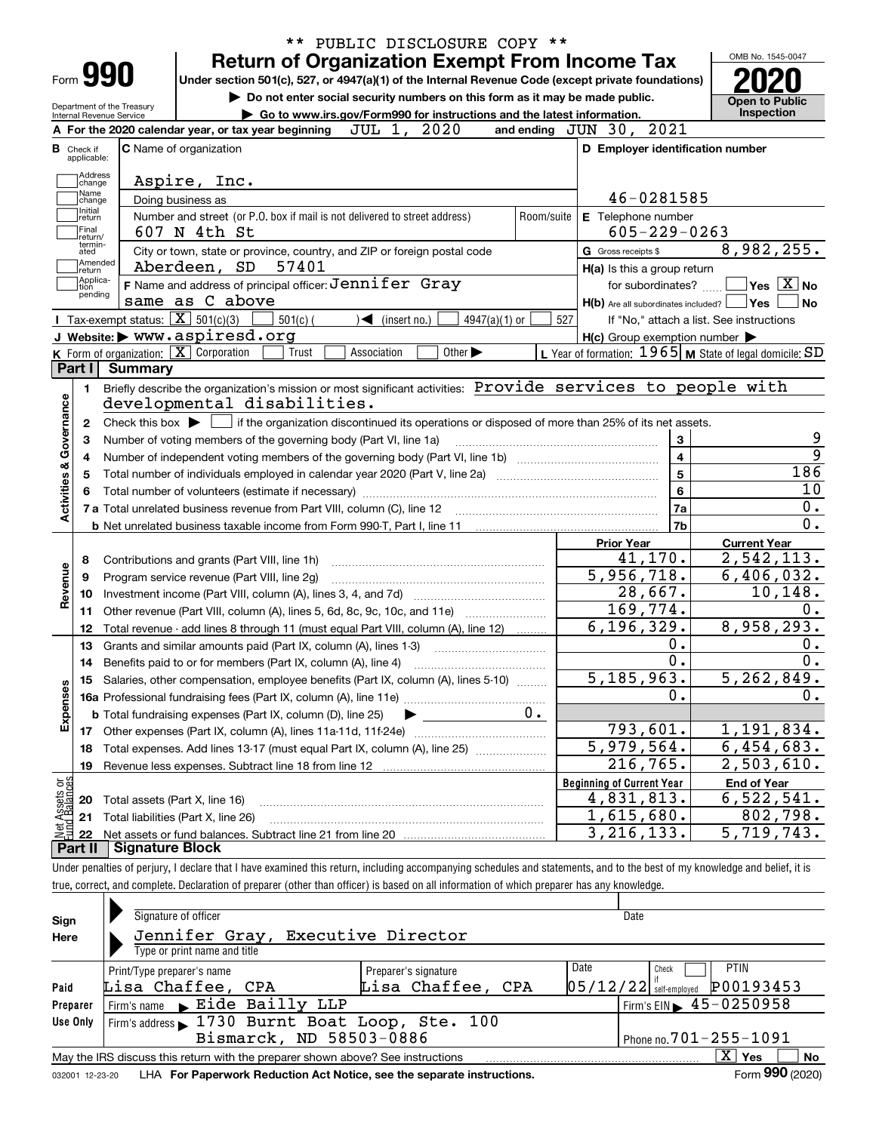|                                                        |                                                          | <b>Return of Organization Exempt From Income Tax</b>                                                                                                | PUBLIC DISCLOSURE COPY **   |            |                                                           | OMB No. 1545-0047                                       |
|--------------------------------------------------------|----------------------------------------------------------|-----------------------------------------------------------------------------------------------------------------------------------------------------|-----------------------------|------------|-----------------------------------------------------------|---------------------------------------------------------|
| Form 990                                               |                                                          | Under section 501(c), 527, or 4947(a)(1) of the Internal Revenue Code (except private foundations)                                                  |                             |            |                                                           |                                                         |
|                                                        |                                                          | Do not enter social security numbers on this form as it may be made public.                                                                         |                             |            |                                                           | <b>Open to Public</b>                                   |
| Department of the Treasury<br>Internal Revenue Service |                                                          | Go to www.irs.gov/Form990 for instructions and the latest information.                                                                              |                             |            |                                                           | Inspection                                              |
|                                                        |                                                          | A For the 2020 calendar year, or tax year beginning                                                                                                 | JUL 1, 2020                 |            | and ending JUN 30, 2021                                   |                                                         |
| Check if<br>applicable:                                | C Name of organization                                   |                                                                                                                                                     |                             |            | D Employer identification number                          |                                                         |
| Address                                                |                                                          |                                                                                                                                                     |                             |            |                                                           |                                                         |
| change<br>Name                                         |                                                          | Aspire, Inc.                                                                                                                                        |                             |            |                                                           |                                                         |
| change<br>Initial                                      | Doing business as                                        |                                                                                                                                                     |                             |            | 46-0281585                                                |                                                         |
| return                                                 |                                                          | Number and street (or P.O. box if mail is not delivered to street address)                                                                          |                             | Room/suite | E Telephone number                                        |                                                         |
| Final<br>return/<br>termin-                            |                                                          | 607 N 4th St                                                                                                                                        |                             |            | $605 - 229 - 0263$                                        |                                                         |
| ated<br>Amended                                        |                                                          | City or town, state or province, country, and ZIP or foreign postal code                                                                            |                             |            | G Gross receipts \$                                       | 8,982,255.                                              |
| return<br>Applica-                                     |                                                          | Aberdeen, SD 57401                                                                                                                                  |                             |            | H(a) Is this a group return                               |                                                         |
| tion<br>pending                                        |                                                          | F Name and address of principal officer: $Jennifer$ Gray                                                                                            |                             |            | for subordinates?                                         | $\sqrt{}$ Yes $\sqrt{}$ $\overline{\rm X}$ $\sqrt{}$ No |
|                                                        |                                                          | same as C above                                                                                                                                     |                             |            | $H(b)$ Are all subordinates included?                     | ∣Yes                                                    |
|                                                        | Tax-exempt status: $\boxed{\mathbf{X}}$ 501(c)(3)        | $501(c)$ (<br>$\sqrt{\frac{1}{1}}$ (insert no.)                                                                                                     | 4947(a)(1) or               | 527        |                                                           | If "No," attach a list. See instructions                |
|                                                        |                                                          | J Website: > www.aspiresd.org                                                                                                                       |                             |            | $H(c)$ Group exemption number $\blacktriangleright$       |                                                         |
|                                                        | K Form of organization: $\boxed{\mathbf{X}}$ Corporation | Trust<br>Association                                                                                                                                | Other $\blacktriangleright$ |            | L Year of formation: $1965$ M State of legal domicile: SD |                                                         |
| Part I                                                 | Summary                                                  |                                                                                                                                                     |                             |            |                                                           |                                                         |
| 1.                                                     |                                                          | Briefly describe the organization's mission or most significant activities: Provide services to people with                                         |                             |            |                                                           |                                                         |
|                                                        |                                                          | developmental disabilities.                                                                                                                         |                             |            |                                                           |                                                         |
| 2                                                      |                                                          | Check this box $\blacktriangleright$ $\blacksquare$ if the organization discontinued its operations or disposed of more than 25% of its net assets. |                             |            |                                                           |                                                         |
| 3                                                      |                                                          | Number of voting members of the governing body (Part VI, line 1a)                                                                                   |                             |            | 3                                                         |                                                         |
|                                                        |                                                          |                                                                                                                                                     |                             |            | $\overline{4}$                                            |                                                         |
|                                                        |                                                          | Total number of individuals employed in calendar year 2020 (Part V, line 2a) manufacture controller to intervent                                    |                             |            | $\overline{5}$                                            | 186                                                     |
|                                                        |                                                          |                                                                                                                                                     |                             |            | 6                                                         |                                                         |
| Activities & Governance                                |                                                          |                                                                                                                                                     |                             |            | 7a                                                        |                                                         |
|                                                        |                                                          |                                                                                                                                                     |                             |            | 7b                                                        |                                                         |
|                                                        |                                                          |                                                                                                                                                     |                             |            | <b>Prior Year</b>                                         | <b>Current Year</b>                                     |
| 8                                                      |                                                          | Contributions and grants (Part VIII, line 1h)                                                                                                       |                             |            | 41, 170.                                                  | 2,542,113.                                              |
| Revenue<br>9                                           |                                                          | Program service revenue (Part VIII, line 2g)                                                                                                        |                             |            | 5,956,718.                                                | 6,406,032.                                              |
| 10                                                     |                                                          |                                                                                                                                                     |                             |            | 28,667.                                                   | 10, 148.                                                |
| 11                                                     |                                                          | Other revenue (Part VIII, column (A), lines 5, 6d, 8c, 9c, 10c, and 11e)                                                                            |                             |            | 169,774.                                                  |                                                         |
| 12                                                     |                                                          | Total revenue - add lines 8 through 11 (must equal Part VIII, column (A), line 12)                                                                  |                             |            | 6, 196, 329.                                              | 8,958,293.                                              |
| 13                                                     |                                                          | Grants and similar amounts paid (Part IX, column (A), lines 1-3)                                                                                    |                             |            | 0.                                                        |                                                         |
| 14                                                     |                                                          | Benefits paid to or for members (Part IX, column (A), line 4)                                                                                       |                             |            | $\overline{0}$ .                                          |                                                         |
|                                                        |                                                          | 15 Salaries, other compensation, employee benefits (Part IX, column (A), lines 5-10)                                                                |                             |            | 5, 185, 963.                                              | 5, 262, 849.                                            |
| Expenses                                               |                                                          |                                                                                                                                                     |                             | Ο.         |                                                           |                                                         |
|                                                        |                                                          | <b>b</b> Total fundraising expenses (Part IX, column (D), line 25)                                                                                  | $0 \cdot$                   |            |                                                           |                                                         |
|                                                        |                                                          |                                                                                                                                                     |                             |            | 793,601.                                                  | 1,191,834.                                              |
| 18                                                     |                                                          | Total expenses. Add lines 13-17 (must equal Part IX, column (A), line 25)                                                                           |                             | 5,979,564. | 6,454,683.                                                |                                                         |
| 19                                                     |                                                          | Revenue less expenses. Subtract line 18 from line 12                                                                                                |                             |            | 216,765.                                                  | 2,503,610.                                              |
|                                                        |                                                          |                                                                                                                                                     |                             |            | <b>Beginning of Current Year</b>                          | <b>End of Year</b>                                      |
| : Assets or<br>d Balances<br>20                        | Total assets (Part X, line 16)                           |                                                                                                                                                     |                             |            | 4,831,813.                                                | 6,522,541.                                              |
|                                                        | Total liabilities (Part X, line 26)                      |                                                                                                                                                     |                             |            | 1,615,680.                                                | 802,798.                                                |
| 21                                                     |                                                          |                                                                                                                                                     |                             |            | 3, 216, 133.                                              | 5,719,743.                                              |
| 鲳<br>22                                                |                                                          |                                                                                                                                                     |                             |            |                                                           |                                                         |

| Sign<br>Here     | Signature of officer<br>Jennifer Gray, Executive Director<br>Type or print name and title                                                                                                                                                                                               |  | Date |  |  |  |  |  |  |  |  |
|------------------|-----------------------------------------------------------------------------------------------------------------------------------------------------------------------------------------------------------------------------------------------------------------------------------------|--|------|--|--|--|--|--|--|--|--|
| Paid<br>Preparer | <b>PTIN</b><br>Date<br>Check<br>Print/Type preparer's name<br>Preparer's signature<br>P00193453<br>Lisa Chaffee, CPA<br>$05/12/22$ self-employed<br>Lisa Chaffee, CPA<br>$1$ Firm's EIN $\blacktriangleright$ 45 - 0250958<br>$\vert$ Firm's name $\blacktriangleright$ Eide Bailly LLP |  |      |  |  |  |  |  |  |  |  |
| Use Only         | Firm's address 1730 Burnt Boat Loop, Ste. 100<br>Bismarck, ND 58503-0886<br>Phone no. $701 - 255 - 1091$                                                                                                                                                                                |  |      |  |  |  |  |  |  |  |  |
|                  | $\overline{\mathrm{X}}$ Yes<br>No<br>May the IRS discuss this return with the preparer shown above? See instructions<br>$F = 000$ (2222)<br>t de la componenta de la componenta de la componenta de la componenta de la componenta de la componenta de la c                             |  |      |  |  |  |  |  |  |  |  |

032001 12-23-20 LHA **For Paperwork Reduction Act Notice, see the separate instructions.** Form 990 (2020)

**990**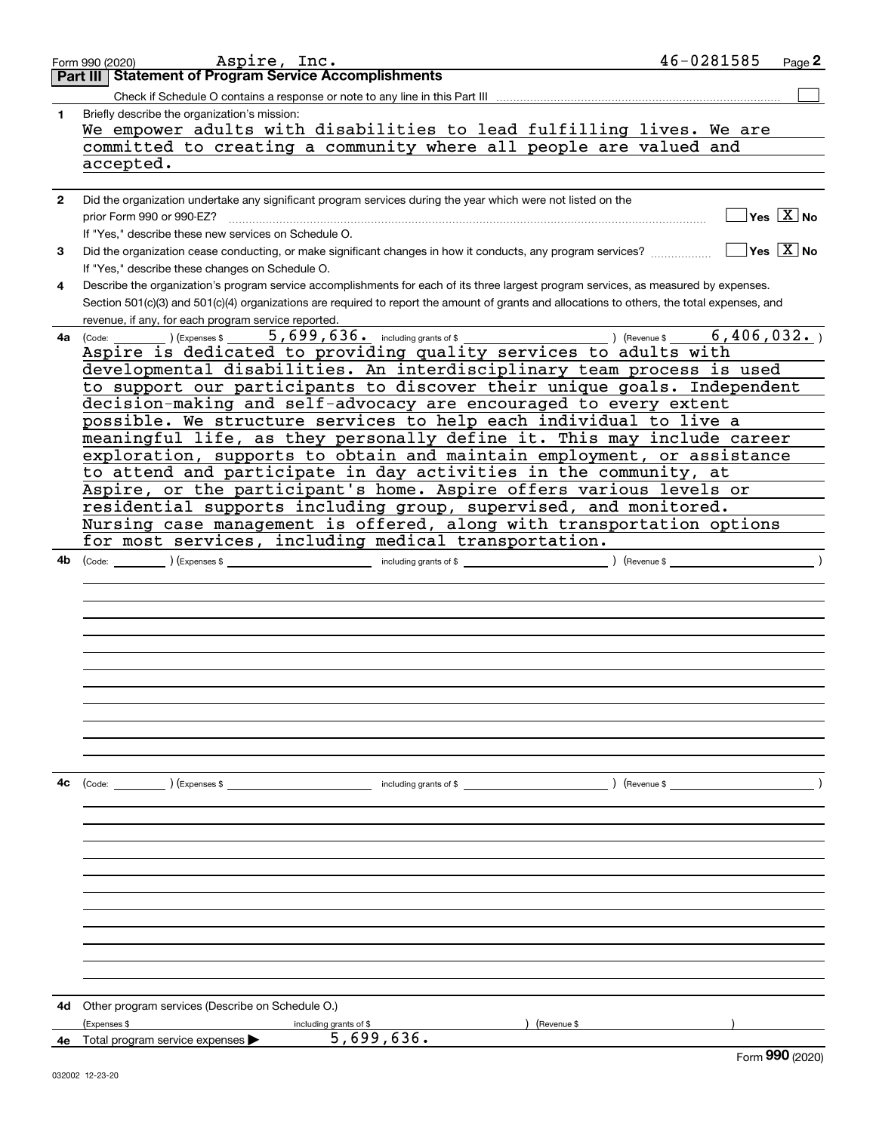|              | 46-0281585<br>Aspire, Inc.<br>Page 2<br>Form 990 (2020)                                                                                                                                          |  |
|--------------|--------------------------------------------------------------------------------------------------------------------------------------------------------------------------------------------------|--|
|              | <b>Part III Statement of Program Service Accomplishments</b>                                                                                                                                     |  |
|              | Check if Schedule O contains a response or note to any line in this Part III                                                                                                                     |  |
| 1            | Briefly describe the organization's mission:                                                                                                                                                     |  |
|              | We empower adults with disabilities to lead fulfilling lives. We are                                                                                                                             |  |
|              | committed to creating a community where all people are valued and                                                                                                                                |  |
|              | accepted.                                                                                                                                                                                        |  |
|              |                                                                                                                                                                                                  |  |
| $\mathbf{2}$ | Did the organization undertake any significant program services during the year which were not listed on the                                                                                     |  |
|              | $Yes \quad X$ No<br>prior Form 990 or 990-EZ?                                                                                                                                                    |  |
|              | If "Yes," describe these new services on Schedule O.                                                                                                                                             |  |
| 3            | $\sqrt{}$ Yes $\sqrt{}$ X $\sqrt{}$ No                                                                                                                                                           |  |
|              | If "Yes," describe these changes on Schedule O.                                                                                                                                                  |  |
| 4            | Describe the organization's program service accomplishments for each of its three largest program services, as measured by expenses.                                                             |  |
|              | Section 501(c)(3) and 501(c)(4) organizations are required to report the amount of grants and allocations to others, the total expenses, and                                                     |  |
|              |                                                                                                                                                                                                  |  |
| 4a           | revenue, if any, for each program service reported.<br>$(1.5)$ (Expenses \$ $\overline{)$ , 699, 636. including grants of \$ $\overline{)}$ ) (Revenue \$ $\overline{)}$<br>6,406,032.<br>(Code: |  |
|              | Aspire is dedicated to providing quality services to adults with                                                                                                                                 |  |
|              | developmental disabilities. An interdisciplinary team process is used                                                                                                                            |  |
|              | to support our participants to discover their unique goals. Independent                                                                                                                          |  |
|              | decision-making and self-advocacy are encouraged to every extent                                                                                                                                 |  |
|              | possible. We structure services to help each individual to live a                                                                                                                                |  |
|              | meaningful life, as they personally define it. This may include career                                                                                                                           |  |
|              | exploration, supports to obtain and maintain employment, or assistance                                                                                                                           |  |
|              |                                                                                                                                                                                                  |  |
|              | to attend and participate in day activities in the community, at<br>Aspire, or the participant's home. Aspire offers various levels or                                                           |  |
|              | residential supports including group, supervised, and monitored.                                                                                                                                 |  |
|              |                                                                                                                                                                                                  |  |
|              | Nursing case management is offered, along with transportation options<br>for most services, including medical transportation.                                                                    |  |
|              |                                                                                                                                                                                                  |  |
| 4b           | $\overline{\phantom{a}}$<br>(Revenue \$                                                                                                                                                          |  |
|              |                                                                                                                                                                                                  |  |
|              |                                                                                                                                                                                                  |  |
|              |                                                                                                                                                                                                  |  |
|              |                                                                                                                                                                                                  |  |
|              |                                                                                                                                                                                                  |  |
|              |                                                                                                                                                                                                  |  |
|              |                                                                                                                                                                                                  |  |
|              |                                                                                                                                                                                                  |  |
|              |                                                                                                                                                                                                  |  |
|              |                                                                                                                                                                                                  |  |
|              |                                                                                                                                                                                                  |  |
|              |                                                                                                                                                                                                  |  |
| 4c           | $\left(\text{Code:}\right)$ $\left(\text{Expenses $}\right)$<br>) (Revenue \$<br>including grants of \$                                                                                          |  |
|              |                                                                                                                                                                                                  |  |
|              |                                                                                                                                                                                                  |  |
|              |                                                                                                                                                                                                  |  |
|              |                                                                                                                                                                                                  |  |
|              |                                                                                                                                                                                                  |  |
|              |                                                                                                                                                                                                  |  |
|              |                                                                                                                                                                                                  |  |
|              |                                                                                                                                                                                                  |  |
|              |                                                                                                                                                                                                  |  |
|              |                                                                                                                                                                                                  |  |
|              |                                                                                                                                                                                                  |  |
|              |                                                                                                                                                                                                  |  |
| 4d           | Other program services (Describe on Schedule O.)                                                                                                                                                 |  |
|              | (Expenses \$<br>(Revenue \$<br>including grants of \$                                                                                                                                            |  |
| 4е           | 5,699,636.<br>Total program service expenses<br>nnn.                                                                                                                                             |  |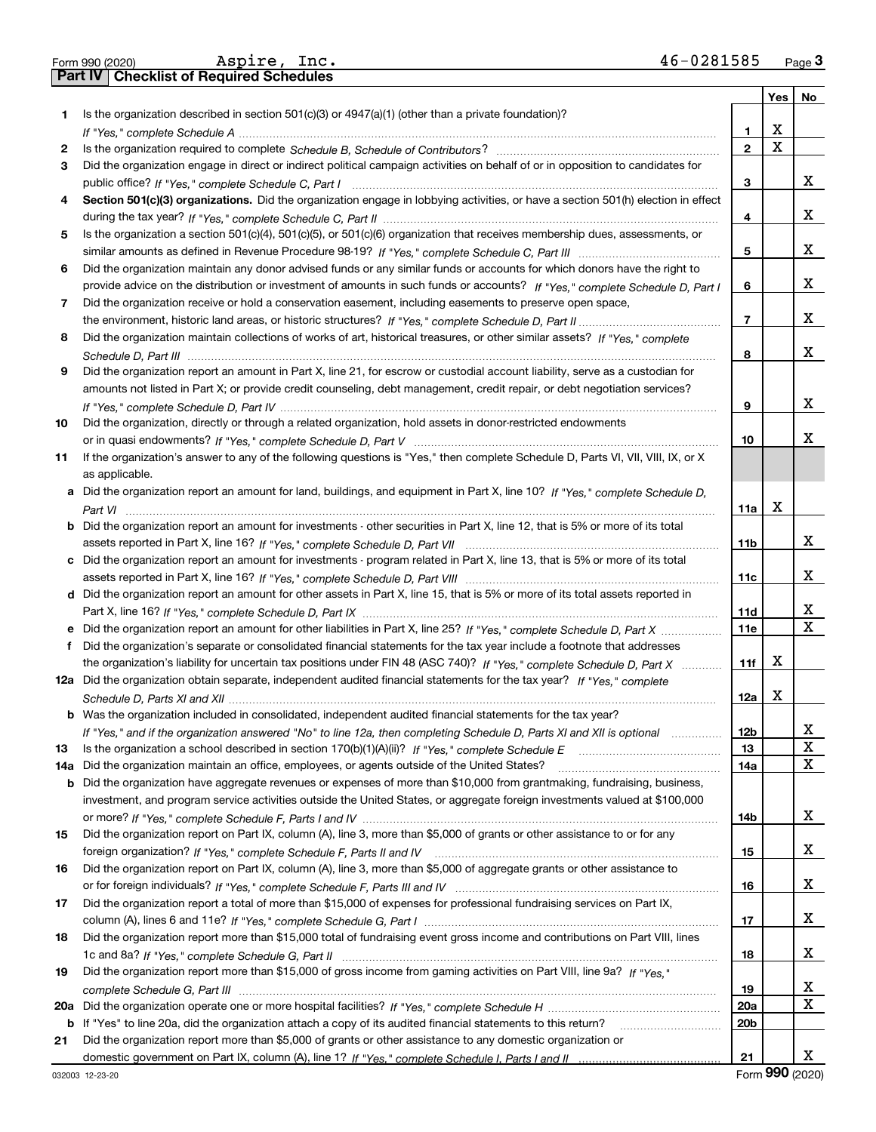|     | 46-0281585<br>Aspire, Inc.<br>Form 990 (2020)                                                                                                                                                                                 |                         |                         | $Page$ <sup>3</sup> |
|-----|-------------------------------------------------------------------------------------------------------------------------------------------------------------------------------------------------------------------------------|-------------------------|-------------------------|---------------------|
|     | <b>Part IV   Checklist of Required Schedules</b>                                                                                                                                                                              |                         |                         |                     |
|     |                                                                                                                                                                                                                               |                         | Yes                     | No                  |
| 1.  | Is the organization described in section $501(c)(3)$ or $4947(a)(1)$ (other than a private foundation)?                                                                                                                       |                         |                         |                     |
|     |                                                                                                                                                                                                                               | $\mathbf{1}$            | X                       |                     |
| 2   |                                                                                                                                                                                                                               | $\overline{\mathbf{2}}$ | $\overline{\mathbf{x}}$ |                     |
| З   | Did the organization engage in direct or indirect political campaign activities on behalf of or in opposition to candidates for                                                                                               |                         |                         |                     |
|     |                                                                                                                                                                                                                               | 3                       |                         | x                   |
| 4   | Section 501(c)(3) organizations. Did the organization engage in lobbying activities, or have a section 501(h) election in effect                                                                                              |                         |                         |                     |
|     |                                                                                                                                                                                                                               | 4                       |                         | x                   |
| 5   | Is the organization a section 501(c)(4), 501(c)(5), or 501(c)(6) organization that receives membership dues, assessments, or                                                                                                  |                         |                         |                     |
|     |                                                                                                                                                                                                                               | 5                       |                         | x                   |
| 6   | Did the organization maintain any donor advised funds or any similar funds or accounts for which donors have the right to                                                                                                     |                         |                         |                     |
|     | provide advice on the distribution or investment of amounts in such funds or accounts? If "Yes," complete Schedule D, Part I                                                                                                  | 6                       |                         | x                   |
| 7   | Did the organization receive or hold a conservation easement, including easements to preserve open space,                                                                                                                     |                         |                         |                     |
|     |                                                                                                                                                                                                                               | $\overline{7}$          |                         | x                   |
| 8   | Did the organization maintain collections of works of art, historical treasures, or other similar assets? If "Yes," complete                                                                                                  |                         |                         |                     |
|     |                                                                                                                                                                                                                               | 8                       |                         | x                   |
| 9   | Did the organization report an amount in Part X, line 21, for escrow or custodial account liability, serve as a custodian for                                                                                                 |                         |                         |                     |
|     | amounts not listed in Part X; or provide credit counseling, debt management, credit repair, or debt negotiation services?                                                                                                     |                         |                         |                     |
|     |                                                                                                                                                                                                                               | 9                       |                         | x                   |
| 10  | Did the organization, directly or through a related organization, hold assets in donor-restricted endowments                                                                                                                  |                         |                         |                     |
|     |                                                                                                                                                                                                                               | 10                      |                         | x                   |
| 11  | If the organization's answer to any of the following questions is "Yes," then complete Schedule D, Parts VI, VII, VIII, IX, or X                                                                                              |                         |                         |                     |
|     | as applicable.                                                                                                                                                                                                                |                         |                         |                     |
|     | a Did the organization report an amount for land, buildings, and equipment in Part X, line 10? If "Yes," complete Schedule D,                                                                                                 |                         |                         |                     |
|     |                                                                                                                                                                                                                               | 11a                     | X                       |                     |
|     | <b>b</b> Did the organization report an amount for investments - other securities in Part X, line 12, that is 5% or more of its total                                                                                         |                         |                         |                     |
|     |                                                                                                                                                                                                                               | 11 <sub>b</sub>         |                         | x                   |
|     | c Did the organization report an amount for investments - program related in Part X, line 13, that is 5% or more of its total                                                                                                 |                         |                         |                     |
|     |                                                                                                                                                                                                                               | 11c                     |                         | x                   |
|     | d Did the organization report an amount for other assets in Part X, line 15, that is 5% or more of its total assets reported in                                                                                               |                         |                         |                     |
|     |                                                                                                                                                                                                                               | 11d                     |                         | x                   |
|     | e Did the organization report an amount for other liabilities in Part X, line 25? If "Yes," complete Schedule D, Part X                                                                                                       | 11e                     |                         | $\mathbf X$         |
|     | f Did the organization's separate or consolidated financial statements for the tax year include a footnote that addresses                                                                                                     |                         |                         |                     |
|     | the organization's liability for uncertain tax positions under FIN 48 (ASC 740)? If "Yes," complete Schedule D, Part X                                                                                                        | 11f                     | Х                       |                     |
|     | 12a Did the organization obtain separate, independent audited financial statements for the tax year? If "Yes." complete                                                                                                       |                         |                         |                     |
|     |                                                                                                                                                                                                                               | 12a                     | X                       |                     |
|     | <b>b</b> Was the organization included in consolidated, independent audited financial statements for the tax year?                                                                                                            |                         |                         |                     |
|     | If "Yes," and if the organization answered "No" to line 12a, then completing Schedule D, Parts XI and XII is optional                                                                                                         | 12 <sub>b</sub>         |                         | х                   |
| 13  |                                                                                                                                                                                                                               | 13                      |                         | $\mathbf x$         |
| 14a | Did the organization maintain an office, employees, or agents outside of the United States?                                                                                                                                   | 14a                     |                         | X                   |
|     | <b>b</b> Did the organization have aggregate revenues or expenses of more than \$10,000 from grantmaking, fundraising, business,                                                                                              |                         |                         |                     |
|     | investment, and program service activities outside the United States, or aggregate foreign investments valued at \$100,000                                                                                                    |                         |                         |                     |
|     |                                                                                                                                                                                                                               | 14b                     |                         | x                   |
| 15  | Did the organization report on Part IX, column (A), line 3, more than \$5,000 of grants or other assistance to or for any                                                                                                     |                         |                         |                     |
|     |                                                                                                                                                                                                                               | 15                      |                         | X                   |
| 16  | Did the organization report on Part IX, column (A), line 3, more than \$5,000 of aggregate grants or other assistance to                                                                                                      |                         |                         | X                   |
|     |                                                                                                                                                                                                                               | 16                      |                         |                     |
| 17  | Did the organization report a total of more than \$15,000 of expenses for professional fundraising services on Part IX,                                                                                                       |                         |                         | X                   |
|     |                                                                                                                                                                                                                               | 17                      |                         |                     |
| 18  | Did the organization report more than \$15,000 total of fundraising event gross income and contributions on Part VIII, lines                                                                                                  |                         |                         | X                   |
|     |                                                                                                                                                                                                                               | 18                      |                         |                     |
| 19  | Did the organization report more than \$15,000 of gross income from gaming activities on Part VIII, line 9a? If "Yes."                                                                                                        |                         |                         | x                   |
|     |                                                                                                                                                                                                                               | 19<br>20a               |                         | X                   |
|     |                                                                                                                                                                                                                               | 20 <sub>b</sub>         |                         |                     |
|     | b If "Yes" to line 20a, did the organization attach a copy of its audited financial statements to this return?<br>Did the organization report more than \$5,000 of grants or other assistance to any domestic organization or |                         |                         |                     |
| 21  |                                                                                                                                                                                                                               | 21                      |                         | X                   |
|     |                                                                                                                                                                                                                               |                         |                         |                     |

Form (2020) **990**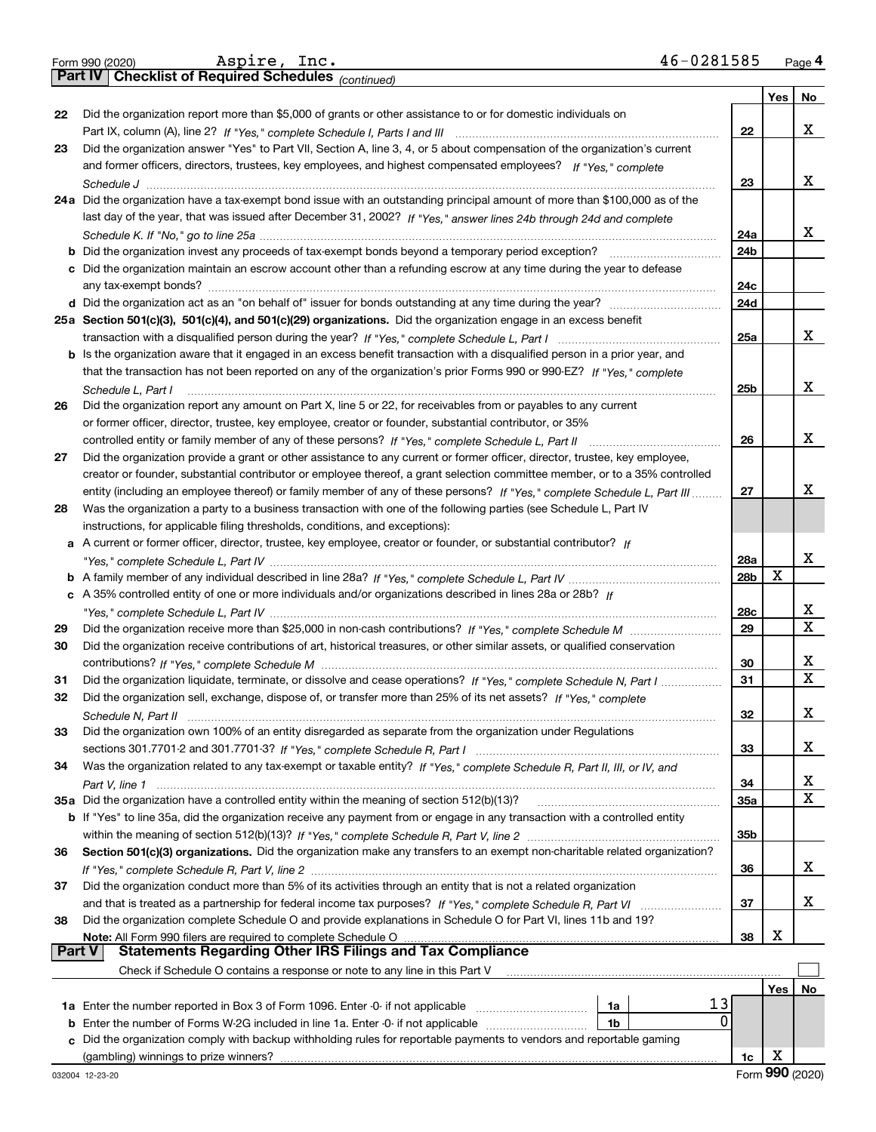|  | Form 990 (2020) |  |
|--|-----------------|--|
|  |                 |  |

Form 990 (2020) Page **4Part IV Checklist of Required Schedules** Aspire, Inc. 46-0281585

*(continued)*

|    |                                                                                                                                       |            | Yes | No          |
|----|---------------------------------------------------------------------------------------------------------------------------------------|------------|-----|-------------|
| 22 | Did the organization report more than \$5,000 of grants or other assistance to or for domestic individuals on                         |            |     |             |
|    |                                                                                                                                       | 22         |     | X           |
| 23 | Did the organization answer "Yes" to Part VII, Section A, line 3, 4, or 5 about compensation of the organization's current            |            |     |             |
|    | and former officers, directors, trustees, key employees, and highest compensated employees? If "Yes," complete                        | 23         |     | х           |
|    | 24a Did the organization have a tax-exempt bond issue with an outstanding principal amount of more than \$100,000 as of the           |            |     |             |
|    | last day of the year, that was issued after December 31, 2002? If "Yes," answer lines 24b through 24d and complete                    |            |     |             |
|    |                                                                                                                                       | 24a        |     | x           |
|    | <b>b</b> Did the organization invest any proceeds of tax-exempt bonds beyond a temporary period exception?                            | 24b        |     |             |
|    | c Did the organization maintain an escrow account other than a refunding escrow at any time during the year to defease                |            |     |             |
|    |                                                                                                                                       | 24c        |     |             |
|    |                                                                                                                                       | 24d        |     |             |
|    | 25a Section 501(c)(3), 501(c)(4), and 501(c)(29) organizations. Did the organization engage in an excess benefit                      |            |     |             |
|    |                                                                                                                                       | 25a        |     | х           |
|    | b Is the organization aware that it engaged in an excess benefit transaction with a disqualified person in a prior year, and          |            |     |             |
|    | that the transaction has not been reported on any of the organization's prior Forms 990 or 990-EZ? If "Yes," complete                 |            |     | х           |
|    | Schedule L, Part I<br>Did the organization report any amount on Part X, line 5 or 22, for receivables from or payables to any current | 25b        |     |             |
| 26 | or former officer, director, trustee, key employee, creator or founder, substantial contributor, or 35%                               |            |     |             |
|    |                                                                                                                                       | 26         |     | X           |
| 27 | Did the organization provide a grant or other assistance to any current or former officer, director, trustee, key employee,           |            |     |             |
|    | creator or founder, substantial contributor or employee thereof, a grant selection committee member, or to a 35% controlled           |            |     |             |
|    | entity (including an employee thereof) or family member of any of these persons? If "Yes," complete Schedule L, Part III              | 27         |     | х           |
| 28 | Was the organization a party to a business transaction with one of the following parties (see Schedule L, Part IV                     |            |     |             |
|    | instructions, for applicable filing thresholds, conditions, and exceptions):                                                          |            |     |             |
|    | a A current or former officer, director, trustee, key employee, creator or founder, or substantial contributor? If                    |            |     |             |
|    |                                                                                                                                       | 28a        |     | х           |
|    |                                                                                                                                       | 28b        | х   |             |
|    | c A 35% controlled entity of one or more individuals and/or organizations described in lines 28a or 28b? If                           |            |     | х           |
| 29 |                                                                                                                                       | 28c<br>29  |     | X           |
| 30 | Did the organization receive contributions of art, historical treasures, or other similar assets, or qualified conservation           |            |     |             |
|    |                                                                                                                                       | 30         |     | х           |
| 31 | Did the organization liquidate, terminate, or dissolve and cease operations? If "Yes," complete Schedule N, Part I                    | 31         |     | $\mathbf x$ |
| 32 | Did the organization sell, exchange, dispose of, or transfer more than 25% of its net assets? If "Yes," complete                      |            |     |             |
|    | Schedule N, Part II                                                                                                                   | 32         |     | X           |
| 33 | Did the organization own 100% of an entity disregarded as separate from the organization under Regulations                            |            |     |             |
|    |                                                                                                                                       | 33         |     | х           |
| 34 | Was the organization related to any tax-exempt or taxable entity? If "Yes," complete Schedule R, Part II, III, or IV, and             |            |     |             |
|    |                                                                                                                                       | 34         |     | х           |
|    | 35a Did the organization have a controlled entity within the meaning of section 512(b)(13)?                                           | <b>35a</b> |     | X           |
|    | b If "Yes" to line 35a, did the organization receive any payment from or engage in any transaction with a controlled entity           | 35b        |     |             |
| 36 | Section 501(c)(3) organizations. Did the organization make any transfers to an exempt non-charitable related organization?            |            |     |             |
|    |                                                                                                                                       | 36         |     | х           |
| 37 | Did the organization conduct more than 5% of its activities through an entity that is not a related organization                      |            |     |             |
|    |                                                                                                                                       | 37         |     | х           |
| 38 | Did the organization complete Schedule O and provide explanations in Schedule O for Part VI, lines 11b and 19?                        |            |     |             |
|    | Note: All Form 990 filers are required to complete Schedule O                                                                         | 38         | X   |             |
|    | <b>Statements Regarding Other IRS Filings and Tax Compliance</b><br><b>Part V</b>                                                     |            |     |             |
|    | Check if Schedule O contains a response or note to any line in this Part V                                                            |            |     |             |
|    | 13<br>1a                                                                                                                              |            | Yes | No          |
| b  | 0<br>Enter the number of Forms W-2G included in line 1a. Enter -0- if not applicable<br>1b                                            |            |     |             |
| с  | Did the organization comply with backup withholding rules for reportable payments to vendors and reportable gaming                    |            |     |             |
|    |                                                                                                                                       | 1c         | X   |             |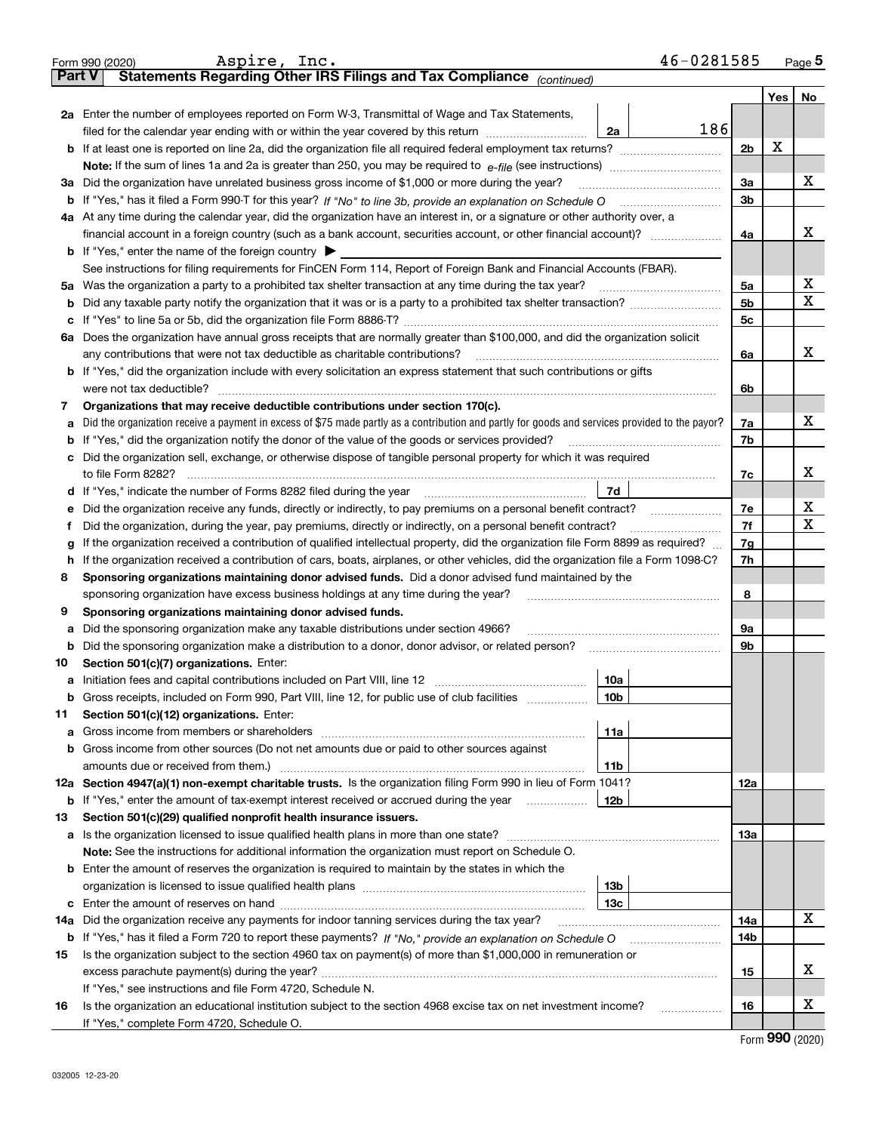|               | 46-0281585<br>Aspire, Inc.<br>Form 990 (2020)                                                                                                   |                |     | <u>Page</u> 5 |  |  |  |  |  |  |
|---------------|-------------------------------------------------------------------------------------------------------------------------------------------------|----------------|-----|---------------|--|--|--|--|--|--|
| <b>Part V</b> | Statements Regarding Other IRS Filings and Tax Compliance (continued)                                                                           |                |     |               |  |  |  |  |  |  |
|               |                                                                                                                                                 |                | Yes | No            |  |  |  |  |  |  |
|               | 2a Enter the number of employees reported on Form W-3, Transmittal of Wage and Tax Statements,                                                  |                |     |               |  |  |  |  |  |  |
|               | 186<br>filed for the calendar year ending with or within the year covered by this return<br>2a                                                  |                |     |               |  |  |  |  |  |  |
|               |                                                                                                                                                 |                |     |               |  |  |  |  |  |  |
|               |                                                                                                                                                 |                |     |               |  |  |  |  |  |  |
|               | 3a Did the organization have unrelated business gross income of \$1,000 or more during the year?                                                | 3a             |     | х             |  |  |  |  |  |  |
|               |                                                                                                                                                 | 3b             |     |               |  |  |  |  |  |  |
|               | 4a At any time during the calendar year, did the organization have an interest in, or a signature or other authority over, a                    |                |     |               |  |  |  |  |  |  |
|               |                                                                                                                                                 | 4a             |     | х             |  |  |  |  |  |  |
|               | <b>b</b> If "Yes," enter the name of the foreign country                                                                                        |                |     |               |  |  |  |  |  |  |
|               | See instructions for filing requirements for FinCEN Form 114, Report of Foreign Bank and Financial Accounts (FBAR).                             |                |     |               |  |  |  |  |  |  |
|               | 5a Was the organization a party to a prohibited tax shelter transaction at any time during the tax year?                                        | 5a             |     | х             |  |  |  |  |  |  |
|               |                                                                                                                                                 | 5b             |     | х             |  |  |  |  |  |  |
|               |                                                                                                                                                 | 5c             |     |               |  |  |  |  |  |  |
|               | 6a Does the organization have annual gross receipts that are normally greater than \$100,000, and did the organization solicit                  |                |     |               |  |  |  |  |  |  |
|               | any contributions that were not tax deductible as charitable contributions?                                                                     | 6a             |     | х             |  |  |  |  |  |  |
|               | <b>b</b> If "Yes," did the organization include with every solicitation an express statement that such contributions or gifts                   |                |     |               |  |  |  |  |  |  |
|               | were not tax deductible?                                                                                                                        | 6b             |     |               |  |  |  |  |  |  |
| 7             | Organizations that may receive deductible contributions under section 170(c).                                                                   |                |     |               |  |  |  |  |  |  |
| a             | Did the organization receive a payment in excess of \$75 made partly as a contribution and partly for goods and services provided to the payor? | 7a             |     | x             |  |  |  |  |  |  |
|               | <b>b</b> If "Yes," did the organization notify the donor of the value of the goods or services provided?                                        | 7b             |     |               |  |  |  |  |  |  |
|               | c Did the organization sell, exchange, or otherwise dispose of tangible personal property for which it was required                             |                |     |               |  |  |  |  |  |  |
|               |                                                                                                                                                 | 7с             |     | х             |  |  |  |  |  |  |
|               | 7d<br>d If "Yes," indicate the number of Forms 8282 filed during the year manufactured in the numerous state.                                   |                |     |               |  |  |  |  |  |  |
| е             | Did the organization receive any funds, directly or indirectly, to pay premiums on a personal benefit contract?                                 | 7e             |     | х             |  |  |  |  |  |  |
| f             | Did the organization, during the year, pay premiums, directly or indirectly, on a personal benefit contract?                                    | 7f             |     | x             |  |  |  |  |  |  |
| g             | If the organization received a contribution of qualified intellectual property, did the organization file Form 8899 as required?                | 7g             |     |               |  |  |  |  |  |  |
| h             | If the organization received a contribution of cars, boats, airplanes, or other vehicles, did the organization file a Form 1098-C?              | 7h             |     |               |  |  |  |  |  |  |
| 8             | Sponsoring organizations maintaining donor advised funds. Did a donor advised fund maintained by the                                            |                |     |               |  |  |  |  |  |  |
|               | sponsoring organization have excess business holdings at any time during the year?                                                              | 8              |     |               |  |  |  |  |  |  |
| 9             | Sponsoring organizations maintaining donor advised funds.                                                                                       |                |     |               |  |  |  |  |  |  |
| а             | Did the sponsoring organization make any taxable distributions under section 4966?                                                              | 9а             |     |               |  |  |  |  |  |  |
|               |                                                                                                                                                 | 9 <sub>b</sub> |     |               |  |  |  |  |  |  |
| 10            | Section 501(c)(7) organizations. Enter:                                                                                                         |                |     |               |  |  |  |  |  |  |
|               | 10a                                                                                                                                             |                |     |               |  |  |  |  |  |  |
|               | 10b <br>Gross receipts, included on Form 990, Part VIII, line 12, for public use of club facilities                                             |                |     |               |  |  |  |  |  |  |
| 11            | Section 501(c)(12) organizations. Enter:                                                                                                        |                |     |               |  |  |  |  |  |  |
| a             | 11a                                                                                                                                             |                |     |               |  |  |  |  |  |  |
|               | b Gross income from other sources (Do not net amounts due or paid to other sources against                                                      |                |     |               |  |  |  |  |  |  |
|               | 11b                                                                                                                                             |                |     |               |  |  |  |  |  |  |
|               | 12a Section 4947(a)(1) non-exempt charitable trusts. Is the organization filing Form 990 in lieu of Form 1041?                                  | 12a            |     |               |  |  |  |  |  |  |
|               | 12b<br><b>b</b> If "Yes," enter the amount of tax-exempt interest received or accrued during the year                                           |                |     |               |  |  |  |  |  |  |
| 13            | Section 501(c)(29) qualified nonprofit health insurance issuers.                                                                                |                |     |               |  |  |  |  |  |  |
|               | <b>a</b> Is the organization licensed to issue qualified health plans in more than one state?                                                   | 13a            |     |               |  |  |  |  |  |  |
|               | Note: See the instructions for additional information the organization must report on Schedule O.                                               |                |     |               |  |  |  |  |  |  |
|               | <b>b</b> Enter the amount of reserves the organization is required to maintain by the states in which the<br>13b                                |                |     |               |  |  |  |  |  |  |
|               | 13с                                                                                                                                             |                |     |               |  |  |  |  |  |  |
|               | Did the organization receive any payments for indoor tanning services during the tax year?                                                      | 14a            |     | x             |  |  |  |  |  |  |
| 14a           | b If "Yes," has it filed a Form 720 to report these payments? If "No," provide an explanation on Schedule O                                     | 14b            |     |               |  |  |  |  |  |  |
| 15            | Is the organization subject to the section 4960 tax on payment(s) of more than \$1,000,000 in remuneration or                                   |                |     |               |  |  |  |  |  |  |
|               |                                                                                                                                                 | 15             |     | х             |  |  |  |  |  |  |
|               | If "Yes," see instructions and file Form 4720, Schedule N.                                                                                      |                |     |               |  |  |  |  |  |  |
| 16            | Is the organization an educational institution subject to the section 4968 excise tax on net investment income?                                 | 16             |     | х             |  |  |  |  |  |  |
|               | If "Yes," complete Form 4720, Schedule O.                                                                                                       |                |     |               |  |  |  |  |  |  |
|               |                                                                                                                                                 |                |     |               |  |  |  |  |  |  |

Form (2020) **990**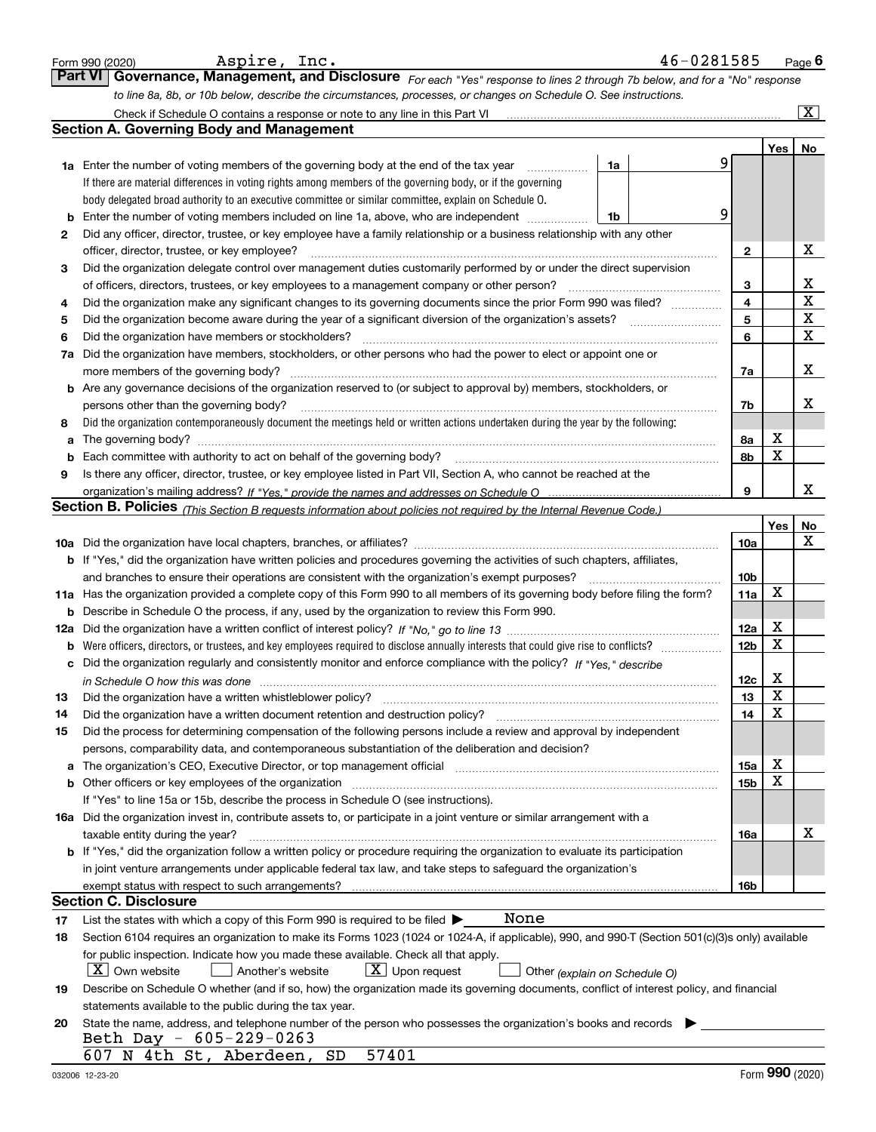|    | 46-0281585<br>Aspire, Inc.<br>Form 990 (2020)                                                                                                                                                                   |                 |     | Page $6$              |
|----|-----------------------------------------------------------------------------------------------------------------------------------------------------------------------------------------------------------------|-----------------|-----|-----------------------|
|    | Governance, Management, and Disclosure For each "Yes" response to lines 2 through 7b below, and for a "No" response<br><b>Part VI</b>                                                                           |                 |     |                       |
|    | to line 8a, 8b, or 10b below, describe the circumstances, processes, or changes on Schedule O. See instructions.                                                                                                |                 |     |                       |
|    |                                                                                                                                                                                                                 |                 |     | $\overline{\text{X}}$ |
|    | <b>Section A. Governing Body and Management</b>                                                                                                                                                                 |                 |     |                       |
|    |                                                                                                                                                                                                                 |                 | Yes | No                    |
|    | <b>1a</b> Enter the number of voting members of the governing body at the end of the tax year<br>1a<br>.                                                                                                        | 9               |     |                       |
|    | If there are material differences in voting rights among members of the governing body, or if the governing                                                                                                     |                 |     |                       |
|    | body delegated broad authority to an executive committee or similar committee, explain on Schedule O.                                                                                                           |                 |     |                       |
| b  | Enter the number of voting members included on line 1a, above, who are independent<br>1b                                                                                                                        | 9               |     |                       |
| 2  | Did any officer, director, trustee, or key employee have a family relationship or a business relationship with any other                                                                                        |                 |     |                       |
|    | officer, director, trustee, or key employee?                                                                                                                                                                    | 2               |     | Х                     |
| З  | Did the organization delegate control over management duties customarily performed by or under the direct supervision                                                                                           |                 |     | х                     |
| 4  | of officers, directors, trustees, or key employees to a management company or other person?<br>Did the organization make any significant changes to its governing documents since the prior Form 990 was filed? | 3<br>4          |     | $\mathbf X$           |
| 5  | Did the organization become aware during the year of a significant diversion of the organization's assets?                                                                                                      | 5               |     | X                     |
| 6  | Did the organization have members or stockholders?                                                                                                                                                              | 6               |     | $\mathbf X$           |
| 7a | Did the organization have members, stockholders, or other persons who had the power to elect or appoint one or                                                                                                  |                 |     |                       |
|    | more members of the governing body?                                                                                                                                                                             | 7a              |     | х                     |
|    | <b>b</b> Are any governance decisions of the organization reserved to (or subject to approval by) members, stockholders, or                                                                                     |                 |     |                       |
|    | persons other than the governing body?                                                                                                                                                                          | 7b              |     | х                     |
| 8  | Did the organization contemporaneously document the meetings held or written actions undertaken during the year by the following:                                                                               |                 |     |                       |
| a  | The governing body?                                                                                                                                                                                             | 8а              | X   |                       |
| b  | Each committee with authority to act on behalf of the governing body?                                                                                                                                           | 8b              | X   |                       |
| 9  | Is there any officer, director, trustee, or key employee listed in Part VII, Section A, who cannot be reached at the                                                                                            |                 |     |                       |
|    |                                                                                                                                                                                                                 | 9               |     | x                     |
|    | Section B. Policies <sub>(This Section B requests information about policies not required by the Internal Revenue Code.)</sub>                                                                                  |                 |     |                       |
|    |                                                                                                                                                                                                                 |                 | Yes | No                    |
|    |                                                                                                                                                                                                                 | 10a             |     | х                     |
|    | <b>b</b> If "Yes," did the organization have written policies and procedures governing the activities of such chapters, affiliates,                                                                             |                 |     |                       |
|    | and branches to ensure their operations are consistent with the organization's exempt purposes?                                                                                                                 | 10b             | X   |                       |
|    | 11a Has the organization provided a complete copy of this Form 990 to all members of its governing body before filing the form?                                                                                 | 11a             |     |                       |
|    | <b>b</b> Describe in Schedule O the process, if any, used by the organization to review this Form 990.                                                                                                          | 12a             | X   |                       |
|    |                                                                                                                                                                                                                 | 12 <sub>b</sub> | X   |                       |
|    | c Did the organization regularly and consistently monitor and enforce compliance with the policy? If "Yes," describe                                                                                            |                 |     |                       |
|    | in Schedule O how this was done manufactured and contain an according to the state of the state of the state o                                                                                                  | 12c             | X   |                       |
| 13 | Did the organization have a written whistleblower policy?                                                                                                                                                       | 13              | Y   |                       |
| 14 | Did the organization have a written document retention and destruction policy?                                                                                                                                  | 14              | X   |                       |
| 15 | Did the process for determining compensation of the following persons include a review and approval by independent                                                                                              |                 |     |                       |
|    | persons, comparability data, and contemporaneous substantiation of the deliberation and decision?                                                                                                               |                 |     |                       |
| а  | The organization's CEO, Executive Director, or top management official manufactured content of the organization's CEO, Executive Director, or top management official                                           | 15a             | X   |                       |
|    |                                                                                                                                                                                                                 | 15b             | X   |                       |
|    | If "Yes" to line 15a or 15b, describe the process in Schedule O (see instructions).                                                                                                                             |                 |     |                       |
|    | 16a Did the organization invest in, contribute assets to, or participate in a joint venture or similar arrangement with a                                                                                       |                 |     |                       |
|    | taxable entity during the year?                                                                                                                                                                                 | 16a             |     | х                     |
|    | <b>b</b> If "Yes," did the organization follow a written policy or procedure requiring the organization to evaluate its participation                                                                           |                 |     |                       |
|    | in joint venture arrangements under applicable federal tax law, and take steps to safeguard the organization's                                                                                                  |                 |     |                       |
|    | <b>Section C. Disclosure</b>                                                                                                                                                                                    | 16b             |     |                       |
| 17 | None<br>List the states with which a copy of this Form 990 is required to be filed $\blacktriangleright$                                                                                                        |                 |     |                       |
| 18 | Section 6104 requires an organization to make its Forms 1023 (1024 or 1024-A, if applicable), 990, and 990-T (Section 501(c)(3)s only) available                                                                |                 |     |                       |
|    | for public inspection. Indicate how you made these available. Check all that apply.                                                                                                                             |                 |     |                       |
|    | X   Own website<br>$\lfloor x \rfloor$ Upon request<br>Another's website<br>Other (explain on Schedule O)                                                                                                       |                 |     |                       |
| 19 | Describe on Schedule O whether (and if so, how) the organization made its governing documents, conflict of interest policy, and financial                                                                       |                 |     |                       |
|    | statements available to the public during the tax year.                                                                                                                                                         |                 |     |                       |
| 20 | State the name, address, and telephone number of the person who possesses the organization's books and records                                                                                                  |                 |     |                       |
|    | Beth Day - 605-229-0263                                                                                                                                                                                         |                 |     |                       |
|    | 57401<br>607 N 4th St, Aberdeen,<br>SD                                                                                                                                                                          |                 |     |                       |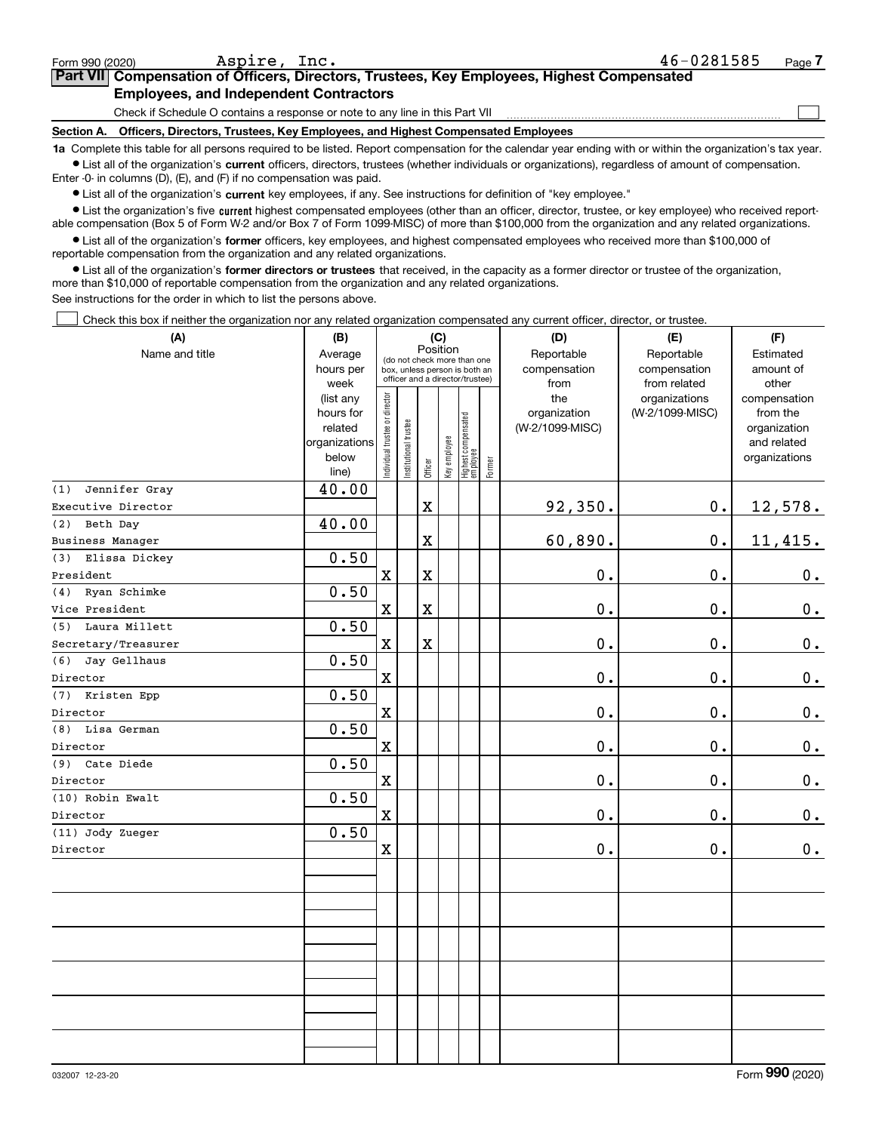| Form 990 (2020)                                                              | Aspire, Inc.                                                                                                                                              | 46-0281585 | Page - |  |  |  |  |  |  |
|------------------------------------------------------------------------------|-----------------------------------------------------------------------------------------------------------------------------------------------------------|------------|--------|--|--|--|--|--|--|
|                                                                              | Part VII Compensation of Officers, Directors, Trustees, Key Employees, Highest Compensated                                                                |            |        |  |  |  |  |  |  |
| <b>Employees, and Independent Contractors</b>                                |                                                                                                                                                           |            |        |  |  |  |  |  |  |
| Check if Schedule O contains a response or note to any line in this Part VII |                                                                                                                                                           |            |        |  |  |  |  |  |  |
| <b>Section A.</b>                                                            | Officers, Directors, Trustees, Key Employees, and Highest Compensated Employees                                                                           |            |        |  |  |  |  |  |  |
|                                                                              | to Complete this tople for all persons required to be listed. Benef compensation for the colondary vear ending with ar within the examination's toy year. |            |        |  |  |  |  |  |  |

**1a •** List all of the organization's current officers, directors, trustees (whether individuals or organizations), regardless of amount of compensation. tte this table for all persons required to be listed. Report compensation for the calendar year ending with or within the organization's tax year.

Enter -0- in columns (D), (E), and (F) if no compensation was paid.

 $\bullet$  List all of the organization's  $\,$ current key employees, if any. See instructions for definition of "key employee."

**•** List the organization's five current highest compensated employees (other than an officer, director, trustee, or key employee) who received reportable compensation (Box 5 of Form W-2 and/or Box 7 of Form 1099-MISC) of more than \$100,000 from the organization and any related organizations.

**•** List all of the organization's former officers, key employees, and highest compensated employees who received more than \$100,000 of reportable compensation from the organization and any related organizations.

**former directors or trustees**  ¥ List all of the organization's that received, in the capacity as a former director or trustee of the organization, more than \$10,000 of reportable compensation from the organization and any related organizations.

See instructions for the order in which to list the persons above.

Check this box if neither the organization nor any related organization compensated any current officer, director, or trustee.  $\mathcal{L}^{\text{max}}$ 

| (A)                     | (B)               |                                         |                                                                  |             | (C)          |                                  |              | (D)             | (E)                           | (F)                   |
|-------------------------|-------------------|-----------------------------------------|------------------------------------------------------------------|-------------|--------------|----------------------------------|--------------|-----------------|-------------------------------|-----------------------|
| Name and title          | Average           | Position<br>(do not check more than one |                                                                  | Reportable  | Reportable   | Estimated                        |              |                 |                               |                       |
|                         | hours per         |                                         | box, unless person is both an<br>officer and a director/trustee) |             |              | compensation                     | compensation | amount of       |                               |                       |
|                         | week<br>(list any |                                         |                                                                  |             |              |                                  |              | from<br>the     | from related<br>organizations | other<br>compensation |
|                         | hours for         |                                         |                                                                  |             |              |                                  |              | organization    | (W-2/1099-MISC)               | from the              |
|                         | related           |                                         |                                                                  |             |              |                                  |              | (W-2/1099-MISC) |                               | organization          |
|                         | organizations     |                                         |                                                                  |             |              |                                  |              |                 |                               | and related           |
|                         | below             | ndividual trustee or director           | Institutional trustee                                            | Officer     | Key employee | Highest compensated<br> employee | Former       |                 |                               | organizations         |
| Jennifer Gray           | line)             |                                         |                                                                  |             |              |                                  |              |                 |                               |                       |
| (1)                     | 40.00             |                                         |                                                                  |             |              |                                  |              |                 |                               |                       |
| Executive Director      |                   |                                         |                                                                  | $\mathbf X$ |              |                                  |              | 92,350.         | 0.                            | 12,578.               |
| Beth Day<br>(2)         | 40.00             |                                         |                                                                  |             |              |                                  |              |                 |                               |                       |
| <b>Business Manager</b> |                   |                                         |                                                                  | $\mathbf X$ |              |                                  |              | 60,890.         | 0.                            | 11,415.               |
| Elissa Dickey<br>(3)    | 0.50              |                                         |                                                                  |             |              |                                  |              |                 |                               |                       |
| President               |                   | $\mathbf X$                             |                                                                  | $\mathbf X$ |              |                                  |              | 0.              | 0.                            | 0.                    |
| Ryan Schimke<br>(4)     | 0.50              |                                         |                                                                  |             |              |                                  |              |                 |                               |                       |
| Vice President          |                   | $\mathbf X$                             |                                                                  | $\mathbf X$ |              |                                  |              | 0.              | 0.                            | 0.                    |
| (5) Laura Millett       | 0.50              |                                         |                                                                  |             |              |                                  |              |                 |                               |                       |
| Secretary/Treasurer     |                   | $\mathbf X$                             |                                                                  | $\mathbf X$ |              |                                  |              | 0.              | 0.                            | $0_{.}$               |
| Jay Gellhaus<br>(6)     | 0.50              |                                         |                                                                  |             |              |                                  |              |                 |                               |                       |
| Director                |                   | $\mathbf X$                             |                                                                  |             |              |                                  |              | 0.              | 0.                            | 0.                    |
| (7) Kristen Epp         | 0.50              |                                         |                                                                  |             |              |                                  |              |                 |                               |                       |
| Director                |                   | $\mathbf x$                             |                                                                  |             |              |                                  |              | 0.              | 0.                            | 0.                    |
| (8) Lisa German         | 0.50              |                                         |                                                                  |             |              |                                  |              |                 |                               |                       |
| Director                |                   | $\rm X$                                 |                                                                  |             |              |                                  |              | 0.              | 0.                            | 0.                    |
| (9) Cate Diede          | 0.50              |                                         |                                                                  |             |              |                                  |              |                 |                               |                       |
| Director                |                   | $\mathbf X$                             |                                                                  |             |              |                                  |              | 0.              | 0.                            | 0.                    |
| (10) Robin Ewalt        | 0.50              |                                         |                                                                  |             |              |                                  |              |                 |                               |                       |
| Director                |                   | $\mathbf X$                             |                                                                  |             |              |                                  |              | 0.              | 0.                            | 0.                    |
| (11) Jody Zueger        | 0.50              |                                         |                                                                  |             |              |                                  |              |                 |                               |                       |
| Director                |                   | $\mathbf x$                             |                                                                  |             |              |                                  |              | 0.              | 0.                            | 0.                    |
|                         |                   |                                         |                                                                  |             |              |                                  |              |                 |                               |                       |
|                         |                   |                                         |                                                                  |             |              |                                  |              |                 |                               |                       |
|                         |                   |                                         |                                                                  |             |              |                                  |              |                 |                               |                       |
|                         |                   |                                         |                                                                  |             |              |                                  |              |                 |                               |                       |
|                         |                   |                                         |                                                                  |             |              |                                  |              |                 |                               |                       |
|                         |                   |                                         |                                                                  |             |              |                                  |              |                 |                               |                       |
|                         |                   |                                         |                                                                  |             |              |                                  |              |                 |                               |                       |
|                         |                   |                                         |                                                                  |             |              |                                  |              |                 |                               |                       |
|                         |                   |                                         |                                                                  |             |              |                                  |              |                 |                               |                       |
|                         |                   |                                         |                                                                  |             |              |                                  |              |                 |                               |                       |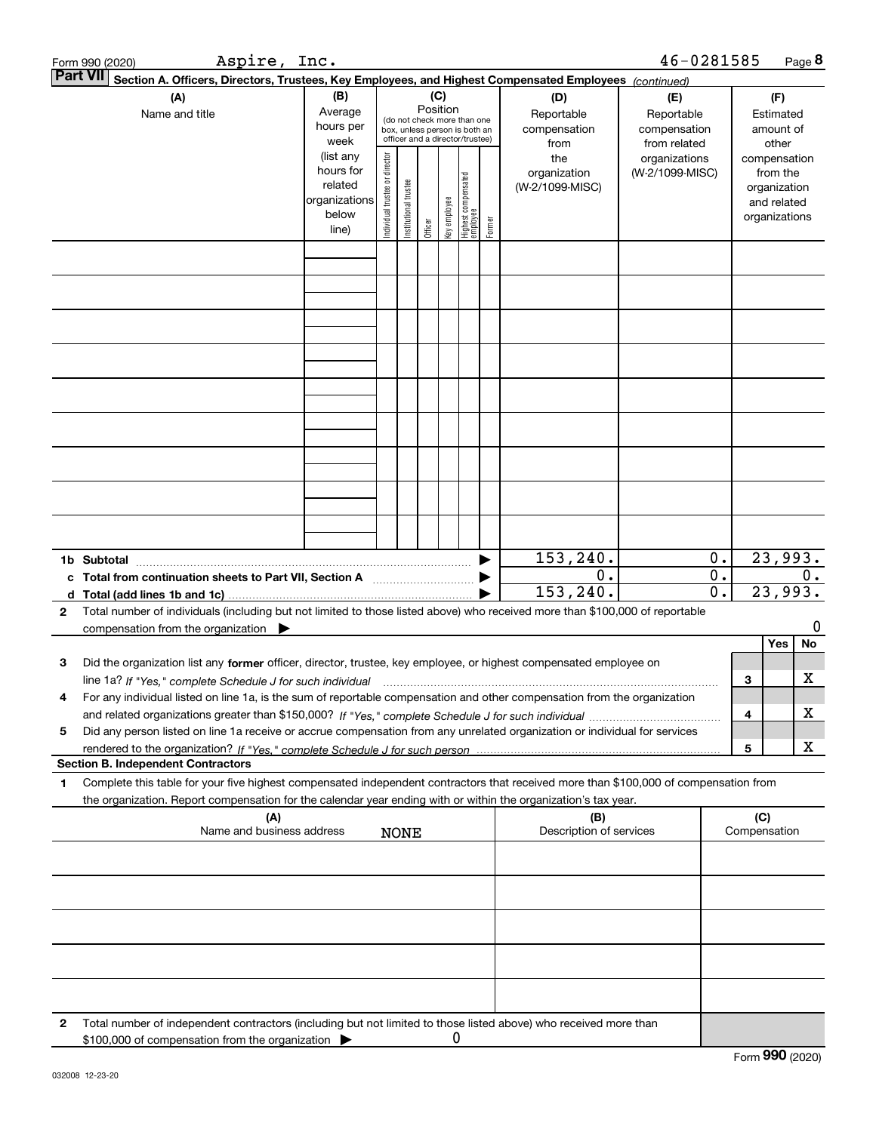| <b>Part VII</b><br>Section A. Officers, Directors, Trustees, Key Employees, and Highest Compensated Employees (continued)<br>(B)<br>(C)<br>(A)<br>(D)<br>(E)<br>(F)<br>Position<br>Average<br>Name and title<br>Reportable<br>Reportable<br>Estimated<br>(do not check more than one<br>hours per<br>compensation<br>compensation<br>amount of<br>box, unless person is both an<br>officer and a director/trustee)<br>week<br>from related<br>from<br>other<br>(list any<br>Individual trustee or director<br>the<br>organizations<br>compensation<br>hours for<br>organization<br>(W-2/1099-MISC)<br>from the<br>Highest compensated<br>employee<br>Institutional trustee<br>related<br>(W-2/1099-MISC)<br>organization<br>organizations<br>Key employee<br>and related<br>below<br>organizations<br>Former<br>Officer<br>line)<br>153, 240.<br>23,993.<br>0.<br>1b Subtotal<br>0.<br>0.<br>c Total from continuation sheets to Part VII, Section A [111] [120] [20]<br>23,993.<br>153, 240.<br>0.<br>Total number of individuals (including but not limited to those listed above) who received more than \$100,000 of reportable<br>$\mathbf{2}$<br>compensation from the organization $\blacktriangleright$<br>Yes<br>Did the organization list any former officer, director, trustee, key employee, or highest compensated employee on<br>3<br>з<br>For any individual listed on line 1a, is the sum of reportable compensation and other compensation from the organization<br>4<br>4<br>Did any person listed on line 1a receive or accrue compensation from any unrelated organization or individual for services<br>5<br>5<br><b>Section B. Independent Contractors</b><br>Complete this table for your five highest compensated independent contractors that received more than \$100,000 of compensation from<br>1<br>the organization. Report compensation for the calendar year ending with or within the organization's tax year.<br>(C)<br>(B)<br>(A)<br>Name and business address<br>Description of services<br>Compensation<br><b>NONE</b> | Aspire, Inc.<br>Form 990 (2020) |  |  |  |  |  |  |  |  | 46-0281585 |  |  |  | Page 8 |
|-------------------------------------------------------------------------------------------------------------------------------------------------------------------------------------------------------------------------------------------------------------------------------------------------------------------------------------------------------------------------------------------------------------------------------------------------------------------------------------------------------------------------------------------------------------------------------------------------------------------------------------------------------------------------------------------------------------------------------------------------------------------------------------------------------------------------------------------------------------------------------------------------------------------------------------------------------------------------------------------------------------------------------------------------------------------------------------------------------------------------------------------------------------------------------------------------------------------------------------------------------------------------------------------------------------------------------------------------------------------------------------------------------------------------------------------------------------------------------------------------------------------------------------------------------------------------------------------------------------------------------------------------------------------------------------------------------------------------------------------------------------------------------------------------------------------------------------------------------------------------------------------------------------------------------------------------------------------------------------------------------------------------------------------------------------|---------------------------------|--|--|--|--|--|--|--|--|------------|--|--|--|--------|
|                                                                                                                                                                                                                                                                                                                                                                                                                                                                                                                                                                                                                                                                                                                                                                                                                                                                                                                                                                                                                                                                                                                                                                                                                                                                                                                                                                                                                                                                                                                                                                                                                                                                                                                                                                                                                                                                                                                                                                                                                                                             |                                 |  |  |  |  |  |  |  |  |            |  |  |  |        |
|                                                                                                                                                                                                                                                                                                                                                                                                                                                                                                                                                                                                                                                                                                                                                                                                                                                                                                                                                                                                                                                                                                                                                                                                                                                                                                                                                                                                                                                                                                                                                                                                                                                                                                                                                                                                                                                                                                                                                                                                                                                             |                                 |  |  |  |  |  |  |  |  |            |  |  |  |        |
|                                                                                                                                                                                                                                                                                                                                                                                                                                                                                                                                                                                                                                                                                                                                                                                                                                                                                                                                                                                                                                                                                                                                                                                                                                                                                                                                                                                                                                                                                                                                                                                                                                                                                                                                                                                                                                                                                                                                                                                                                                                             |                                 |  |  |  |  |  |  |  |  |            |  |  |  |        |
|                                                                                                                                                                                                                                                                                                                                                                                                                                                                                                                                                                                                                                                                                                                                                                                                                                                                                                                                                                                                                                                                                                                                                                                                                                                                                                                                                                                                                                                                                                                                                                                                                                                                                                                                                                                                                                                                                                                                                                                                                                                             |                                 |  |  |  |  |  |  |  |  |            |  |  |  |        |
|                                                                                                                                                                                                                                                                                                                                                                                                                                                                                                                                                                                                                                                                                                                                                                                                                                                                                                                                                                                                                                                                                                                                                                                                                                                                                                                                                                                                                                                                                                                                                                                                                                                                                                                                                                                                                                                                                                                                                                                                                                                             |                                 |  |  |  |  |  |  |  |  |            |  |  |  |        |
|                                                                                                                                                                                                                                                                                                                                                                                                                                                                                                                                                                                                                                                                                                                                                                                                                                                                                                                                                                                                                                                                                                                                                                                                                                                                                                                                                                                                                                                                                                                                                                                                                                                                                                                                                                                                                                                                                                                                                                                                                                                             |                                 |  |  |  |  |  |  |  |  |            |  |  |  |        |
|                                                                                                                                                                                                                                                                                                                                                                                                                                                                                                                                                                                                                                                                                                                                                                                                                                                                                                                                                                                                                                                                                                                                                                                                                                                                                                                                                                                                                                                                                                                                                                                                                                                                                                                                                                                                                                                                                                                                                                                                                                                             |                                 |  |  |  |  |  |  |  |  |            |  |  |  |        |
|                                                                                                                                                                                                                                                                                                                                                                                                                                                                                                                                                                                                                                                                                                                                                                                                                                                                                                                                                                                                                                                                                                                                                                                                                                                                                                                                                                                                                                                                                                                                                                                                                                                                                                                                                                                                                                                                                                                                                                                                                                                             |                                 |  |  |  |  |  |  |  |  |            |  |  |  |        |
|                                                                                                                                                                                                                                                                                                                                                                                                                                                                                                                                                                                                                                                                                                                                                                                                                                                                                                                                                                                                                                                                                                                                                                                                                                                                                                                                                                                                                                                                                                                                                                                                                                                                                                                                                                                                                                                                                                                                                                                                                                                             |                                 |  |  |  |  |  |  |  |  |            |  |  |  |        |
|                                                                                                                                                                                                                                                                                                                                                                                                                                                                                                                                                                                                                                                                                                                                                                                                                                                                                                                                                                                                                                                                                                                                                                                                                                                                                                                                                                                                                                                                                                                                                                                                                                                                                                                                                                                                                                                                                                                                                                                                                                                             |                                 |  |  |  |  |  |  |  |  |            |  |  |  |        |
|                                                                                                                                                                                                                                                                                                                                                                                                                                                                                                                                                                                                                                                                                                                                                                                                                                                                                                                                                                                                                                                                                                                                                                                                                                                                                                                                                                                                                                                                                                                                                                                                                                                                                                                                                                                                                                                                                                                                                                                                                                                             |                                 |  |  |  |  |  |  |  |  |            |  |  |  |        |
|                                                                                                                                                                                                                                                                                                                                                                                                                                                                                                                                                                                                                                                                                                                                                                                                                                                                                                                                                                                                                                                                                                                                                                                                                                                                                                                                                                                                                                                                                                                                                                                                                                                                                                                                                                                                                                                                                                                                                                                                                                                             |                                 |  |  |  |  |  |  |  |  |            |  |  |  | $0$ .  |
|                                                                                                                                                                                                                                                                                                                                                                                                                                                                                                                                                                                                                                                                                                                                                                                                                                                                                                                                                                                                                                                                                                                                                                                                                                                                                                                                                                                                                                                                                                                                                                                                                                                                                                                                                                                                                                                                                                                                                                                                                                                             |                                 |  |  |  |  |  |  |  |  |            |  |  |  | 0      |
|                                                                                                                                                                                                                                                                                                                                                                                                                                                                                                                                                                                                                                                                                                                                                                                                                                                                                                                                                                                                                                                                                                                                                                                                                                                                                                                                                                                                                                                                                                                                                                                                                                                                                                                                                                                                                                                                                                                                                                                                                                                             |                                 |  |  |  |  |  |  |  |  |            |  |  |  | No     |
|                                                                                                                                                                                                                                                                                                                                                                                                                                                                                                                                                                                                                                                                                                                                                                                                                                                                                                                                                                                                                                                                                                                                                                                                                                                                                                                                                                                                                                                                                                                                                                                                                                                                                                                                                                                                                                                                                                                                                                                                                                                             |                                 |  |  |  |  |  |  |  |  |            |  |  |  | х      |
|                                                                                                                                                                                                                                                                                                                                                                                                                                                                                                                                                                                                                                                                                                                                                                                                                                                                                                                                                                                                                                                                                                                                                                                                                                                                                                                                                                                                                                                                                                                                                                                                                                                                                                                                                                                                                                                                                                                                                                                                                                                             |                                 |  |  |  |  |  |  |  |  |            |  |  |  | х      |
|                                                                                                                                                                                                                                                                                                                                                                                                                                                                                                                                                                                                                                                                                                                                                                                                                                                                                                                                                                                                                                                                                                                                                                                                                                                                                                                                                                                                                                                                                                                                                                                                                                                                                                                                                                                                                                                                                                                                                                                                                                                             |                                 |  |  |  |  |  |  |  |  |            |  |  |  |        |
|                                                                                                                                                                                                                                                                                                                                                                                                                                                                                                                                                                                                                                                                                                                                                                                                                                                                                                                                                                                                                                                                                                                                                                                                                                                                                                                                                                                                                                                                                                                                                                                                                                                                                                                                                                                                                                                                                                                                                                                                                                                             |                                 |  |  |  |  |  |  |  |  |            |  |  |  | х      |
|                                                                                                                                                                                                                                                                                                                                                                                                                                                                                                                                                                                                                                                                                                                                                                                                                                                                                                                                                                                                                                                                                                                                                                                                                                                                                                                                                                                                                                                                                                                                                                                                                                                                                                                                                                                                                                                                                                                                                                                                                                                             |                                 |  |  |  |  |  |  |  |  |            |  |  |  |        |
|                                                                                                                                                                                                                                                                                                                                                                                                                                                                                                                                                                                                                                                                                                                                                                                                                                                                                                                                                                                                                                                                                                                                                                                                                                                                                                                                                                                                                                                                                                                                                                                                                                                                                                                                                                                                                                                                                                                                                                                                                                                             |                                 |  |  |  |  |  |  |  |  |            |  |  |  |        |
|                                                                                                                                                                                                                                                                                                                                                                                                                                                                                                                                                                                                                                                                                                                                                                                                                                                                                                                                                                                                                                                                                                                                                                                                                                                                                                                                                                                                                                                                                                                                                                                                                                                                                                                                                                                                                                                                                                                                                                                                                                                             |                                 |  |  |  |  |  |  |  |  |            |  |  |  |        |
|                                                                                                                                                                                                                                                                                                                                                                                                                                                                                                                                                                                                                                                                                                                                                                                                                                                                                                                                                                                                                                                                                                                                                                                                                                                                                                                                                                                                                                                                                                                                                                                                                                                                                                                                                                                                                                                                                                                                                                                                                                                             |                                 |  |  |  |  |  |  |  |  |            |  |  |  |        |
|                                                                                                                                                                                                                                                                                                                                                                                                                                                                                                                                                                                                                                                                                                                                                                                                                                                                                                                                                                                                                                                                                                                                                                                                                                                                                                                                                                                                                                                                                                                                                                                                                                                                                                                                                                                                                                                                                                                                                                                                                                                             |                                 |  |  |  |  |  |  |  |  |            |  |  |  |        |
|                                                                                                                                                                                                                                                                                                                                                                                                                                                                                                                                                                                                                                                                                                                                                                                                                                                                                                                                                                                                                                                                                                                                                                                                                                                                                                                                                                                                                                                                                                                                                                                                                                                                                                                                                                                                                                                                                                                                                                                                                                                             |                                 |  |  |  |  |  |  |  |  |            |  |  |  |        |
| Total number of independent contractors (including but not limited to those listed above) who received more than<br>2<br>0<br>\$100,000 of compensation from the organization                                                                                                                                                                                                                                                                                                                                                                                                                                                                                                                                                                                                                                                                                                                                                                                                                                                                                                                                                                                                                                                                                                                                                                                                                                                                                                                                                                                                                                                                                                                                                                                                                                                                                                                                                                                                                                                                               |                                 |  |  |  |  |  |  |  |  |            |  |  |  |        |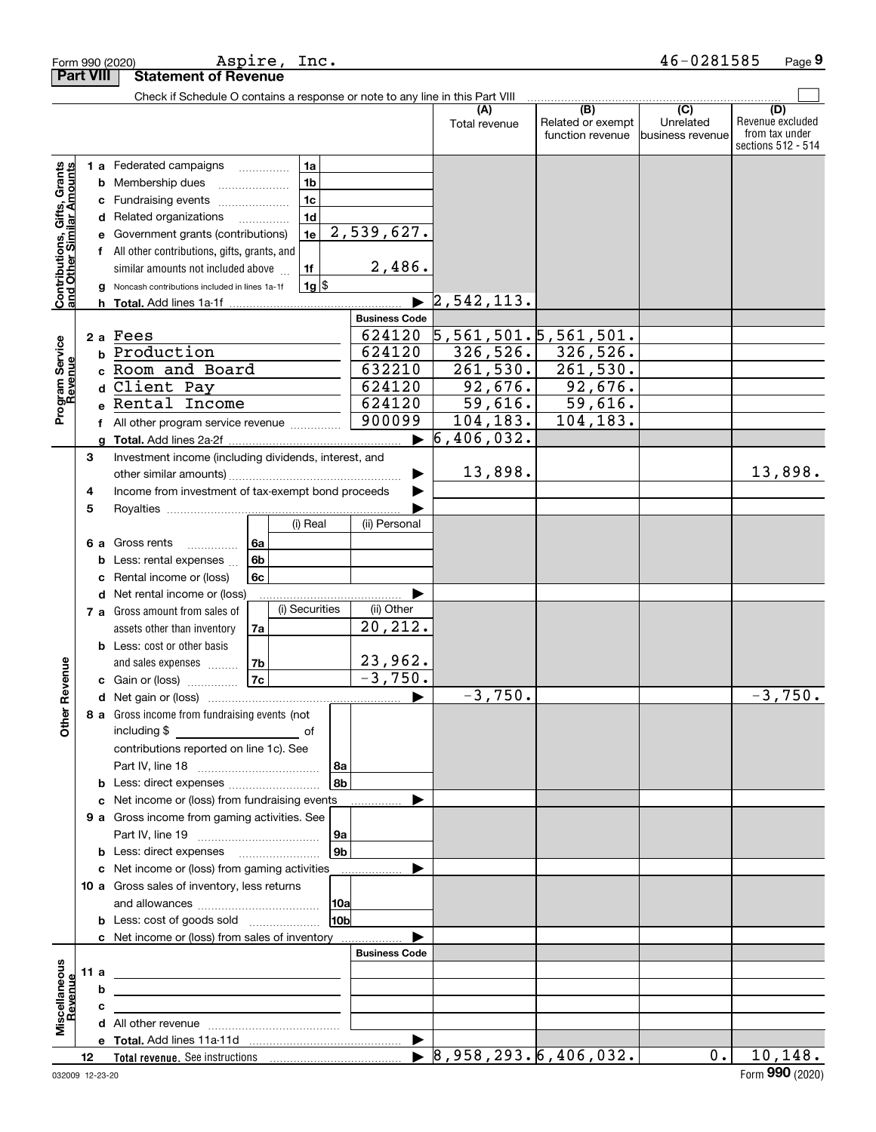|                                                           |                  |   | Form 990 (2020)                                                               | Aspire, Inc. |                 |                      |                                                       |                          | 46-0281585       | Page 9                  |
|-----------------------------------------------------------|------------------|---|-------------------------------------------------------------------------------|--------------|-----------------|----------------------|-------------------------------------------------------|--------------------------|------------------|-------------------------|
|                                                           | <b>Part VIII</b> |   | <b>Statement of Revenue</b>                                                   |              |                 |                      |                                                       |                          |                  |                         |
|                                                           |                  |   | Check if Schedule O contains a response or note to any line in this Part VIII |              |                 |                      |                                                       |                          |                  |                         |
|                                                           |                  |   |                                                                               |              |                 |                      | (A)<br>Total revenue                                  | (B)<br>Related or exempt | (C)<br>Unrelated | (D)<br>Revenue excluded |
|                                                           |                  |   |                                                                               |              |                 |                      |                                                       | function revenue         | business revenue | from tax under          |
|                                                           |                  |   |                                                                               |              |                 |                      |                                                       |                          |                  | sections 512 - 514      |
|                                                           |                  |   | 1 a Federated campaigns                                                       | .            | 1a              |                      |                                                       |                          |                  |                         |
|                                                           |                  |   | <b>b</b> Membership dues                                                      |              | 1 <sub>b</sub>  |                      |                                                       |                          |                  |                         |
|                                                           |                  |   | c Fundraising events                                                          |              | 1 <sub>c</sub>  |                      |                                                       |                          |                  |                         |
|                                                           |                  |   | d Related organizations                                                       |              | 1 <sub>d</sub>  |                      |                                                       |                          |                  |                         |
|                                                           |                  |   | e Government grants (contributions)                                           |              | 1e              | 2,539,627.           |                                                       |                          |                  |                         |
|                                                           |                  |   | f All other contributions, gifts, grants, and                                 |              |                 |                      |                                                       |                          |                  |                         |
|                                                           |                  |   | similar amounts not included above                                            |              | 1f              | 2,486.               |                                                       |                          |                  |                         |
| Contributions, Gifts, Grants<br>and Other Similar Amounts |                  |   | Noncash contributions included in lines 1a-1f                                 |              | $1g$ \$         |                      |                                                       |                          |                  |                         |
|                                                           |                  |   |                                                                               |              |                 |                      | 2,542,113.                                            |                          |                  |                         |
|                                                           |                  |   |                                                                               |              |                 | <b>Business Code</b> |                                                       |                          |                  |                         |
|                                                           |                  |   | 2 a Fees                                                                      |              |                 | 624120               | $\overline{5}$ , 561, 501. $\overline{5}$ , 561, 501. |                          |                  |                         |
|                                                           |                  |   | b Production                                                                  |              |                 | 624120               | 326,526.                                              | 326,526.                 |                  |                         |
|                                                           |                  |   | c Room and Board                                                              |              |                 | 632210               | 261,530.                                              | 261,530.                 |                  |                         |
|                                                           |                  |   | d Client Pay                                                                  |              |                 | 624120               | 92,676.                                               | 92,676.                  |                  |                         |
| Program Service<br>Revenue                                |                  |   | e Rental Income                                                               |              |                 | 624120               | 59,616.                                               | 59,616.                  |                  |                         |
|                                                           |                  |   | f All other program service revenue                                           |              |                 | 900099               | 104,183.                                              | 104,183.                 |                  |                         |
|                                                           |                  | a |                                                                               |              |                 | ▶                    | 6,406,032.                                            |                          |                  |                         |
|                                                           | 3                |   | Investment income (including dividends, interest, and                         |              |                 |                      |                                                       |                          |                  |                         |
|                                                           |                  |   |                                                                               |              |                 |                      | 13,898.                                               |                          |                  | 13,898.                 |
|                                                           | 4                |   | Income from investment of tax-exempt bond proceeds                            |              |                 |                      |                                                       |                          |                  |                         |
|                                                           | 5                |   |                                                                               |              |                 |                      |                                                       |                          |                  |                         |
|                                                           |                  |   |                                                                               |              | (i) Real        | (ii) Personal        |                                                       |                          |                  |                         |
|                                                           |                  |   | 6 a Gross rents<br>.                                                          | 6a           |                 |                      |                                                       |                          |                  |                         |
|                                                           |                  |   | <b>b</b> Less: rental expenses                                                | 6b           |                 |                      |                                                       |                          |                  |                         |
|                                                           |                  | с | Rental income or (loss)                                                       | 6c           |                 |                      |                                                       |                          |                  |                         |
|                                                           |                  |   | d Net rental income or (loss)                                                 |              |                 |                      |                                                       |                          |                  |                         |
|                                                           |                  |   | 7 a Gross amount from sales of                                                |              | (i) Securities  | (ii) Other           |                                                       |                          |                  |                         |
|                                                           |                  |   | assets other than inventory                                                   | 7a           |                 | 20, 212.             |                                                       |                          |                  |                         |
|                                                           |                  |   | <b>b</b> Less: cost or other basis                                            |              |                 |                      |                                                       |                          |                  |                         |
|                                                           |                  |   | and sales expenses                                                            | 7b           |                 | 23,962.              |                                                       |                          |                  |                         |
| venue                                                     |                  |   | c Gain or (loss)                                                              | 7c           |                 | $-3,750.$            |                                                       |                          |                  |                         |
|                                                           |                  |   |                                                                               |              |                 |                      | $-3,750.$                                             |                          |                  | $-3,750$ .              |
| Other Re                                                  |                  |   | 8 a Gross income from fundraising events (not                                 |              |                 |                      |                                                       |                          |                  |                         |
|                                                           |                  |   | including \$<br><u>of</u> of                                                  |              |                 |                      |                                                       |                          |                  |                         |
|                                                           |                  |   | contributions reported on line 1c). See                                       |              |                 |                      |                                                       |                          |                  |                         |
|                                                           |                  |   |                                                                               |              | 8a              |                      |                                                       |                          |                  |                         |
|                                                           |                  |   |                                                                               |              | ∣8b             |                      |                                                       |                          |                  |                         |
|                                                           |                  |   | c Net income or (loss) from fundraising events                                |              |                 | .                    |                                                       |                          |                  |                         |
|                                                           |                  |   | 9 a Gross income from gaming activities. See                                  |              |                 |                      |                                                       |                          |                  |                         |
|                                                           |                  |   |                                                                               |              | 9а              |                      |                                                       |                          |                  |                         |
|                                                           |                  |   |                                                                               |              | l 9b            |                      |                                                       |                          |                  |                         |
|                                                           |                  |   | c Net income or (loss) from gaming activities                                 |              |                 | ▶                    |                                                       |                          |                  |                         |
|                                                           |                  |   | 10 a Gross sales of inventory, less returns                                   |              |                 |                      |                                                       |                          |                  |                         |
|                                                           |                  |   |                                                                               |              | 10a             |                      |                                                       |                          |                  |                         |
|                                                           |                  |   | <b>b</b> Less: cost of goods sold                                             |              | 10 <sub>b</sub> |                      |                                                       |                          |                  |                         |
|                                                           |                  |   | c Net income or (loss) from sales of inventory                                |              |                 |                      |                                                       |                          |                  |                         |
|                                                           |                  |   |                                                                               |              |                 | <b>Business Code</b> |                                                       |                          |                  |                         |
| Miscellaneous                                             | 11a              |   |                                                                               |              |                 |                      |                                                       |                          |                  |                         |
| Revenue                                                   |                  | b |                                                                               |              |                 |                      |                                                       |                          |                  |                         |
|                                                           |                  | с |                                                                               |              |                 |                      |                                                       |                          |                  |                         |
|                                                           |                  |   |                                                                               |              |                 |                      |                                                       |                          |                  |                         |
|                                                           |                  |   |                                                                               |              |                 |                      |                                                       |                          |                  |                         |
|                                                           | 12               |   |                                                                               |              |                 |                      | $\triangleright$ 8,958,293.6,406,032.                 |                          | 0.               | 10, 148.                |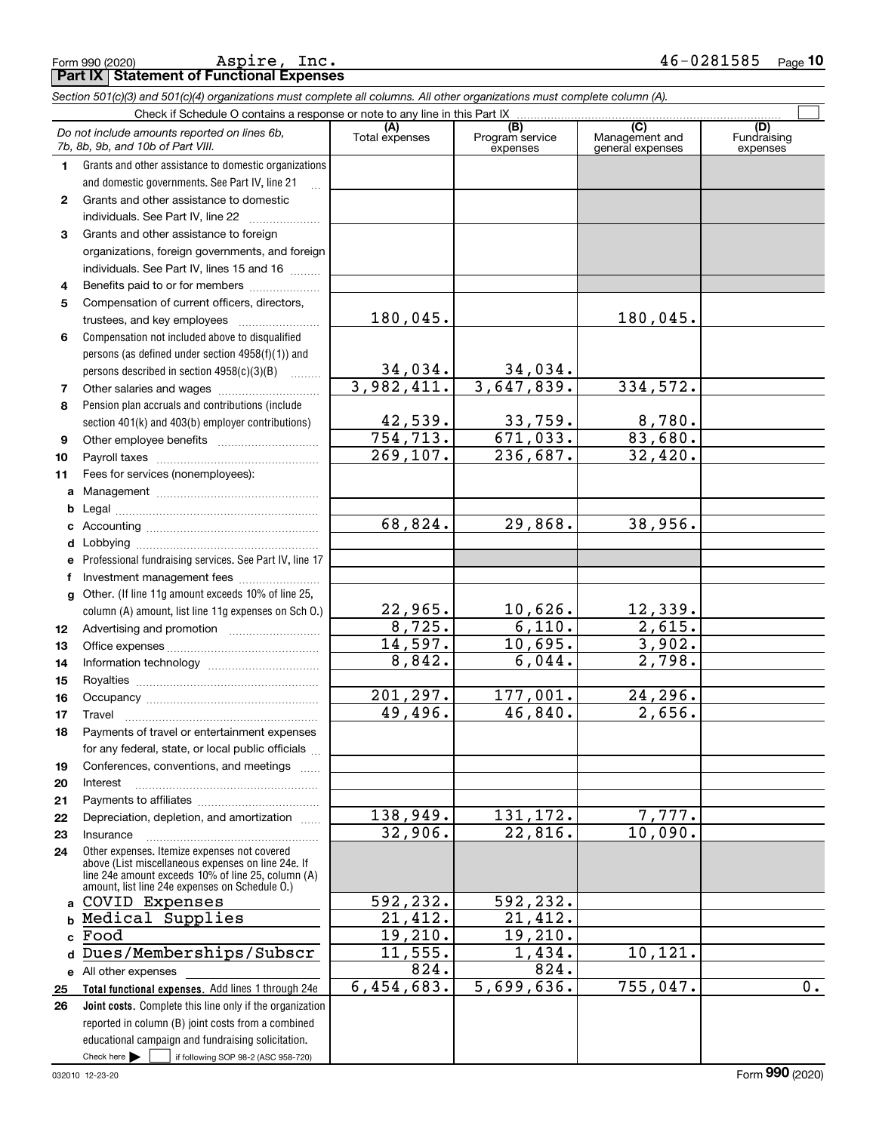Form 990 (2020) Page **Part IX Statement of Functional Expenses** Aspire, Inc. 46-0281585

|              | Section 501(c)(3) and 501(c)(4) organizations must complete all columns. All other organizations must complete column (A).                                                                                 |                            |                                    |                                           |                                |
|--------------|------------------------------------------------------------------------------------------------------------------------------------------------------------------------------------------------------------|----------------------------|------------------------------------|-------------------------------------------|--------------------------------|
|              | Check if Schedule O contains a response or note to any line in this Part IX                                                                                                                                |                            |                                    |                                           |                                |
|              | Do not include amounts reported on lines 6b,<br>7b, 8b, 9b, and 10b of Part VIII.                                                                                                                          | (A)<br>Total expenses      | (B)<br>Program service<br>expenses | (C)<br>Management and<br>general expenses | (D)<br>Fundraising<br>expenses |
| $\mathbf{1}$ | Grants and other assistance to domestic organizations<br>and domestic governments. See Part IV, line 21                                                                                                    |                            |                                    |                                           |                                |
| 2            | Grants and other assistance to domestic                                                                                                                                                                    |                            |                                    |                                           |                                |
|              | individuals. See Part IV, line 22                                                                                                                                                                          |                            |                                    |                                           |                                |
| 3            | Grants and other assistance to foreign                                                                                                                                                                     |                            |                                    |                                           |                                |
|              | organizations, foreign governments, and foreign                                                                                                                                                            |                            |                                    |                                           |                                |
|              | individuals. See Part IV, lines 15 and 16                                                                                                                                                                  |                            |                                    |                                           |                                |
| 4            | Benefits paid to or for members                                                                                                                                                                            |                            |                                    |                                           |                                |
| 5            | Compensation of current officers, directors,                                                                                                                                                               |                            |                                    |                                           |                                |
|              |                                                                                                                                                                                                            | 180,045.                   |                                    | 180,045.                                  |                                |
| 6            | Compensation not included above to disqualified                                                                                                                                                            |                            |                                    |                                           |                                |
|              | persons (as defined under section 4958(f)(1)) and                                                                                                                                                          |                            |                                    |                                           |                                |
|              | persons described in section 4958(c)(3)(B)                                                                                                                                                                 | 34,034.                    | <u>34,034.</u>                     |                                           |                                |
| 7            |                                                                                                                                                                                                            | 3,982,411.                 | 3,647,839.                         | 334,572.                                  |                                |
| 8            | Pension plan accruals and contributions (include                                                                                                                                                           |                            |                                    |                                           |                                |
|              | section 401(k) and 403(b) employer contributions)                                                                                                                                                          | $\frac{42,539}{754,713}$ . | $\frac{33,759}{671,033}$           | 8,780.                                    |                                |
| 9            |                                                                                                                                                                                                            |                            |                                    | 83,680.                                   |                                |
| 10           |                                                                                                                                                                                                            | 269,107.                   | 236,687.                           | 32,420.                                   |                                |
| 11           | Fees for services (nonemployees):                                                                                                                                                                          |                            |                                    |                                           |                                |
|              |                                                                                                                                                                                                            |                            |                                    |                                           |                                |
| b            |                                                                                                                                                                                                            |                            |                                    |                                           |                                |
| c            |                                                                                                                                                                                                            | 68,824.                    | 29,868.                            | 38,956.                                   |                                |
| d            |                                                                                                                                                                                                            |                            |                                    |                                           |                                |
|              | e Professional fundraising services. See Part IV, line 17                                                                                                                                                  |                            |                                    |                                           |                                |
| f            |                                                                                                                                                                                                            |                            |                                    |                                           |                                |
| q            | Other. (If line 11g amount exceeds 10% of line 25,                                                                                                                                                         |                            |                                    |                                           |                                |
|              | column (A) amount, list line 11g expenses on Sch O.)                                                                                                                                                       | 22,965.                    | 10,626.                            | <u>12,339.</u>                            |                                |
| 12           |                                                                                                                                                                                                            | 8,725.                     | 6,110.                             | 2,615.                                    |                                |
| 13           |                                                                                                                                                                                                            | 14,597.                    | 10,695.                            | 3,902.<br>2,798.                          |                                |
| 14           |                                                                                                                                                                                                            | 8,842.                     | 6,044.                             |                                           |                                |
| 15           |                                                                                                                                                                                                            | $\overline{201,297}$ .     | 177,001.                           | 24,296.                                   |                                |
| 16           |                                                                                                                                                                                                            | 49,496.                    | 46,840.                            | 2,656.                                    |                                |
| 17           | Payments of travel or entertainment expenses                                                                                                                                                               |                            |                                    |                                           |                                |
| 18           | for any federal, state, or local public officials                                                                                                                                                          |                            |                                    |                                           |                                |
| 19           | Conferences, conventions, and meetings                                                                                                                                                                     |                            |                                    |                                           |                                |
| 20           | Interest                                                                                                                                                                                                   |                            |                                    |                                           |                                |
| 21           |                                                                                                                                                                                                            |                            |                                    |                                           |                                |
| 22           | Depreciation, depletion, and amortization                                                                                                                                                                  | 138,949.                   | 131,172.                           | 7,777.                                    |                                |
| 23           | Insurance                                                                                                                                                                                                  | 32,906.                    | 22,816.                            | $\overline{10}$ , 090.                    |                                |
| 24           | Other expenses. Itemize expenses not covered<br>above (List miscellaneous expenses on line 24e. If<br>line 24e amount exceeds 10% of line 25, column (A)<br>amount, list line 24e expenses on Schedule O.) |                            |                                    |                                           |                                |
|              | a COVID Expenses                                                                                                                                                                                           | 592,232.                   | 592,232.                           |                                           |                                |
|              | Medical Supplies                                                                                                                                                                                           | 21,412.                    | 21,412.                            |                                           |                                |
| c.           | Food                                                                                                                                                                                                       | 19,210.                    | 19,210.                            |                                           |                                |
| d            | Dues/Memberships/Subscr                                                                                                                                                                                    | 11,555.                    | 1,434.                             | 10, 121.                                  |                                |
|              | e All other expenses                                                                                                                                                                                       | 824.                       | 824.                               |                                           |                                |
| 25           | Total functional expenses. Add lines 1 through 24e                                                                                                                                                         | 6,454,683.                 | 5,699,636.                         | 755,047.                                  | 0.                             |
| 26           | Joint costs. Complete this line only if the organization                                                                                                                                                   |                            |                                    |                                           |                                |
|              | reported in column (B) joint costs from a combined                                                                                                                                                         |                            |                                    |                                           |                                |
|              | educational campaign and fundraising solicitation.                                                                                                                                                         |                            |                                    |                                           |                                |
|              | Check here $\blacktriangleright$<br>if following SOP 98-2 (ASC 958-720)                                                                                                                                    |                            |                                    |                                           |                                |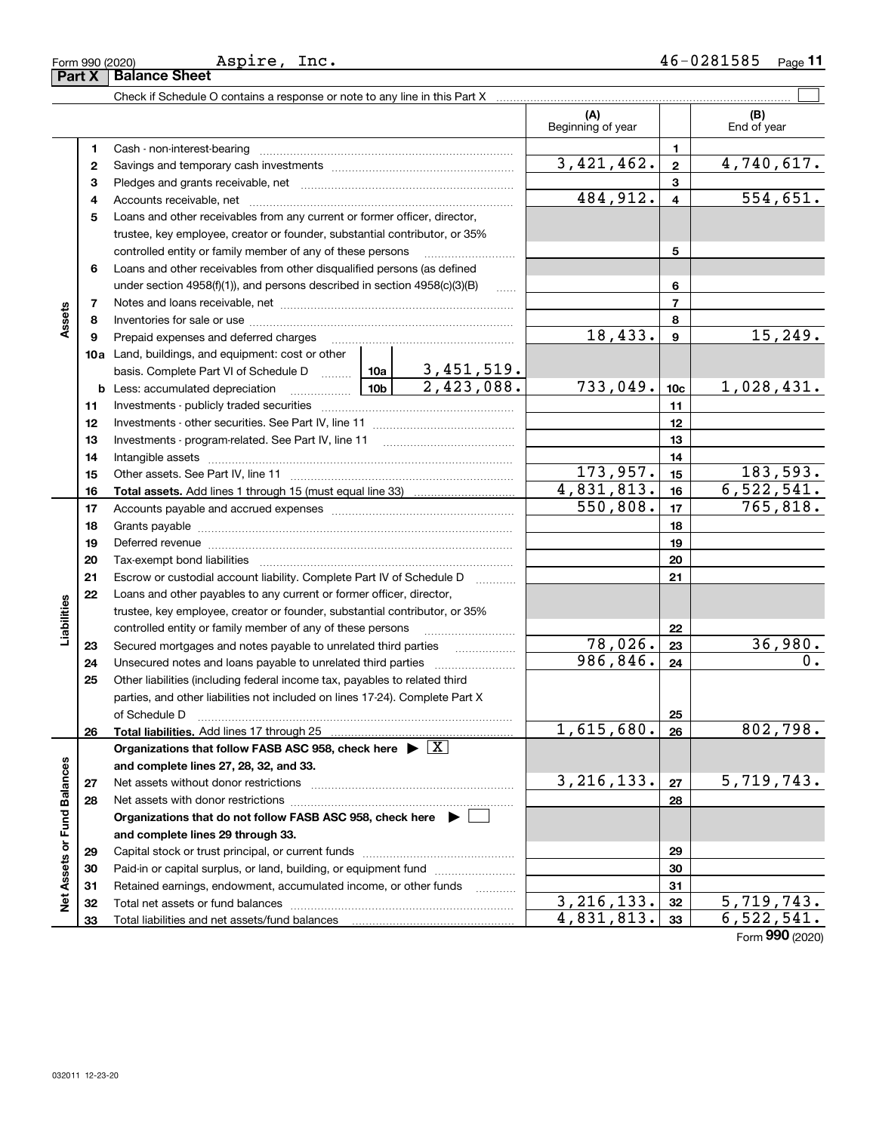| п |  |  |
|---|--|--|

|                             |    |                                                                                                                 |            | (A)<br>Beginning of year |                | (B)<br>End of year |
|-----------------------------|----|-----------------------------------------------------------------------------------------------------------------|------------|--------------------------|----------------|--------------------|
|                             | 1  |                                                                                                                 |            |                          | 1              |                    |
|                             | 2  |                                                                                                                 | 3,421,462. | $\mathbf{2}$             | 4,740,617.     |                    |
|                             | 3  |                                                                                                                 |            | 3                        |                |                    |
|                             | 4  |                                                                                                                 |            | 484,912.                 | $\overline{4}$ | 554,651.           |
|                             | 5  | Loans and other receivables from any current or former officer, director,                                       |            |                          |                |                    |
|                             |    | trustee, key employee, creator or founder, substantial contributor, or 35%                                      |            |                          |                |                    |
|                             |    | controlled entity or family member of any of these persons                                                      |            |                          | 5              |                    |
|                             | 6  | Loans and other receivables from other disqualified persons (as defined                                         |            |                          |                |                    |
|                             |    | under section $4958(f)(1)$ , and persons described in section $4958(c)(3)(B)$                                   | assess.    |                          | 6              |                    |
|                             | 7  |                                                                                                                 |            |                          | $\overline{7}$ |                    |
| Assets                      | 8  |                                                                                                                 |            |                          | 8              |                    |
|                             | 9  | Prepaid expenses and deferred charges                                                                           |            | 18,433.                  | 9              | 15, 249.           |
|                             |    | <b>10a</b> Land, buildings, and equipment: cost or other                                                        |            |                          |                |                    |
|                             |    |                                                                                                                 |            |                          |                |                    |
|                             |    | <b>b</b> Less: accumulated depreciation                                                                         | 733,049.   | 10 <sub>c</sub>          | 1,028,431.     |                    |
|                             | 11 |                                                                                                                 |            | 11                       |                |                    |
|                             | 12 |                                                                                                                 |            | 12                       |                |                    |
|                             | 13 |                                                                                                                 |            |                          | 13             |                    |
|                             | 14 |                                                                                                                 |            |                          | 14             |                    |
|                             | 15 |                                                                                                                 | 173,957.   | 15                       | 183,593.       |                    |
|                             | 16 |                                                                                                                 | 4,831,813. | 16                       | 6, 522, 541.   |                    |
|                             | 17 |                                                                                                                 | 550,808.   | 17                       | 765,818.       |                    |
|                             | 18 |                                                                                                                 |            | 18                       |                |                    |
|                             | 19 | Deferred revenue manual contracts and contracts are all the manual contracts and contracts are contracted and c |            |                          | 19             |                    |
|                             | 20 |                                                                                                                 |            |                          | 20             |                    |
|                             | 21 | Escrow or custodial account liability. Complete Part IV of Schedule D                                           |            |                          | 21             |                    |
|                             | 22 | Loans and other payables to any current or former officer, director,                                            |            |                          |                |                    |
| Liabilities                 |    | trustee, key employee, creator or founder, substantial contributor, or 35%                                      |            |                          |                |                    |
|                             |    | controlled entity or family member of any of these persons                                                      |            |                          | 22             |                    |
|                             | 23 | Secured mortgages and notes payable to unrelated third parties                                                  |            | 78,026.                  | 23             | 36,980.            |
|                             | 24 | Unsecured notes and loans payable to unrelated third parties                                                    |            | 986, 846.                | 24             | 0.                 |
|                             | 25 | Other liabilities (including federal income tax, payables to related third                                      |            |                          |                |                    |
|                             |    | parties, and other liabilities not included on lines 17-24). Complete Part X                                    |            |                          |                |                    |
|                             |    | of Schedule D                                                                                                   |            |                          | 25             |                    |
|                             | 26 |                                                                                                                 |            | 1,615,680.               | 26             | 802,798.           |
|                             |    | Organizations that follow FASB ASC 958, check here $\blacktriangleright \lfloor X \rfloor$                      |            |                          |                |                    |
|                             |    | and complete lines 27, 28, 32, and 33.                                                                          |            |                          |                |                    |
|                             | 27 |                                                                                                                 |            | 3, 216, 133.             | 27             | 5,719,743.         |
|                             | 28 |                                                                                                                 |            |                          | 28             |                    |
|                             |    | Organizations that do not follow FASB ASC 958, check here $\blacktriangleright$                                 |            |                          |                |                    |
| Net Assets or Fund Balances |    | and complete lines 29 through 33.                                                                               |            |                          |                |                    |
|                             | 29 |                                                                                                                 |            |                          | 29             |                    |
|                             | 30 | Paid-in or capital surplus, or land, building, or equipment fund                                                |            |                          | 30             |                    |
|                             | 31 | Retained earnings, endowment, accumulated income, or other funds                                                |            |                          | 31             |                    |
|                             | 32 |                                                                                                                 |            | $\overline{3,216,133}$ . | 32             | 5,719,743.         |
|                             | 33 |                                                                                                                 |            | 4,831,813.               | 33             | 6, 522, 541.       |

Form (2020) **990**

**Part X Balance Sheet**

Aspire, Inc.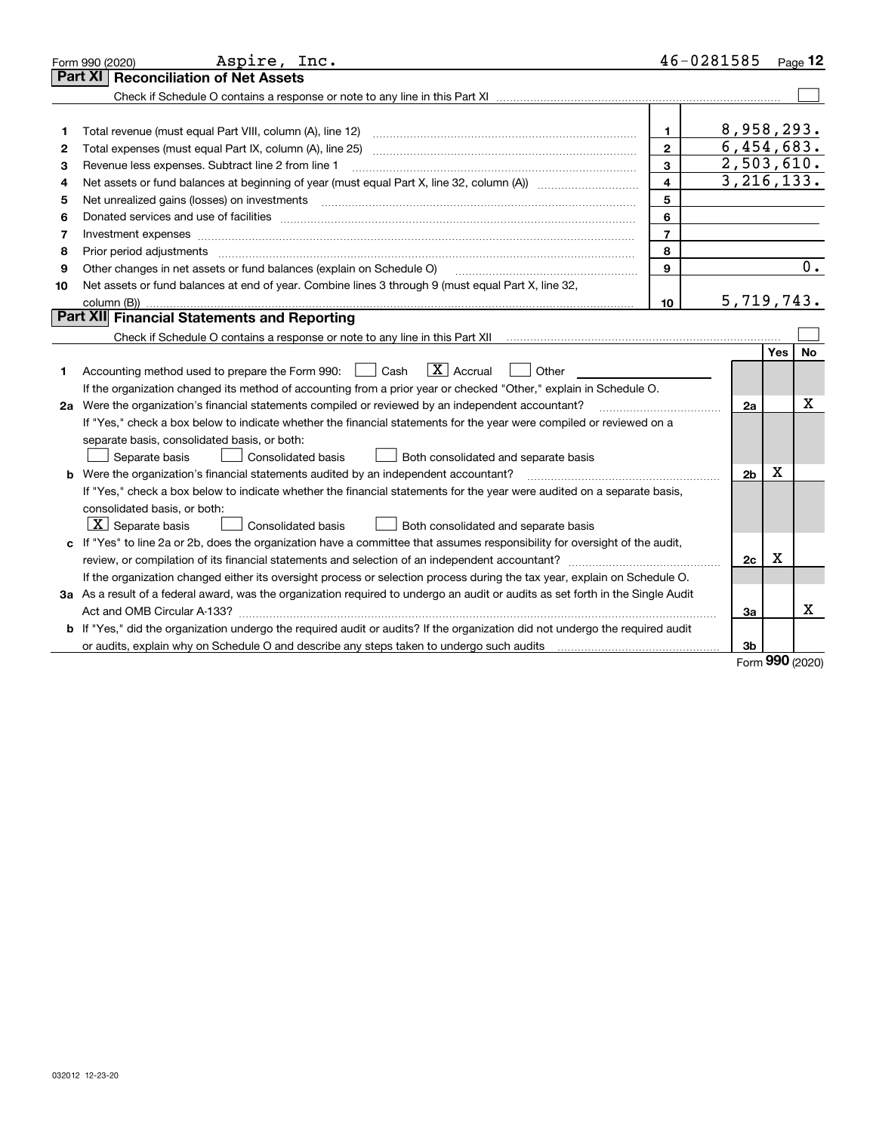|    | Aspire, Inc.<br>Form 990 (2020)                                                                                                                                                                                                |                | 46-0281585     |            | Page 12 |
|----|--------------------------------------------------------------------------------------------------------------------------------------------------------------------------------------------------------------------------------|----------------|----------------|------------|---------|
|    | <b>Reconciliation of Net Assets</b><br><b>Part XI</b>                                                                                                                                                                          |                |                |            |         |
|    |                                                                                                                                                                                                                                |                |                |            |         |
|    |                                                                                                                                                                                                                                |                |                |            |         |
| 1  | Total revenue (must equal Part VIII, column (A), line 12)                                                                                                                                                                      | $\mathbf{1}$   | 8,958,293.     |            |         |
| 2  |                                                                                                                                                                                                                                | $\overline{2}$ | 6,454,683.     |            |         |
| з  | Revenue less expenses. Subtract line 2 from line 1                                                                                                                                                                             | 3              | 2,503,610.     |            |         |
| 4  |                                                                                                                                                                                                                                | 4              | 3, 216, 133.   |            |         |
| 5  |                                                                                                                                                                                                                                | 5              |                |            |         |
| 6  | Donated services and use of facilities [111] matter contracts and the service of facilities [11] matter contracts and use of facilities [11] matter contracts and the service of facilities [11] matter contracts and the serv | 6              |                |            |         |
| 7  | Investment expenses                                                                                                                                                                                                            | $\overline{7}$ |                |            |         |
| 8  | Prior period adjustments                                                                                                                                                                                                       | 8              |                |            |         |
| 9  | Other changes in net assets or fund balances (explain on Schedule O)                                                                                                                                                           | 9              |                |            | 0.      |
| 10 | Net assets or fund balances at end of year. Combine lines 3 through 9 (must equal Part X, line 32,                                                                                                                             |                |                |            |         |
|    | column (B))                                                                                                                                                                                                                    | 10             | 5,719,743.     |            |         |
|    | Part XII Financial Statements and Reporting                                                                                                                                                                                    |                |                |            |         |
|    |                                                                                                                                                                                                                                |                |                |            |         |
|    |                                                                                                                                                                                                                                |                |                | <b>Yes</b> | No      |
| 1  | $\boxed{\mathbf{X}}$ Accrual<br>Accounting method used to prepare the Form 990: <u>June</u> Cash<br>Other                                                                                                                      |                |                |            |         |
|    | If the organization changed its method of accounting from a prior year or checked "Other," explain in Schedule O.                                                                                                              |                |                |            |         |
|    | 2a Were the organization's financial statements compiled or reviewed by an independent accountant?                                                                                                                             |                | 2a             |            | Х       |
|    | If "Yes," check a box below to indicate whether the financial statements for the year were compiled or reviewed on a                                                                                                           |                |                |            |         |
|    | separate basis, consolidated basis, or both:                                                                                                                                                                                   |                |                |            |         |
|    | Separate basis<br><b>Consolidated basis</b><br>Both consolidated and separate basis                                                                                                                                            |                |                |            |         |
|    | <b>b</b> Were the organization's financial statements audited by an independent accountant?                                                                                                                                    |                | 2 <sub>b</sub> | х          |         |
|    | If "Yes," check a box below to indicate whether the financial statements for the year were audited on a separate basis,                                                                                                        |                |                |            |         |
|    | consolidated basis, or both:                                                                                                                                                                                                   |                |                |            |         |
|    | $X$ Separate basis<br>Consolidated basis<br>Both consolidated and separate basis                                                                                                                                               |                |                |            |         |
| c  | If "Yes" to line 2a or 2b, does the organization have a committee that assumes responsibility for oversight of the audit,                                                                                                      |                |                |            |         |
|    | review, or compilation of its financial statements and selection of an independent accountant?                                                                                                                                 |                | 2c             | х          |         |
|    | If the organization changed either its oversight process or selection process during the tax year, explain on Schedule O.                                                                                                      |                |                |            |         |
|    | 3a As a result of a federal award, was the organization required to undergo an audit or audits as set forth in the Single Audit                                                                                                |                |                |            |         |
|    |                                                                                                                                                                                                                                |                | За             |            | х       |
|    | b If "Yes," did the organization undergo the required audit or audits? If the organization did not undergo the required audit                                                                                                  |                |                |            |         |
|    |                                                                                                                                                                                                                                |                | 3 <sub>b</sub> |            |         |

Form (2020) **990**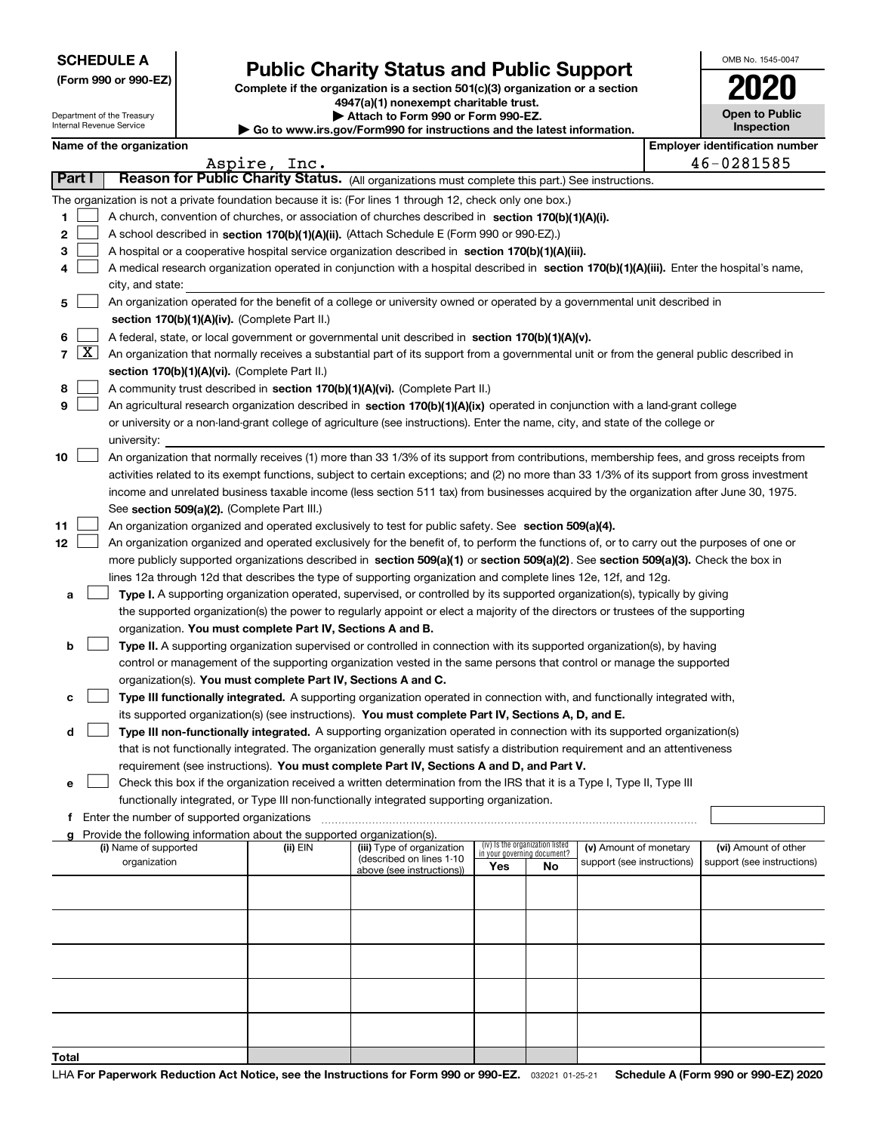|  | <b>SCHEDULE A</b> |
|--|-------------------|
|--|-------------------|

**(Form 990 or 990-EZ)**

# **Public Charity Status and Public Support**

**Complete if the organization is a section 501(c)(3) organization or a section 4947(a)(1) nonexempt charitable trust. | Attach to Form 990 or Form 990-EZ. | Go to www.irs.gov/Form990 for instructions and the latest information.**

| 2020                  |
|-----------------------|
|                       |
| <b>Open to Public</b> |
| Inspection            |

OMB No. 1545-0047

| Department of the Treasury<br>Internal Revenue Service |
|--------------------------------------------------------|
|                                                        |

| <b>Name of the organization</b> |
|---------------------------------|
|---------------------------------|

| Name of the organization |                     |                                                                                                                                              |          |                            |     |                                 |                            | <b>Employer identification number</b> |                            |  |  |  |  |
|--------------------------|---------------------|----------------------------------------------------------------------------------------------------------------------------------------------|----------|----------------------------|-----|---------------------------------|----------------------------|---------------------------------------|----------------------------|--|--|--|--|
|                          |                     | Aspire, Inc.<br>46-0281585<br>Reason for Public Charity Status. (All organizations must complete this part.) See instructions.               |          |                            |     |                                 |                            |                                       |                            |  |  |  |  |
|                          | Part I              |                                                                                                                                              |          |                            |     |                                 |                            |                                       |                            |  |  |  |  |
|                          |                     | The organization is not a private foundation because it is: (For lines 1 through 12, check only one box.)                                    |          |                            |     |                                 |                            |                                       |                            |  |  |  |  |
| 1                        |                     | A church, convention of churches, or association of churches described in section 170(b)(1)(A)(i).                                           |          |                            |     |                                 |                            |                                       |                            |  |  |  |  |
| 2                        |                     | A school described in section 170(b)(1)(A)(ii). (Attach Schedule E (Form 990 or 990-EZ).)                                                    |          |                            |     |                                 |                            |                                       |                            |  |  |  |  |
| 3                        |                     | A hospital or a cooperative hospital service organization described in section 170(b)(1)(A)(iii).                                            |          |                            |     |                                 |                            |                                       |                            |  |  |  |  |
| 4                        |                     | A medical research organization operated in conjunction with a hospital described in section 170(b)(1)(A)(iii). Enter the hospital's name,   |          |                            |     |                                 |                            |                                       |                            |  |  |  |  |
|                          |                     | city, and state:                                                                                                                             |          |                            |     |                                 |                            |                                       |                            |  |  |  |  |
| 5                        |                     | An organization operated for the benefit of a college or university owned or operated by a governmental unit described in                    |          |                            |     |                                 |                            |                                       |                            |  |  |  |  |
|                          |                     | section 170(b)(1)(A)(iv). (Complete Part II.)                                                                                                |          |                            |     |                                 |                            |                                       |                            |  |  |  |  |
| 6                        |                     | A federal, state, or local government or governmental unit described in section 170(b)(1)(A)(v).                                             |          |                            |     |                                 |                            |                                       |                            |  |  |  |  |
| $\overline{7}$           | $\lfloor x \rfloor$ | An organization that normally receives a substantial part of its support from a governmental unit or from the general public described in    |          |                            |     |                                 |                            |                                       |                            |  |  |  |  |
|                          |                     | section 170(b)(1)(A)(vi). (Complete Part II.)                                                                                                |          |                            |     |                                 |                            |                                       |                            |  |  |  |  |
| 8                        |                     | A community trust described in section 170(b)(1)(A)(vi). (Complete Part II.)                                                                 |          |                            |     |                                 |                            |                                       |                            |  |  |  |  |
| 9                        |                     | An agricultural research organization described in section 170(b)(1)(A)(ix) operated in conjunction with a land-grant college                |          |                            |     |                                 |                            |                                       |                            |  |  |  |  |
|                          |                     | or university or a non-land-grant college of agriculture (see instructions). Enter the name, city, and state of the college or               |          |                            |     |                                 |                            |                                       |                            |  |  |  |  |
|                          |                     | university:                                                                                                                                  |          |                            |     |                                 |                            |                                       |                            |  |  |  |  |
| 10                       |                     | An organization that normally receives (1) more than 33 1/3% of its support from contributions, membership fees, and gross receipts from     |          |                            |     |                                 |                            |                                       |                            |  |  |  |  |
|                          |                     | activities related to its exempt functions, subject to certain exceptions; and (2) no more than 33 1/3% of its support from gross investment |          |                            |     |                                 |                            |                                       |                            |  |  |  |  |
|                          |                     | income and unrelated business taxable income (less section 511 tax) from businesses acquired by the organization after June 30, 1975.        |          |                            |     |                                 |                            |                                       |                            |  |  |  |  |
|                          |                     | See section 509(a)(2). (Complete Part III.)                                                                                                  |          |                            |     |                                 |                            |                                       |                            |  |  |  |  |
| 11                       |                     | An organization organized and operated exclusively to test for public safety. See section 509(a)(4).                                         |          |                            |     |                                 |                            |                                       |                            |  |  |  |  |
| 12 <sub>2</sub>          |                     | An organization organized and operated exclusively for the benefit of, to perform the functions of, or to carry out the purposes of one or   |          |                            |     |                                 |                            |                                       |                            |  |  |  |  |
|                          |                     | more publicly supported organizations described in section 509(a)(1) or section 509(a)(2). See section 509(a)(3). Check the box in           |          |                            |     |                                 |                            |                                       |                            |  |  |  |  |
|                          |                     | lines 12a through 12d that describes the type of supporting organization and complete lines 12e, 12f, and 12g.                               |          |                            |     |                                 |                            |                                       |                            |  |  |  |  |
| a                        |                     | Type I. A supporting organization operated, supervised, or controlled by its supported organization(s), typically by giving                  |          |                            |     |                                 |                            |                                       |                            |  |  |  |  |
|                          |                     | the supported organization(s) the power to regularly appoint or elect a majority of the directors or trustees of the supporting              |          |                            |     |                                 |                            |                                       |                            |  |  |  |  |
|                          |                     | organization. You must complete Part IV, Sections A and B.                                                                                   |          |                            |     |                                 |                            |                                       |                            |  |  |  |  |
| b                        |                     | Type II. A supporting organization supervised or controlled in connection with its supported organization(s), by having                      |          |                            |     |                                 |                            |                                       |                            |  |  |  |  |
|                          |                     | control or management of the supporting organization vested in the same persons that control or manage the supported                         |          |                            |     |                                 |                            |                                       |                            |  |  |  |  |
|                          |                     | organization(s). You must complete Part IV, Sections A and C.                                                                                |          |                            |     |                                 |                            |                                       |                            |  |  |  |  |
| с                        |                     | Type III functionally integrated. A supporting organization operated in connection with, and functionally integrated with,                   |          |                            |     |                                 |                            |                                       |                            |  |  |  |  |
|                          |                     | its supported organization(s) (see instructions). You must complete Part IV, Sections A, D, and E.                                           |          |                            |     |                                 |                            |                                       |                            |  |  |  |  |
| d                        |                     | Type III non-functionally integrated. A supporting organization operated in connection with its supported organization(s)                    |          |                            |     |                                 |                            |                                       |                            |  |  |  |  |
|                          |                     | that is not functionally integrated. The organization generally must satisfy a distribution requirement and an attentiveness                 |          |                            |     |                                 |                            |                                       |                            |  |  |  |  |
|                          |                     | requirement (see instructions). You must complete Part IV, Sections A and D, and Part V.                                                     |          |                            |     |                                 |                            |                                       |                            |  |  |  |  |
| е                        |                     | Check this box if the organization received a written determination from the IRS that it is a Type I, Type II, Type III                      |          |                            |     |                                 |                            |                                       |                            |  |  |  |  |
|                          |                     | functionally integrated, or Type III non-functionally integrated supporting organization.                                                    |          |                            |     |                                 |                            |                                       |                            |  |  |  |  |
|                          |                     | f Enter the number of supported organizations                                                                                                |          |                            |     |                                 |                            |                                       |                            |  |  |  |  |
| a                        |                     | Provide the following information about the supported organization(s).<br>(i) Name of supported                                              | (ii) EIN | (iii) Type of organization |     | (iv) Is the organization listed | (v) Amount of monetary     |                                       | (vi) Amount of other       |  |  |  |  |
|                          |                     | organization                                                                                                                                 |          | (described on lines 1-10   |     | in your governing document?     | support (see instructions) |                                       | support (see instructions) |  |  |  |  |
|                          |                     |                                                                                                                                              |          | above (see instructions))  | Yes | No                              |                            |                                       |                            |  |  |  |  |
|                          |                     |                                                                                                                                              |          |                            |     |                                 |                            |                                       |                            |  |  |  |  |
|                          |                     |                                                                                                                                              |          |                            |     |                                 |                            |                                       |                            |  |  |  |  |
|                          |                     |                                                                                                                                              |          |                            |     |                                 |                            |                                       |                            |  |  |  |  |
|                          |                     |                                                                                                                                              |          |                            |     |                                 |                            |                                       |                            |  |  |  |  |
|                          |                     |                                                                                                                                              |          |                            |     |                                 |                            |                                       |                            |  |  |  |  |
|                          |                     |                                                                                                                                              |          |                            |     |                                 |                            |                                       |                            |  |  |  |  |
|                          |                     |                                                                                                                                              |          |                            |     |                                 |                            |                                       |                            |  |  |  |  |
|                          |                     |                                                                                                                                              |          |                            |     |                                 |                            |                                       |                            |  |  |  |  |
|                          |                     |                                                                                                                                              |          |                            |     |                                 |                            |                                       |                            |  |  |  |  |
| Total                    |                     |                                                                                                                                              |          |                            |     |                                 |                            |                                       |                            |  |  |  |  |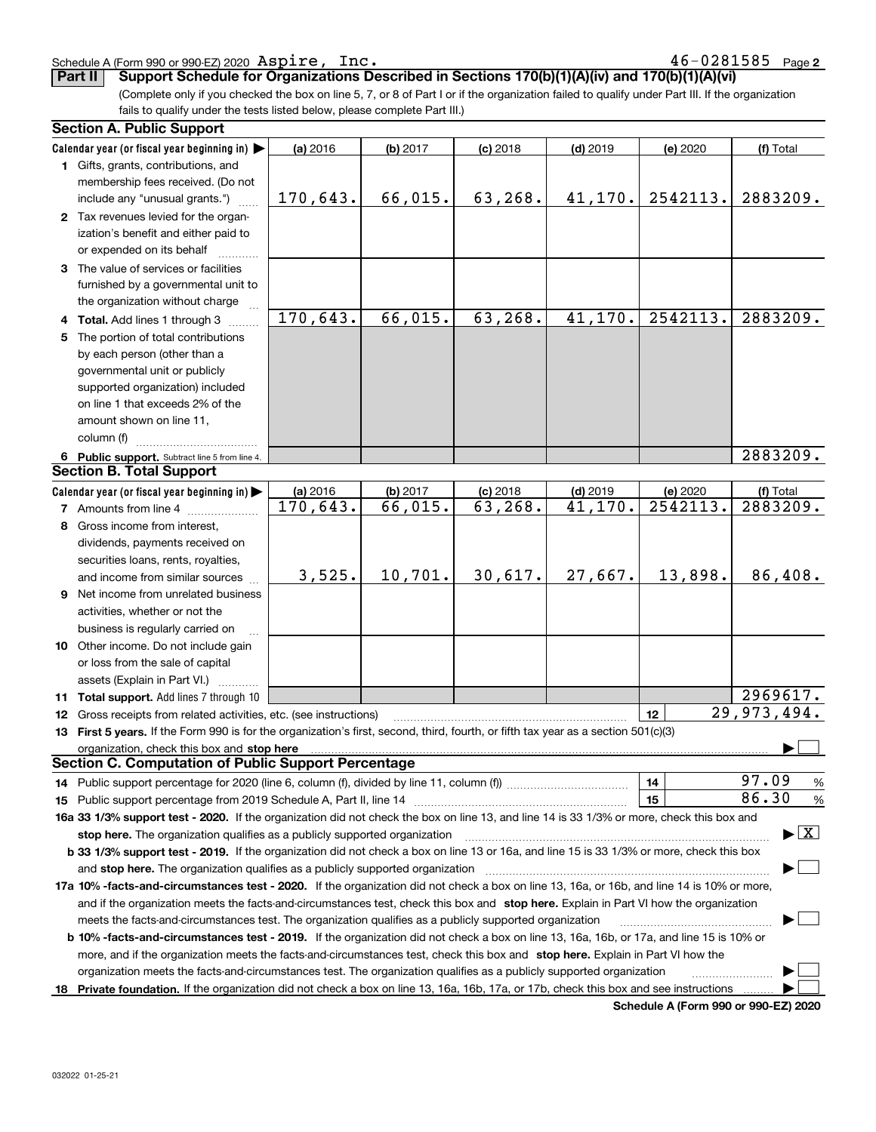#### Schedule A (Form 990 or 990-EZ) 2020 Page Aspire, Inc. 46-0281585

**2**

**Part II Support Schedule for Organizations Described in Sections 170(b)(1)(A)(iv) and 170(b)(1)(A)(vi)**

(Complete only if you checked the box on line 5, 7, or 8 of Part I or if the organization failed to qualify under Part III. If the organization fails to qualify under the tests listed below, please complete Part III.)

|    | <b>Section A. Public Support</b>                                                                                                               |          |          |            |            |          |                                          |
|----|------------------------------------------------------------------------------------------------------------------------------------------------|----------|----------|------------|------------|----------|------------------------------------------|
|    | Calendar year (or fiscal year beginning in)                                                                                                    | (a) 2016 | (b) 2017 | $(c)$ 2018 | $(d)$ 2019 | (e) 2020 | (f) Total                                |
|    | 1 Gifts, grants, contributions, and                                                                                                            |          |          |            |            |          |                                          |
|    | membership fees received. (Do not                                                                                                              |          |          |            |            |          |                                          |
|    | include any "unusual grants.")                                                                                                                 | 170,643. | 66,015.  | 63,268.    | 41,170.    | 2542113. | 2883209.                                 |
|    | 2 Tax revenues levied for the organ-                                                                                                           |          |          |            |            |          |                                          |
|    | ization's benefit and either paid to                                                                                                           |          |          |            |            |          |                                          |
|    | or expended on its behalf                                                                                                                      |          |          |            |            |          |                                          |
|    | 3 The value of services or facilities                                                                                                          |          |          |            |            |          |                                          |
|    | furnished by a governmental unit to                                                                                                            |          |          |            |            |          |                                          |
|    | the organization without charge                                                                                                                |          |          |            |            |          |                                          |
|    | 4 Total. Add lines 1 through 3                                                                                                                 | 170,643. | 66,015.  | 63,268.    | 41, 170.   | 2542113. | 2883209.                                 |
| 5. | The portion of total contributions                                                                                                             |          |          |            |            |          |                                          |
|    | by each person (other than a                                                                                                                   |          |          |            |            |          |                                          |
|    | governmental unit or publicly                                                                                                                  |          |          |            |            |          |                                          |
|    | supported organization) included                                                                                                               |          |          |            |            |          |                                          |
|    | on line 1 that exceeds 2% of the                                                                                                               |          |          |            |            |          |                                          |
|    | amount shown on line 11,                                                                                                                       |          |          |            |            |          |                                          |
|    |                                                                                                                                                |          |          |            |            |          |                                          |
|    | column (f)                                                                                                                                     |          |          |            |            |          | 2883209.                                 |
|    | 6 Public support. Subtract line 5 from line 4.<br><b>Section B. Total Support</b>                                                              |          |          |            |            |          |                                          |
|    |                                                                                                                                                |          |          |            |            |          |                                          |
|    | Calendar year (or fiscal year beginning in)                                                                                                    | (a) 2016 | (b) 2017 | $(c)$ 2018 | $(d)$ 2019 | (e) 2020 | (f) Total                                |
|    | <b>7</b> Amounts from line 4                                                                                                                   | 170,643. | 66,015.  | 63, 268.   | 41,170.    | 2542113. | 2883209.                                 |
|    | 8 Gross income from interest,                                                                                                                  |          |          |            |            |          |                                          |
|    | dividends, payments received on                                                                                                                |          |          |            |            |          |                                          |
|    | securities loans, rents, royalties,                                                                                                            |          |          |            |            |          |                                          |
|    | and income from similar sources                                                                                                                | 3,525.   | 10,701.  | 30,617.    | 27,667.    | 13,898.  | 86,408.                                  |
|    | 9 Net income from unrelated business                                                                                                           |          |          |            |            |          |                                          |
|    | activities, whether or not the                                                                                                                 |          |          |            |            |          |                                          |
|    | business is regularly carried on                                                                                                               |          |          |            |            |          |                                          |
|    | 10 Other income. Do not include gain                                                                                                           |          |          |            |            |          |                                          |
|    | or loss from the sale of capital                                                                                                               |          |          |            |            |          |                                          |
|    | assets (Explain in Part VI.)                                                                                                                   |          |          |            |            |          |                                          |
|    | 11 Total support. Add lines 7 through 10                                                                                                       |          |          |            |            |          | 2969617.                                 |
|    | 12 Gross receipts from related activities, etc. (see instructions)                                                                             |          |          |            |            | 12       | $\overline{29,973,494.}$                 |
|    | 13 First 5 years. If the Form 990 is for the organization's first, second, third, fourth, or fifth tax year as a section 501(c)(3)             |          |          |            |            |          |                                          |
|    | organization, check this box and stop here                                                                                                     |          |          |            |            |          |                                          |
|    | <b>Section C. Computation of Public Support Percentage</b>                                                                                     |          |          |            |            |          |                                          |
|    | 14 Public support percentage for 2020 (line 6, column (f), divided by line 11, column (f) <i>mummumumum</i>                                    |          |          |            |            | 14       | 97.09<br>%                               |
|    |                                                                                                                                                |          |          |            |            | 15       | 86.30<br>%                               |
|    | 16a 33 1/3% support test - 2020. If the organization did not check the box on line 13, and line 14 is 33 1/3% or more, check this box and      |          |          |            |            |          |                                          |
|    | stop here. The organization qualifies as a publicly supported organization                                                                     |          |          |            |            |          | $\blacktriangleright$ $\boxed{\text{X}}$ |
|    | b 33 1/3% support test - 2019. If the organization did not check a box on line 13 or 16a, and line 15 is 33 1/3% or more, check this box       |          |          |            |            |          |                                          |
|    | and stop here. The organization qualifies as a publicly supported organization                                                                 |          |          |            |            |          |                                          |
|    | 17a 10% -facts-and-circumstances test - 2020. If the organization did not check a box on line 13, 16a, or 16b, and line 14 is 10% or more,     |          |          |            |            |          |                                          |
|    | and if the organization meets the facts-and-circumstances test, check this box and stop here. Explain in Part VI how the organization          |          |          |            |            |          |                                          |
|    | meets the facts-and-circumstances test. The organization qualifies as a publicly supported organization                                        |          |          |            |            |          |                                          |
|    |                                                                                                                                                |          |          |            |            |          |                                          |
|    | <b>b 10% -facts-and-circumstances test - 2019.</b> If the organization did not check a box on line 13, 16a, 16b, or 17a, and line 15 is 10% or |          |          |            |            |          |                                          |
|    | more, and if the organization meets the facts-and-circumstances test, check this box and stop here. Explain in Part VI how the                 |          |          |            |            |          |                                          |
|    | organization meets the facts-and-circumstances test. The organization qualifies as a publicly supported organization                           |          |          |            |            |          |                                          |
|    | 18 Private foundation. If the organization did not check a box on line 13, 16a, 16b, 17a, or 17b, check this box and see instructions          |          |          |            |            |          |                                          |

**Schedule A (Form 990 or 990-EZ) 2020**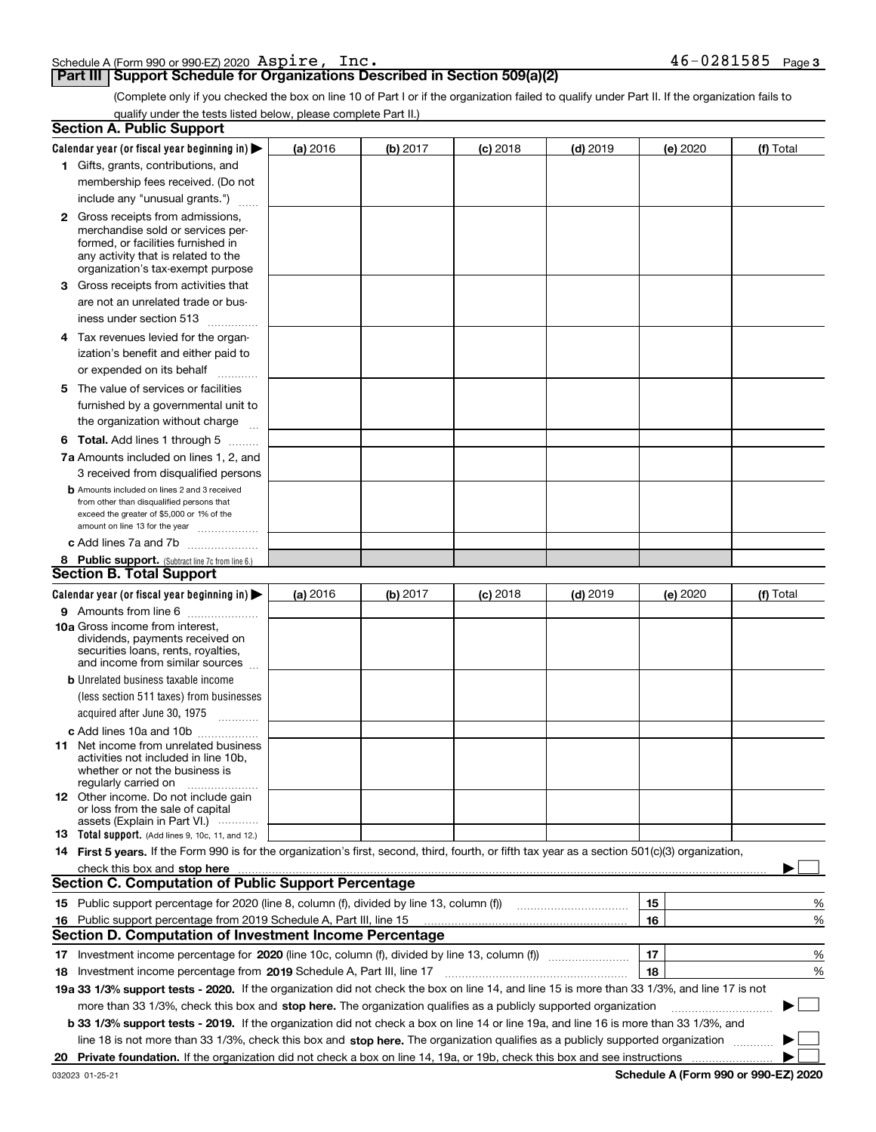|  | Schedule A (Form 990 or 990-EZ) 2020 $\>$ <code>ASPIre</code> , |  | Inc |  |  | 46-0281585 | Page 3 |
|--|-----------------------------------------------------------------|--|-----|--|--|------------|--------|
|  |                                                                 |  |     |  |  |            |        |

#### **Part III Support Schedule for Organizations Described in Section 509(a)(2)**

(Complete only if you checked the box on line 10 of Part I or if the organization failed to qualify under Part II. If the organization fails to qualify under the tests listed below, please complete Part II.)

|    | <b>Section A. Public Support</b>                                                                                                                 |          |          |            |            |    |          |           |        |
|----|--------------------------------------------------------------------------------------------------------------------------------------------------|----------|----------|------------|------------|----|----------|-----------|--------|
|    | Calendar year (or fiscal year beginning in) $\blacktriangleright$                                                                                | (a) 2016 | (b) 2017 | $(c)$ 2018 | $(d)$ 2019 |    | (e) 2020 | (f) Total |        |
|    | 1 Gifts, grants, contributions, and                                                                                                              |          |          |            |            |    |          |           |        |
|    | membership fees received. (Do not                                                                                                                |          |          |            |            |    |          |           |        |
|    | include any "unusual grants.")                                                                                                                   |          |          |            |            |    |          |           |        |
|    | <b>2</b> Gross receipts from admissions,                                                                                                         |          |          |            |            |    |          |           |        |
|    | merchandise sold or services per-                                                                                                                |          |          |            |            |    |          |           |        |
|    | formed, or facilities furnished in                                                                                                               |          |          |            |            |    |          |           |        |
|    | any activity that is related to the<br>organization's tax-exempt purpose                                                                         |          |          |            |            |    |          |           |        |
|    | 3 Gross receipts from activities that                                                                                                            |          |          |            |            |    |          |           |        |
|    | are not an unrelated trade or bus-                                                                                                               |          |          |            |            |    |          |           |        |
|    |                                                                                                                                                  |          |          |            |            |    |          |           |        |
|    | iness under section 513                                                                                                                          |          |          |            |            |    |          |           |        |
|    | 4 Tax revenues levied for the organ-                                                                                                             |          |          |            |            |    |          |           |        |
|    | ization's benefit and either paid to                                                                                                             |          |          |            |            |    |          |           |        |
|    | or expended on its behalf<br>.                                                                                                                   |          |          |            |            |    |          |           |        |
|    | 5 The value of services or facilities                                                                                                            |          |          |            |            |    |          |           |        |
|    | furnished by a governmental unit to                                                                                                              |          |          |            |            |    |          |           |        |
|    | the organization without charge                                                                                                                  |          |          |            |            |    |          |           |        |
|    | <b>6 Total.</b> Add lines 1 through 5                                                                                                            |          |          |            |            |    |          |           |        |
|    | 7a Amounts included on lines 1, 2, and                                                                                                           |          |          |            |            |    |          |           |        |
|    | 3 received from disqualified persons                                                                                                             |          |          |            |            |    |          |           |        |
|    | <b>b</b> Amounts included on lines 2 and 3 received                                                                                              |          |          |            |            |    |          |           |        |
|    | from other than disqualified persons that                                                                                                        |          |          |            |            |    |          |           |        |
|    | exceed the greater of \$5,000 or 1% of the<br>amount on line 13 for the year                                                                     |          |          |            |            |    |          |           |        |
|    | c Add lines 7a and 7b                                                                                                                            |          |          |            |            |    |          |           |        |
|    | 8 Public support. (Subtract line 7c from line 6.)                                                                                                |          |          |            |            |    |          |           |        |
|    | <b>Section B. Total Support</b>                                                                                                                  |          |          |            |            |    |          |           |        |
|    | Calendar year (or fiscal year beginning in)                                                                                                      | (a) 2016 | (b) 2017 | $(c)$ 2018 | $(d)$ 2019 |    | (e) 2020 | (f) Total |        |
|    | 9 Amounts from line 6                                                                                                                            |          |          |            |            |    |          |           |        |
|    | <b>10a</b> Gross income from interest,                                                                                                           |          |          |            |            |    |          |           |        |
|    | dividends, payments received on                                                                                                                  |          |          |            |            |    |          |           |        |
|    | securities loans, rents, royalties,<br>and income from similar sources                                                                           |          |          |            |            |    |          |           |        |
|    | <b>b</b> Unrelated business taxable income                                                                                                       |          |          |            |            |    |          |           |        |
|    | (less section 511 taxes) from businesses                                                                                                         |          |          |            |            |    |          |           |        |
|    | acquired after June 30, 1975 [10001]                                                                                                             |          |          |            |            |    |          |           |        |
|    |                                                                                                                                                  |          |          |            |            |    |          |           |        |
|    | c Add lines 10a and 10b<br>11 Net income from unrelated business                                                                                 |          |          |            |            |    |          |           |        |
|    | activities not included in line 10b,                                                                                                             |          |          |            |            |    |          |           |        |
|    | whether or not the business is                                                                                                                   |          |          |            |            |    |          |           |        |
|    | regularly carried on                                                                                                                             |          |          |            |            |    |          |           |        |
|    | <b>12</b> Other income. Do not include gain<br>or loss from the sale of capital                                                                  |          |          |            |            |    |          |           |        |
|    | assets (Explain in Part VI.)                                                                                                                     |          |          |            |            |    |          |           |        |
|    | <b>13</b> Total support. (Add lines 9, 10c, 11, and 12.)                                                                                         |          |          |            |            |    |          |           |        |
|    | 14 First 5 years. If the Form 990 is for the organization's first, second, third, fourth, or fifth tax year as a section 501(c)(3) organization, |          |          |            |            |    |          |           |        |
|    | check this box and stop here measurements are constructed as the state of the state of the state of the state o                                  |          |          |            |            |    |          |           |        |
|    | <b>Section C. Computation of Public Support Percentage</b>                                                                                       |          |          |            |            |    |          |           |        |
|    | 15 Public support percentage for 2020 (line 8, column (f), divided by line 13, column (f))                                                       |          |          |            |            | 15 |          |           | %      |
|    | 16 Public support percentage from 2019 Schedule A, Part III, line 15                                                                             |          |          |            |            | 16 |          |           | %      |
|    | <b>Section D. Computation of Investment Income Percentage</b>                                                                                    |          |          |            |            |    |          |           |        |
|    | 17 Investment income percentage for 2020 (line 10c, column (f), divided by line 13, column (f))                                                  |          |          |            |            | 17 |          |           | %      |
|    | <b>18</b> Investment income percentage from <b>2019</b> Schedule A, Part III, line 17                                                            |          |          |            |            | 18 |          |           | %      |
|    | 19a 33 1/3% support tests - 2020. If the organization did not check the box on line 14, and line 15 is more than 33 1/3%, and line 17 is not     |          |          |            |            |    |          |           |        |
|    | more than 33 1/3%, check this box and stop here. The organization qualifies as a publicly supported organization                                 |          |          |            |            |    |          | ▶         | $\sim$ |
|    | b 33 1/3% support tests - 2019. If the organization did not check a box on line 14 or line 19a, and line 16 is more than 33 1/3%, and            |          |          |            |            |    |          |           |        |
|    | line 18 is not more than 33 1/3%, check this box and stop here. The organization qualifies as a publicly supported organization                  |          |          |            |            |    |          |           |        |
| 20 |                                                                                                                                                  |          |          |            |            |    |          |           |        |
|    |                                                                                                                                                  |          |          |            |            |    |          |           |        |

**Schedule A (Form 990 or 990-EZ) 2020**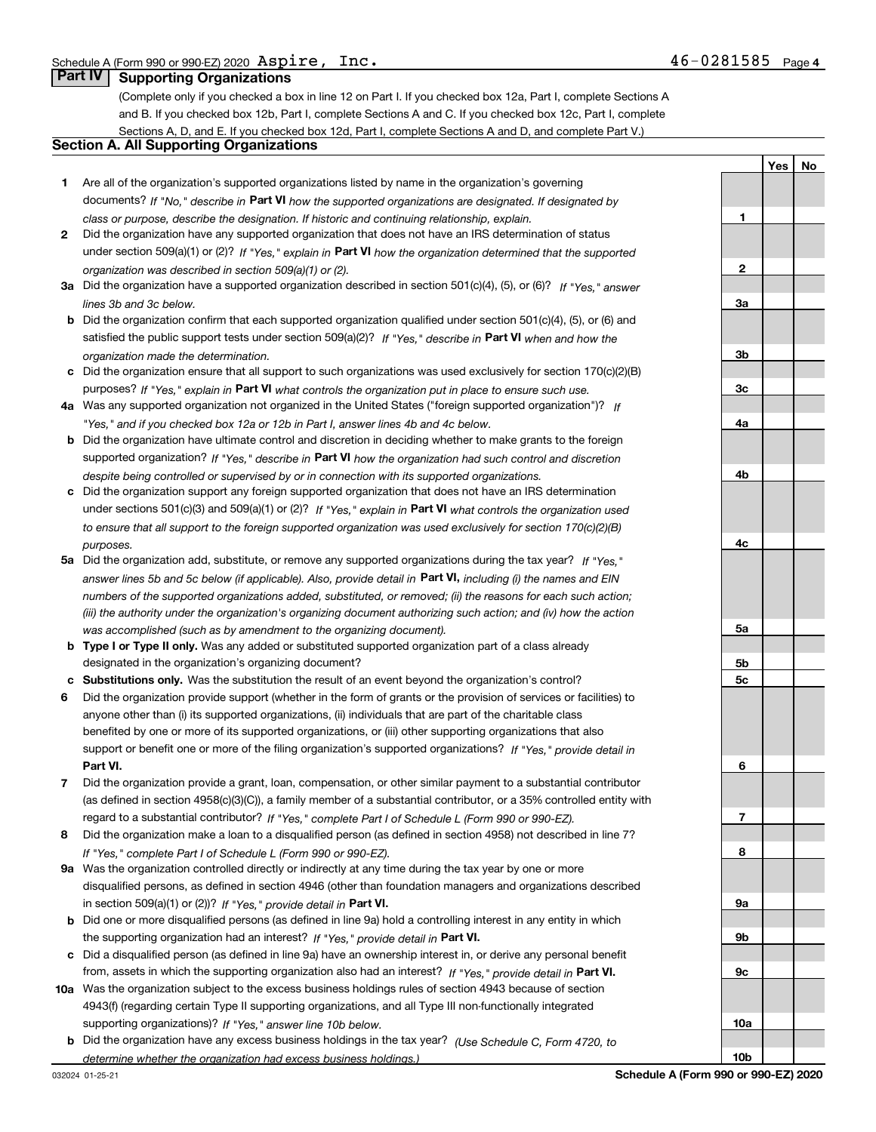**1**

**2**

**3a**

**YesNo**

## **Part IV Supporting Organizations**

(Complete only if you checked a box in line 12 on Part I. If you checked box 12a, Part I, complete Sections A and B. If you checked box 12b, Part I, complete Sections A and C. If you checked box 12c, Part I, complete Sections A, D, and E. If you checked box 12d, Part I, complete Sections A and D, and complete Part V.)

#### **Section A. All Supporting Organizations**

- **1** Are all of the organization's supported organizations listed by name in the organization's governing documents? If "No," describe in **Part VI** how the supported organizations are designated. If designated by *class or purpose, describe the designation. If historic and continuing relationship, explain.*
- **2** Did the organization have any supported organization that does not have an IRS determination of status under section 509(a)(1) or (2)? If "Yes," explain in Part VI how the organization determined that the supported *organization was described in section 509(a)(1) or (2).*
- **3a** Did the organization have a supported organization described in section 501(c)(4), (5), or (6)? If "Yes," answer *lines 3b and 3c below.*
- **b** Did the organization confirm that each supported organization qualified under section 501(c)(4), (5), or (6) and satisfied the public support tests under section 509(a)(2)? If "Yes," describe in **Part VI** when and how the *organization made the determination.*
- **c**Did the organization ensure that all support to such organizations was used exclusively for section 170(c)(2)(B) purposes? If "Yes," explain in **Part VI** what controls the organization put in place to ensure such use.
- **4a***If* Was any supported organization not organized in the United States ("foreign supported organization")? *"Yes," and if you checked box 12a or 12b in Part I, answer lines 4b and 4c below.*
- **b** Did the organization have ultimate control and discretion in deciding whether to make grants to the foreign supported organization? If "Yes," describe in **Part VI** how the organization had such control and discretion *despite being controlled or supervised by or in connection with its supported organizations.*
- **c** Did the organization support any foreign supported organization that does not have an IRS determination under sections 501(c)(3) and 509(a)(1) or (2)? If "Yes," explain in **Part VI** what controls the organization used *to ensure that all support to the foreign supported organization was used exclusively for section 170(c)(2)(B) purposes.*
- **5a***If "Yes,"* Did the organization add, substitute, or remove any supported organizations during the tax year? answer lines 5b and 5c below (if applicable). Also, provide detail in **Part VI,** including (i) the names and EIN *numbers of the supported organizations added, substituted, or removed; (ii) the reasons for each such action; (iii) the authority under the organization's organizing document authorizing such action; and (iv) how the action was accomplished (such as by amendment to the organizing document).*
- **b** Type I or Type II only. Was any added or substituted supported organization part of a class already designated in the organization's organizing document?
- **cSubstitutions only.**  Was the substitution the result of an event beyond the organization's control?
- **6** Did the organization provide support (whether in the form of grants or the provision of services or facilities) to **Part VI.** *If "Yes," provide detail in* support or benefit one or more of the filing organization's supported organizations? anyone other than (i) its supported organizations, (ii) individuals that are part of the charitable class benefited by one or more of its supported organizations, or (iii) other supporting organizations that also
- **7**Did the organization provide a grant, loan, compensation, or other similar payment to a substantial contributor *If "Yes," complete Part I of Schedule L (Form 990 or 990-EZ).* regard to a substantial contributor? (as defined in section 4958(c)(3)(C)), a family member of a substantial contributor, or a 35% controlled entity with
- **8** Did the organization make a loan to a disqualified person (as defined in section 4958) not described in line 7? *If "Yes," complete Part I of Schedule L (Form 990 or 990-EZ).*
- **9a** Was the organization controlled directly or indirectly at any time during the tax year by one or more in section 509(a)(1) or (2))? If "Yes," *provide detail in* <code>Part VI.</code> disqualified persons, as defined in section 4946 (other than foundation managers and organizations described
- **b** Did one or more disqualified persons (as defined in line 9a) hold a controlling interest in any entity in which the supporting organization had an interest? If "Yes," provide detail in P**art VI**.
- **c**Did a disqualified person (as defined in line 9a) have an ownership interest in, or derive any personal benefit from, assets in which the supporting organization also had an interest? If "Yes," provide detail in P**art VI.**
- **10a** Was the organization subject to the excess business holdings rules of section 4943 because of section supporting organizations)? If "Yes," answer line 10b below. 4943(f) (regarding certain Type II supporting organizations, and all Type III non-functionally integrated
- **b** Did the organization have any excess business holdings in the tax year? (Use Schedule C, Form 4720, to *determine whether the organization had excess business holdings.)*

**10b**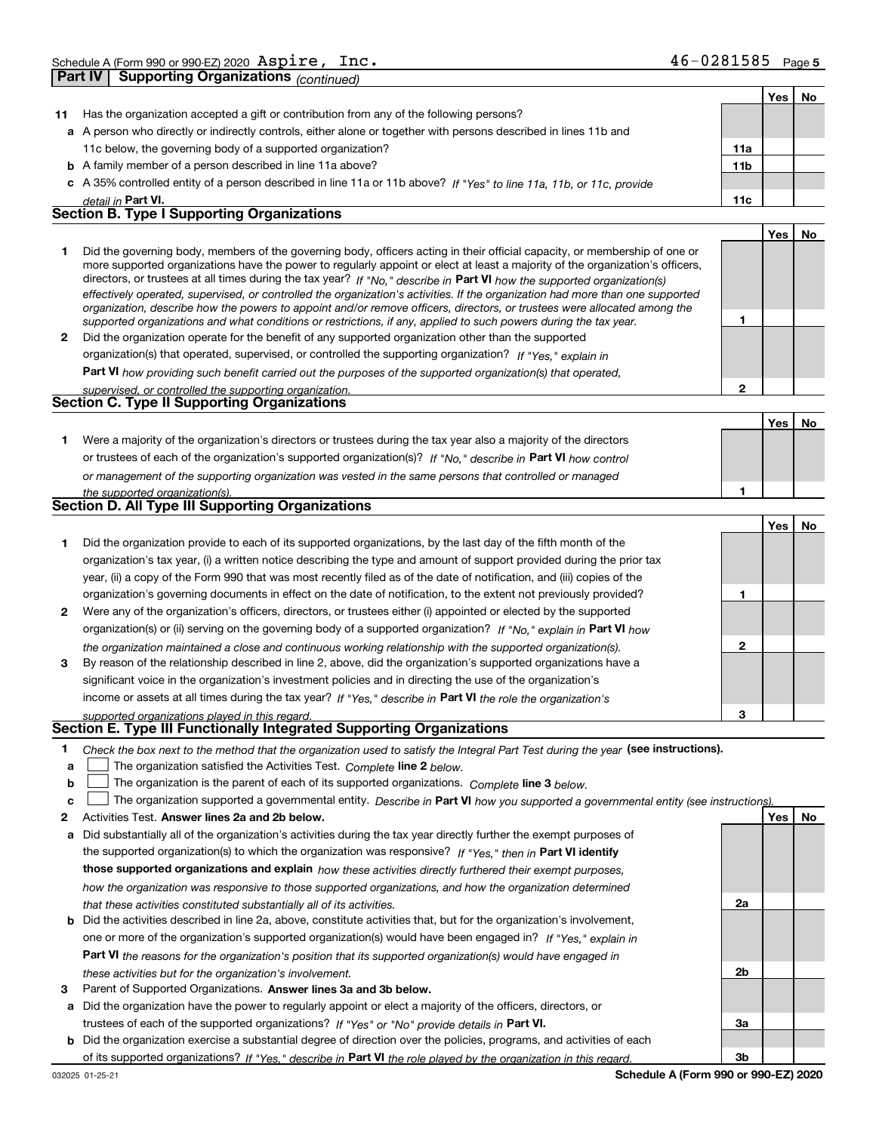| 46-0281585<br>Page 5 |  |
|----------------------|--|
|----------------------|--|

|                  |                                                                                                                                                                                                                                                                                                                                                                                                                                                                                                                                                                                                                                                      |                 | Yes        | No |
|------------------|------------------------------------------------------------------------------------------------------------------------------------------------------------------------------------------------------------------------------------------------------------------------------------------------------------------------------------------------------------------------------------------------------------------------------------------------------------------------------------------------------------------------------------------------------------------------------------------------------------------------------------------------------|-----------------|------------|----|
| 11               | Has the organization accepted a gift or contribution from any of the following persons?                                                                                                                                                                                                                                                                                                                                                                                                                                                                                                                                                              |                 |            |    |
|                  | a A person who directly or indirectly controls, either alone or together with persons described in lines 11b and                                                                                                                                                                                                                                                                                                                                                                                                                                                                                                                                     |                 |            |    |
|                  | 11c below, the governing body of a supported organization?                                                                                                                                                                                                                                                                                                                                                                                                                                                                                                                                                                                           | 11a             |            |    |
|                  | <b>b</b> A family member of a person described in line 11a above?                                                                                                                                                                                                                                                                                                                                                                                                                                                                                                                                                                                    | 11 <sub>b</sub> |            |    |
|                  | c A 35% controlled entity of a person described in line 11a or 11b above? If "Yes" to line 11a, 11b, or 11c, provide                                                                                                                                                                                                                                                                                                                                                                                                                                                                                                                                 |                 |            |    |
|                  | detail in Part VI.                                                                                                                                                                                                                                                                                                                                                                                                                                                                                                                                                                                                                                   | 11c             |            |    |
|                  | <b>Section B. Type I Supporting Organizations</b>                                                                                                                                                                                                                                                                                                                                                                                                                                                                                                                                                                                                    |                 |            |    |
|                  |                                                                                                                                                                                                                                                                                                                                                                                                                                                                                                                                                                                                                                                      |                 | <b>Yes</b> | No |
| 1                | Did the governing body, members of the governing body, officers acting in their official capacity, or membership of one or<br>more supported organizations have the power to regularly appoint or elect at least a majority of the organization's officers,<br>directors, or trustees at all times during the tax year? If "No," describe in Part VI how the supported organization(s)<br>effectively operated, supervised, or controlled the organization's activities. If the organization had more than one supported<br>organization, describe how the powers to appoint and/or remove officers, directors, or trustees were allocated among the | 1               |            |    |
|                  | supported organizations and what conditions or restrictions, if any, applied to such powers during the tax year.<br>2 Did the organization operate for the benefit of any supported organization other than the supported                                                                                                                                                                                                                                                                                                                                                                                                                            |                 |            |    |
|                  | organization(s) that operated, supervised, or controlled the supporting organization? If "Yes," explain in                                                                                                                                                                                                                                                                                                                                                                                                                                                                                                                                           |                 |            |    |
|                  |                                                                                                                                                                                                                                                                                                                                                                                                                                                                                                                                                                                                                                                      |                 |            |    |
|                  | <b>Part VI</b> how providing such benefit carried out the purposes of the supported organization(s) that operated,                                                                                                                                                                                                                                                                                                                                                                                                                                                                                                                                   | $\mathbf{2}$    |            |    |
|                  | supervised, or controlled the supporting organization.<br><b>Section C. Type II Supporting Organizations</b>                                                                                                                                                                                                                                                                                                                                                                                                                                                                                                                                         |                 |            |    |
|                  |                                                                                                                                                                                                                                                                                                                                                                                                                                                                                                                                                                                                                                                      |                 | Yes        | No |
|                  |                                                                                                                                                                                                                                                                                                                                                                                                                                                                                                                                                                                                                                                      |                 |            |    |
| 1.               | Were a majority of the organization's directors or trustees during the tax year also a majority of the directors                                                                                                                                                                                                                                                                                                                                                                                                                                                                                                                                     |                 |            |    |
|                  | or trustees of each of the organization's supported organization(s)? If "No," describe in Part VI how control                                                                                                                                                                                                                                                                                                                                                                                                                                                                                                                                        |                 |            |    |
|                  | or management of the supporting organization was vested in the same persons that controlled or managed                                                                                                                                                                                                                                                                                                                                                                                                                                                                                                                                               |                 |            |    |
|                  | the supported organization(s).<br><b>Section D. All Type III Supporting Organizations</b>                                                                                                                                                                                                                                                                                                                                                                                                                                                                                                                                                            | 1               |            |    |
|                  |                                                                                                                                                                                                                                                                                                                                                                                                                                                                                                                                                                                                                                                      |                 |            |    |
|                  |                                                                                                                                                                                                                                                                                                                                                                                                                                                                                                                                                                                                                                                      |                 | Yes        | No |
| 1.               | Did the organization provide to each of its supported organizations, by the last day of the fifth month of the                                                                                                                                                                                                                                                                                                                                                                                                                                                                                                                                       |                 |            |    |
|                  | organization's tax year, (i) a written notice describing the type and amount of support provided during the prior tax                                                                                                                                                                                                                                                                                                                                                                                                                                                                                                                                |                 |            |    |
|                  | year, (ii) a copy of the Form 990 that was most recently filed as of the date of notification, and (iii) copies of the                                                                                                                                                                                                                                                                                                                                                                                                                                                                                                                               |                 |            |    |
|                  | organization's governing documents in effect on the date of notification, to the extent not previously provided?                                                                                                                                                                                                                                                                                                                                                                                                                                                                                                                                     | 1               |            |    |
| 2                | Were any of the organization's officers, directors, or trustees either (i) appointed or elected by the supported                                                                                                                                                                                                                                                                                                                                                                                                                                                                                                                                     |                 |            |    |
|                  | organization(s) or (ii) serving on the governing body of a supported organization? If "No," explain in Part VI how                                                                                                                                                                                                                                                                                                                                                                                                                                                                                                                                   |                 |            |    |
| 3                | the organization maintained a close and continuous working relationship with the supported organization(s).<br>By reason of the relationship described in line 2, above, did the organization's supported organizations have a                                                                                                                                                                                                                                                                                                                                                                                                                       | $\mathbf{2}$    |            |    |
|                  | significant voice in the organization's investment policies and in directing the use of the organization's                                                                                                                                                                                                                                                                                                                                                                                                                                                                                                                                           |                 |            |    |
|                  | income or assets at all times during the tax year? If "Yes," describe in Part VI the role the organization's                                                                                                                                                                                                                                                                                                                                                                                                                                                                                                                                         |                 |            |    |
|                  | supported organizations played in this regard.                                                                                                                                                                                                                                                                                                                                                                                                                                                                                                                                                                                                       | 3               |            |    |
|                  | Section E. Type III Functionally Integrated Supporting Organizations                                                                                                                                                                                                                                                                                                                                                                                                                                                                                                                                                                                 |                 |            |    |
| 1<br>a<br>b<br>C | Check the box next to the method that the organization used to satisfy the Integral Part Test during the year (see instructions).<br>The organization satisfied the Activities Test. Complete line 2 below.<br>The organization is the parent of each of its supported organizations. Complete line 3 below.<br>The organization supported a governmental entity. Describe in Part VI how you supported a governmental entity (see instructions).                                                                                                                                                                                                    |                 |            |    |
| 2                | Activities Test. Answer lines 2a and 2b below.                                                                                                                                                                                                                                                                                                                                                                                                                                                                                                                                                                                                       |                 | <b>Yes</b> | No |
| а                | Did substantially all of the organization's activities during the tax year directly further the exempt purposes of                                                                                                                                                                                                                                                                                                                                                                                                                                                                                                                                   |                 |            |    |
|                  | the supported organization(s) to which the organization was responsive? If "Yes," then in Part VI identify                                                                                                                                                                                                                                                                                                                                                                                                                                                                                                                                           |                 |            |    |
|                  | those supported organizations and explain how these activities directly furthered their exempt purposes,                                                                                                                                                                                                                                                                                                                                                                                                                                                                                                                                             |                 |            |    |
|                  | how the organization was responsive to those supported organizations, and how the organization determined                                                                                                                                                                                                                                                                                                                                                                                                                                                                                                                                            |                 |            |    |
|                  | that these activities constituted substantially all of its activities.                                                                                                                                                                                                                                                                                                                                                                                                                                                                                                                                                                               | 2a              |            |    |
|                  | <b>b</b> Did the activities described in line 2a, above, constitute activities that, but for the organization's involvement,                                                                                                                                                                                                                                                                                                                                                                                                                                                                                                                         |                 |            |    |
|                  | one or more of the organization's supported organization(s) would have been engaged in? If "Yes," explain in                                                                                                                                                                                                                                                                                                                                                                                                                                                                                                                                         |                 |            |    |
|                  | Part VI the reasons for the organization's position that its supported organization(s) would have engaged in                                                                                                                                                                                                                                                                                                                                                                                                                                                                                                                                         |                 |            |    |
|                  | these activities but for the organization's involvement.                                                                                                                                                                                                                                                                                                                                                                                                                                                                                                                                                                                             | 2b              |            |    |

**3** Parent of Supported Organizations. Answer lines 3a and 3b below.

**a** Did the organization have the power to regularly appoint or elect a majority of the officers, directors, or trustees of each of the supported organizations? If "Yes" or "No" provide details in **Part VI.** 

**b** Did the organization exercise a substantial degree of direction over the policies, programs, and activities of each of its supported organizations? If "Yes," describe in Part VI the role played by the organization in this regard.

**3a**

**3b**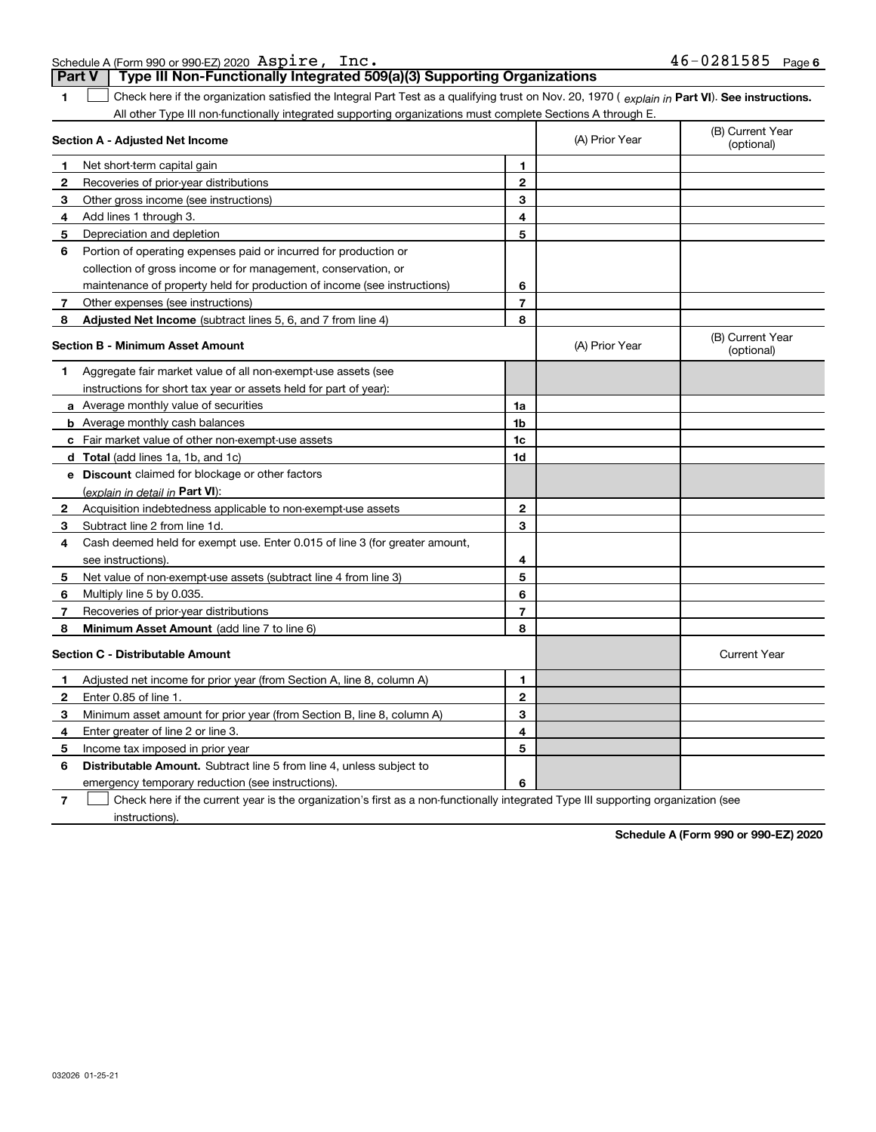Schedule A (Form 990 or 990-EZ) 2020 Page

|              | Type III Non-Functionally Integrated 509(a)(3) Supporting Organizations<br>Part V                                                              |                |                |                                |
|--------------|------------------------------------------------------------------------------------------------------------------------------------------------|----------------|----------------|--------------------------------|
| 1            | Check here if the organization satisfied the Integral Part Test as a qualifying trust on Nov. 20, 1970 (explain in Part VI). See instructions. |                |                |                                |
|              | All other Type III non-functionally integrated supporting organizations must complete Sections A through E.                                    |                |                |                                |
|              | Section A - Adjusted Net Income                                                                                                                |                | (A) Prior Year | (B) Current Year<br>(optional) |
| 1.           | Net short-term capital gain                                                                                                                    | 1              |                |                                |
| 2            | Recoveries of prior-year distributions                                                                                                         | $\mathbf{2}$   |                |                                |
| 3            | Other gross income (see instructions)                                                                                                          | 3              |                |                                |
| 4            | Add lines 1 through 3.                                                                                                                         | 4              |                |                                |
| 5            | Depreciation and depletion                                                                                                                     | 5              |                |                                |
| 6            | Portion of operating expenses paid or incurred for production or                                                                               |                |                |                                |
|              | collection of gross income or for management, conservation, or                                                                                 |                |                |                                |
|              | maintenance of property held for production of income (see instructions)                                                                       | 6              |                |                                |
| 7            | Other expenses (see instructions)                                                                                                              | $\overline{7}$ |                |                                |
| 8            | <b>Adjusted Net Income</b> (subtract lines 5, 6, and 7 from line 4)                                                                            | 8              |                |                                |
|              | <b>Section B - Minimum Asset Amount</b>                                                                                                        |                | (A) Prior Year | (B) Current Year<br>(optional) |
| 1            | Aggregate fair market value of all non-exempt-use assets (see                                                                                  |                |                |                                |
|              | instructions for short tax year or assets held for part of year):                                                                              |                |                |                                |
|              | a Average monthly value of securities                                                                                                          | 1a             |                |                                |
|              | <b>b</b> Average monthly cash balances                                                                                                         | 1 <sub>b</sub> |                |                                |
|              | c Fair market value of other non-exempt-use assets                                                                                             | 1c             |                |                                |
|              | d Total (add lines 1a, 1b, and 1c)                                                                                                             | 1d             |                |                                |
|              | <b>e</b> Discount claimed for blockage or other factors                                                                                        |                |                |                                |
|              | (explain in detail in Part VI):                                                                                                                |                |                |                                |
| $\mathbf{2}$ | Acquisition indebtedness applicable to non-exempt-use assets                                                                                   | $\mathbf{2}$   |                |                                |
| 3            | Subtract line 2 from line 1d.                                                                                                                  | 3              |                |                                |
| 4            | Cash deemed held for exempt use. Enter 0.015 of line 3 (for greater amount,                                                                    |                |                |                                |
|              | see instructions).                                                                                                                             | 4              |                |                                |
| 5            | Net value of non-exempt-use assets (subtract line 4 from line 3)                                                                               | 5              |                |                                |
| 6            | Multiply line 5 by 0.035.                                                                                                                      | 6              |                |                                |
| 7            | Recoveries of prior-year distributions                                                                                                         | $\overline{7}$ |                |                                |
| 8            | Minimum Asset Amount (add line 7 to line 6)                                                                                                    | 8              |                |                                |
|              | <b>Section C - Distributable Amount</b>                                                                                                        |                |                | <b>Current Year</b>            |
| 1            | Adjusted net income for prior year (from Section A, line 8, column A)                                                                          | 1              |                |                                |
| 2            | Enter 0.85 of line 1.                                                                                                                          | $\overline{2}$ |                |                                |
| з            | Minimum asset amount for prior year (from Section B, line 8, column A)                                                                         | 3              |                |                                |
| 4            | Enter greater of line 2 or line 3.                                                                                                             | 4              |                |                                |
| 5            | Income tax imposed in prior year                                                                                                               | 5              |                |                                |
| 6            | <b>Distributable Amount.</b> Subtract line 5 from line 4, unless subject to                                                                    |                |                |                                |
|              | emergency temporary reduction (see instructions).                                                                                              | 6              |                |                                |

**7**Check here if the current year is the organization's first as a non-functionally integrated Type III supporting organization (see instructions).

**Schedule A (Form 990 or 990-EZ) 2020**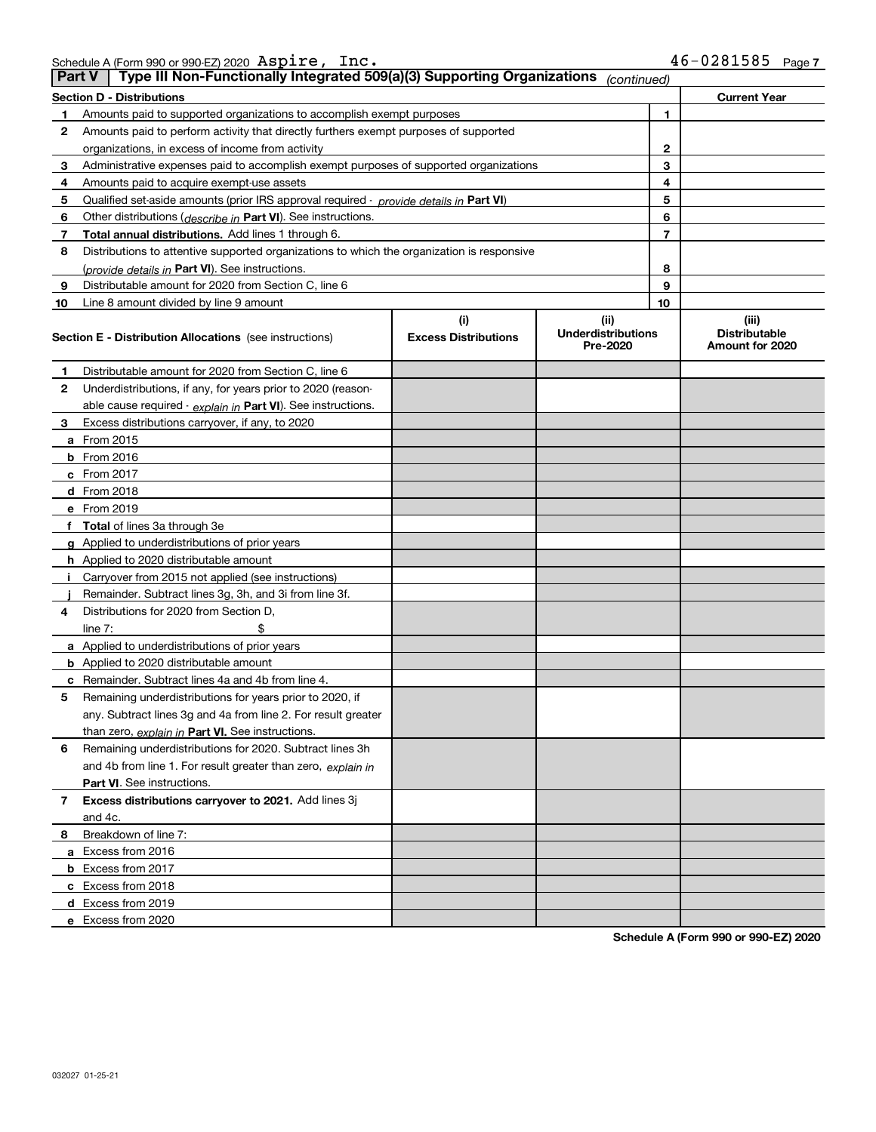| Schedule A (Form 990 or 990-EZ) 2020 $\>$ <code>ASDire</code> , | $\texttt{inc}.$ | 46-0281585 | Page |
|-----------------------------------------------------------------|-----------------|------------|------|
|                                                                 |                 |            |      |

| <b>Part V</b> | Type III Non-Functionally Integrated 509(a)(3) Supporting Organizations                    |                             | (continued)                           |                                         |  |  |  |
|---------------|--------------------------------------------------------------------------------------------|-----------------------------|---------------------------------------|-----------------------------------------|--|--|--|
|               | <b>Section D - Distributions</b><br><b>Current Year</b>                                    |                             |                                       |                                         |  |  |  |
| 1             | Amounts paid to supported organizations to accomplish exempt purposes                      |                             | 1                                     |                                         |  |  |  |
| 2             | Amounts paid to perform activity that directly furthers exempt purposes of supported       |                             |                                       |                                         |  |  |  |
|               | organizations, in excess of income from activity                                           |                             | $\mathbf{2}$                          |                                         |  |  |  |
| 3             | Administrative expenses paid to accomplish exempt purposes of supported organizations      |                             | 3                                     |                                         |  |  |  |
| 4             | Amounts paid to acquire exempt-use assets                                                  |                             | 4                                     |                                         |  |  |  |
| 5             | Qualified set-aside amounts (prior IRS approval required - provide details in Part VI)     |                             | 5                                     |                                         |  |  |  |
| 6             | Other distributions ( <i>describe in</i> Part VI). See instructions.                       |                             | 6                                     |                                         |  |  |  |
| 7             | Total annual distributions. Add lines 1 through 6.                                         |                             | $\overline{7}$                        |                                         |  |  |  |
| 8             | Distributions to attentive supported organizations to which the organization is responsive |                             |                                       |                                         |  |  |  |
|               | (provide details in Part VI). See instructions.                                            |                             | 8                                     |                                         |  |  |  |
| 9             | Distributable amount for 2020 from Section C, line 6                                       |                             | 9                                     |                                         |  |  |  |
| 10            | Line 8 amount divided by line 9 amount                                                     |                             | 10                                    |                                         |  |  |  |
|               |                                                                                            | (i)                         | (ii)                                  | (iii)                                   |  |  |  |
|               | <b>Section E - Distribution Allocations</b> (see instructions)                             | <b>Excess Distributions</b> | <b>Underdistributions</b><br>Pre-2020 | <b>Distributable</b><br>Amount for 2020 |  |  |  |
| 1             | Distributable amount for 2020 from Section C, line 6                                       |                             |                                       |                                         |  |  |  |
| 2             | Underdistributions, if any, for years prior to 2020 (reason-                               |                             |                                       |                                         |  |  |  |
|               | able cause required - explain in Part VI). See instructions.                               |                             |                                       |                                         |  |  |  |
| 3             | Excess distributions carryover, if any, to 2020                                            |                             |                                       |                                         |  |  |  |
|               | a From 2015                                                                                |                             |                                       |                                         |  |  |  |
|               | <b>b</b> From 2016                                                                         |                             |                                       |                                         |  |  |  |
|               | $c$ From 2017                                                                              |                             |                                       |                                         |  |  |  |
|               | d From 2018                                                                                |                             |                                       |                                         |  |  |  |
|               | e From 2019                                                                                |                             |                                       |                                         |  |  |  |
|               | f Total of lines 3a through 3e                                                             |                             |                                       |                                         |  |  |  |
|               | g Applied to underdistributions of prior years                                             |                             |                                       |                                         |  |  |  |
|               | <b>h</b> Applied to 2020 distributable amount                                              |                             |                                       |                                         |  |  |  |
|               | Carryover from 2015 not applied (see instructions)                                         |                             |                                       |                                         |  |  |  |
|               | Remainder. Subtract lines 3g, 3h, and 3i from line 3f.                                     |                             |                                       |                                         |  |  |  |
| 4             | Distributions for 2020 from Section D,                                                     |                             |                                       |                                         |  |  |  |
|               | line $7:$                                                                                  |                             |                                       |                                         |  |  |  |
|               | a Applied to underdistributions of prior years                                             |                             |                                       |                                         |  |  |  |
|               | <b>b</b> Applied to 2020 distributable amount                                              |                             |                                       |                                         |  |  |  |
|               | c Remainder. Subtract lines 4a and 4b from line 4.                                         |                             |                                       |                                         |  |  |  |
| 5.            | Remaining underdistributions for years prior to 2020, if                                   |                             |                                       |                                         |  |  |  |
|               | any. Subtract lines 3g and 4a from line 2. For result greater                              |                             |                                       |                                         |  |  |  |
|               | than zero, explain in Part VI. See instructions.                                           |                             |                                       |                                         |  |  |  |
| 6             | Remaining underdistributions for 2020. Subtract lines 3h                                   |                             |                                       |                                         |  |  |  |
|               | and 4b from line 1. For result greater than zero, explain in                               |                             |                                       |                                         |  |  |  |
|               | Part VI. See instructions.                                                                 |                             |                                       |                                         |  |  |  |
| 7             | Excess distributions carryover to 2021. Add lines 3j                                       |                             |                                       |                                         |  |  |  |
|               | and 4c.                                                                                    |                             |                                       |                                         |  |  |  |
| 8             | Breakdown of line 7:                                                                       |                             |                                       |                                         |  |  |  |
|               | a Excess from 2016                                                                         |                             |                                       |                                         |  |  |  |
|               | <b>b</b> Excess from 2017                                                                  |                             |                                       |                                         |  |  |  |
|               | c Excess from 2018                                                                         |                             |                                       |                                         |  |  |  |
|               | d Excess from 2019                                                                         |                             |                                       |                                         |  |  |  |
|               | e Excess from 2020                                                                         |                             |                                       |                                         |  |  |  |

**Schedule A (Form 990 or 990-EZ) 2020**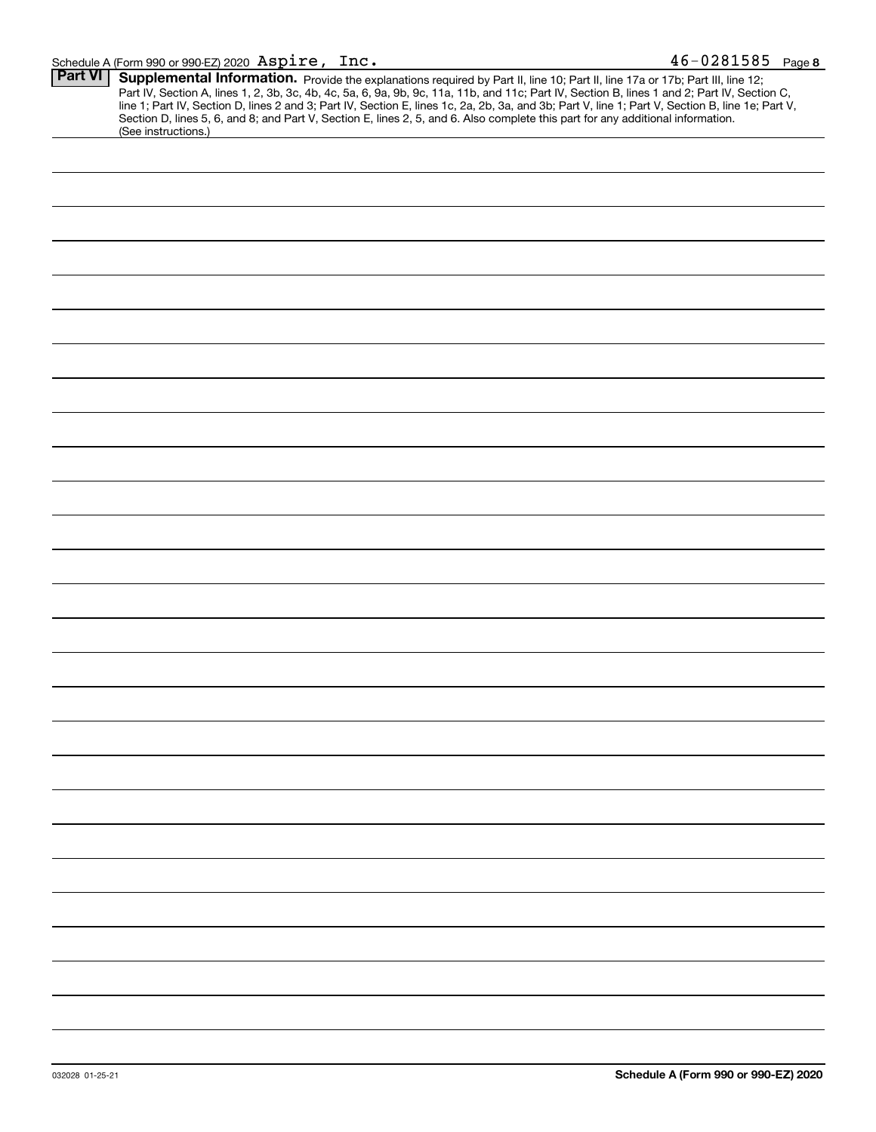| Part VI | Supplemental Information. Provide the explanations required by Part II, line 10; Part II, line 17a or 17b; Part III, line 12;                    |
|---------|--------------------------------------------------------------------------------------------------------------------------------------------------|
|         | Part IV, Section A, lines 1, 2, 3b, 3c, 4b, 4c, 5a, 6, 9a, 9b, 9c, 11a, 11b, and 11c; Part IV, Section B, lines 1 and 2; Part IV, Section C,     |
|         | line 1; Part IV, Section D, lines 2 and 3; Part IV, Section E, lines 1c, 2a, 2b, 3a, and 3b; Part V, line 1; Part V, Section B, line 1e; Part V, |
|         | Section D, lines 5, 6, and 8; and Part V, Section E, lines 2, 5, and 6. Also complete this part for any additional information.                  |
|         | (See instructions.)                                                                                                                              |
|         |                                                                                                                                                  |
|         |                                                                                                                                                  |
|         |                                                                                                                                                  |
|         |                                                                                                                                                  |
|         |                                                                                                                                                  |
|         |                                                                                                                                                  |
|         |                                                                                                                                                  |
|         |                                                                                                                                                  |
|         |                                                                                                                                                  |
|         |                                                                                                                                                  |
|         |                                                                                                                                                  |
|         |                                                                                                                                                  |
|         |                                                                                                                                                  |
|         |                                                                                                                                                  |
|         |                                                                                                                                                  |
|         |                                                                                                                                                  |
|         |                                                                                                                                                  |
|         |                                                                                                                                                  |
|         |                                                                                                                                                  |
|         |                                                                                                                                                  |
|         |                                                                                                                                                  |
|         |                                                                                                                                                  |
|         |                                                                                                                                                  |
|         |                                                                                                                                                  |
|         |                                                                                                                                                  |
|         |                                                                                                                                                  |
|         |                                                                                                                                                  |
|         |                                                                                                                                                  |
|         |                                                                                                                                                  |
|         |                                                                                                                                                  |
|         |                                                                                                                                                  |
|         |                                                                                                                                                  |
|         |                                                                                                                                                  |
|         |                                                                                                                                                  |
|         |                                                                                                                                                  |
|         |                                                                                                                                                  |
|         |                                                                                                                                                  |
|         |                                                                                                                                                  |
|         |                                                                                                                                                  |
|         |                                                                                                                                                  |
|         |                                                                                                                                                  |
|         |                                                                                                                                                  |
|         |                                                                                                                                                  |
|         |                                                                                                                                                  |
|         |                                                                                                                                                  |
|         |                                                                                                                                                  |
|         |                                                                                                                                                  |
|         |                                                                                                                                                  |
|         |                                                                                                                                                  |
|         |                                                                                                                                                  |
|         |                                                                                                                                                  |
|         |                                                                                                                                                  |
|         |                                                                                                                                                  |
|         |                                                                                                                                                  |
|         |                                                                                                                                                  |
|         |                                                                                                                                                  |
|         |                                                                                                                                                  |
|         |                                                                                                                                                  |
|         |                                                                                                                                                  |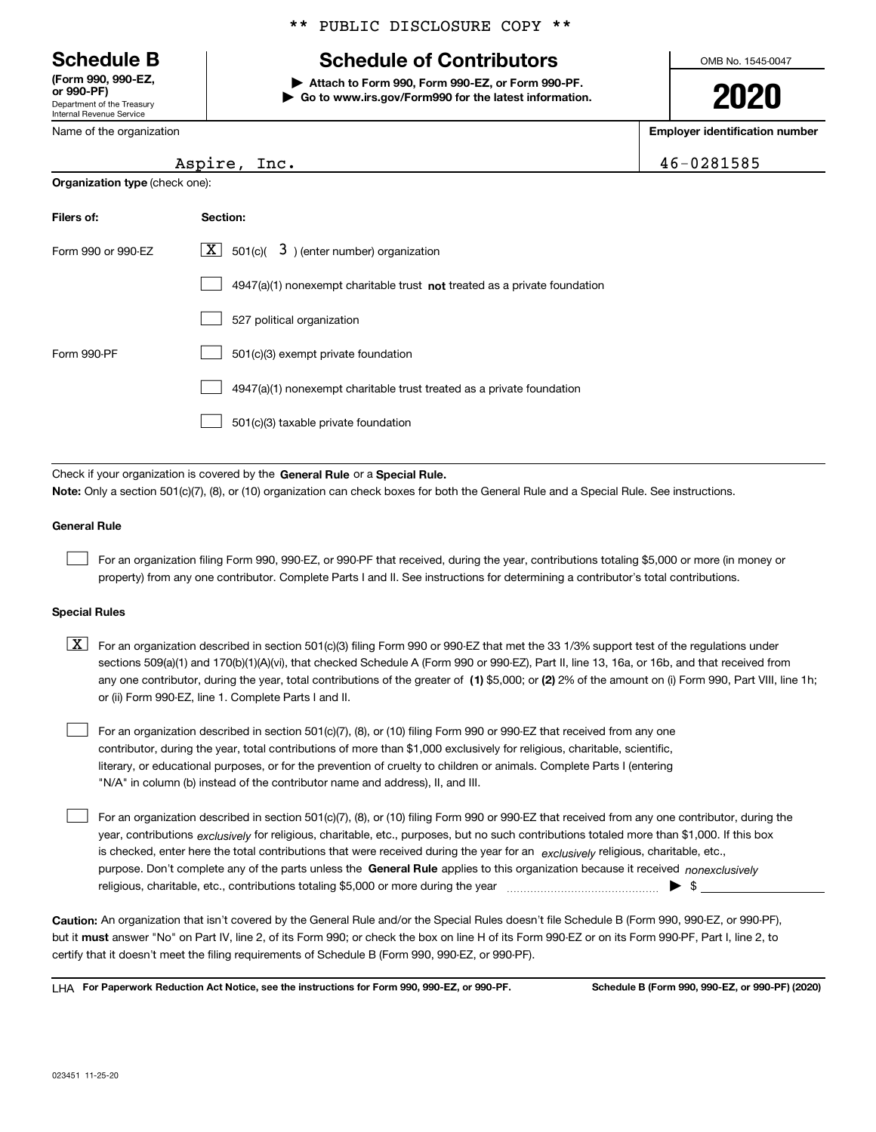Department of the Treasury Internal Revenue Service **(Form 990, 990-EZ, or 990-PF)**

Name of the organization

**Organization type** (check one):

#### \*\* PUBLIC DISCLOSURE COPY \*\*

# **Schedule B Schedule of Contributors**

**| Attach to Form 990, Form 990-EZ, or Form 990-PF. | Go to www.irs.gov/Form990 for the latest information.** OMB No. 1545-0047

# **2020**

**Employer identification number**

|  | 6-0281585 |
|--|-----------|
|--|-----------|

| Filers of:         | Section:                                                                    |
|--------------------|-----------------------------------------------------------------------------|
| Form 990 or 990-EZ | $ \mathbf{X} $ 501(c)( 3) (enter number) organization                       |
|                    | $4947(a)(1)$ nonexempt charitable trust not treated as a private foundation |
|                    | 527 political organization                                                  |
| Form 990-PF        | 501(c)(3) exempt private foundation                                         |
|                    | 4947(a)(1) nonexempt charitable trust treated as a private foundation       |
|                    | 501(c)(3) taxable private foundation                                        |

Check if your organization is covered by the **General Rule** or a **Special Rule. Note:**  Only a section 501(c)(7), (8), or (10) organization can check boxes for both the General Rule and a Special Rule. See instructions.

#### **General Rule**

 $\mathcal{L}^{\text{max}}$ 

For an organization filing Form 990, 990-EZ, or 990-PF that received, during the year, contributions totaling \$5,000 or more (in money or property) from any one contributor. Complete Parts I and II. See instructions for determining a contributor's total contributions.

#### **Special Rules**

any one contributor, during the year, total contributions of the greater of  $\,$  (1) \$5,000; or **(2)** 2% of the amount on (i) Form 990, Part VIII, line 1h;  $\boxed{\textbf{X}}$  For an organization described in section 501(c)(3) filing Form 990 or 990-EZ that met the 33 1/3% support test of the regulations under sections 509(a)(1) and 170(b)(1)(A)(vi), that checked Schedule A (Form 990 or 990-EZ), Part II, line 13, 16a, or 16b, and that received from or (ii) Form 990-EZ, line 1. Complete Parts I and II.

For an organization described in section 501(c)(7), (8), or (10) filing Form 990 or 990-EZ that received from any one contributor, during the year, total contributions of more than \$1,000 exclusively for religious, charitable, scientific, literary, or educational purposes, or for the prevention of cruelty to children or animals. Complete Parts I (entering "N/A" in column (b) instead of the contributor name and address), II, and III.  $\mathcal{L}^{\text{max}}$ 

purpose. Don't complete any of the parts unless the **General Rule** applies to this organization because it received *nonexclusively* year, contributions <sub>exclusively</sub> for religious, charitable, etc., purposes, but no such contributions totaled more than \$1,000. If this box is checked, enter here the total contributions that were received during the year for an  $\;$ exclusively religious, charitable, etc., For an organization described in section 501(c)(7), (8), or (10) filing Form 990 or 990-EZ that received from any one contributor, during the religious, charitable, etc., contributions totaling \$5,000 or more during the year  $\Box$ — $\Box$   $\Box$  $\mathcal{L}^{\text{max}}$ 

**Caution:**  An organization that isn't covered by the General Rule and/or the Special Rules doesn't file Schedule B (Form 990, 990-EZ, or 990-PF),  **must** but it answer "No" on Part IV, line 2, of its Form 990; or check the box on line H of its Form 990-EZ or on its Form 990-PF, Part I, line 2, to certify that it doesn't meet the filing requirements of Schedule B (Form 990, 990-EZ, or 990-PF).

**For Paperwork Reduction Act Notice, see the instructions for Form 990, 990-EZ, or 990-PF. Schedule B (Form 990, 990-EZ, or 990-PF) (2020)** LHA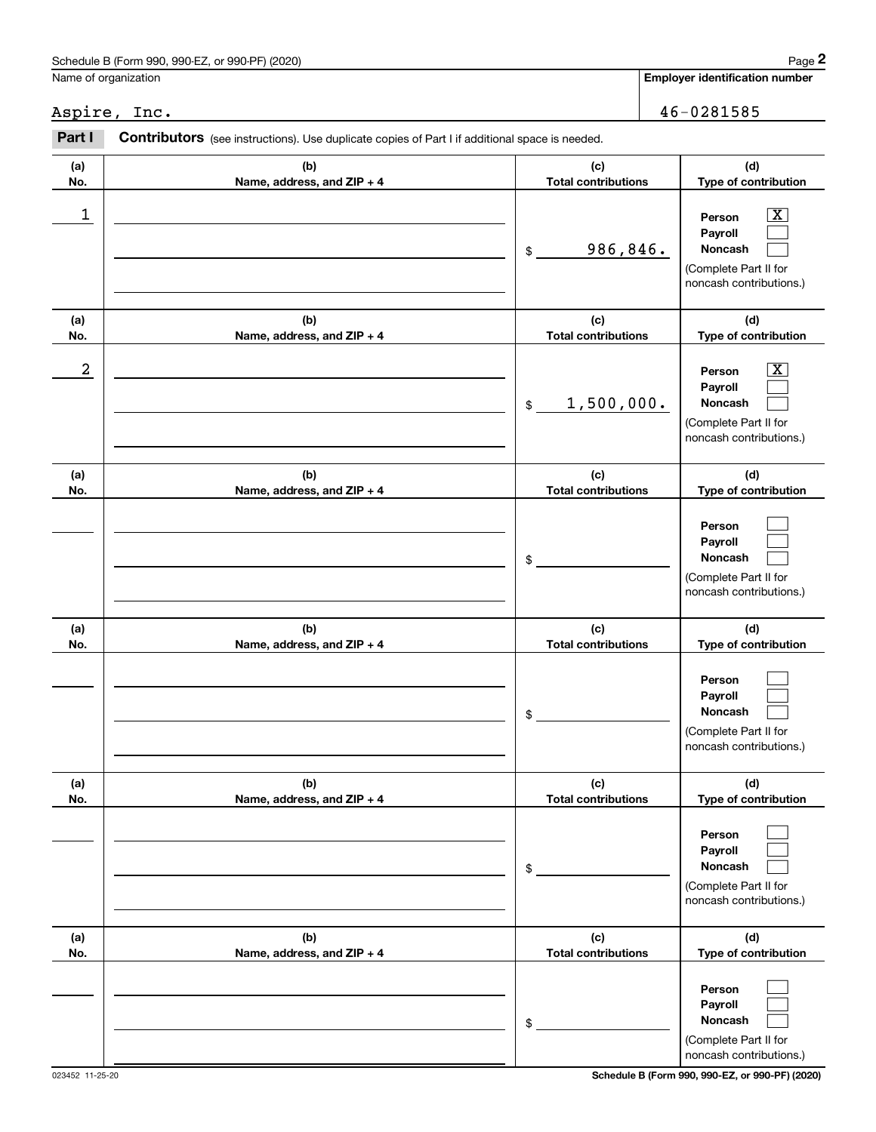## Schedule B (Form 990, 990-EZ, or 990-PF) (2020) Page 2 Name of organization

|                  | Schedule B (Form 990, 990-EZ, or 990-PF) (2020)                                                |                                   | Page 2                                                                                                      |
|------------------|------------------------------------------------------------------------------------------------|-----------------------------------|-------------------------------------------------------------------------------------------------------------|
|                  | Name of organization                                                                           |                                   | <b>Employer identification number</b>                                                                       |
|                  | Aspire, Inc.                                                                                   |                                   | 46-0281585                                                                                                  |
| Part I           | Contributors (see instructions). Use duplicate copies of Part I if additional space is needed. |                                   |                                                                                                             |
| (a)<br>No.       | (b)<br>Name, address, and ZIP + 4                                                              | (c)<br><b>Total contributions</b> | (d)<br>Type of contribution                                                                                 |
| 1                |                                                                                                | 986,846.<br>\$                    | $\overline{\mathbf{X}}$<br>Person<br>Payroll<br>Noncash<br>(Complete Part II for<br>noncash contributions.) |
| (a)<br>No.       | (b)<br>Name, address, and ZIP + 4                                                              | (c)<br><b>Total contributions</b> | (d)<br>Type of contribution                                                                                 |
| $\boldsymbol{2}$ |                                                                                                | 1,500,000.<br>\$                  | $\overline{\mathbf{X}}$<br>Person<br>Payroll<br>Noncash<br>(Complete Part II for<br>noncash contributions.) |
| (a)<br>No.       | (b)<br>Name, address, and ZIP + 4                                                              | (c)<br><b>Total contributions</b> | (d)<br>Type of contribution                                                                                 |
|                  |                                                                                                | \$                                | Person<br>Payroll<br>Noncash<br>(Complete Part II for<br>noncash contributions.)                            |
| (a)<br>No.       | (b)<br>Name, address, and ZIP + 4                                                              | (c)<br><b>Total contributions</b> | (d)<br>Type of contribution                                                                                 |
|                  |                                                                                                | \$                                | Person<br>Payroll<br>Noncash<br>(Complete Part II for<br>noncash contributions.)                            |
| (a)<br>No.       | (b)<br>Name, address, and ZIP + 4                                                              | (c)<br><b>Total contributions</b> | (d)<br>Type of contribution                                                                                 |
|                  |                                                                                                | \$                                | Person<br>Payroll<br>Noncash<br>(Complete Part II for<br>noncash contributions.)                            |
| (a)<br>No.       | (b)<br>Name, address, and ZIP + 4                                                              | (c)<br><b>Total contributions</b> | (d)<br>Type of contribution                                                                                 |
|                  |                                                                                                | \$                                | Person<br>Payroll<br>Noncash<br>(Complete Part II for<br>noncash contributions.)                            |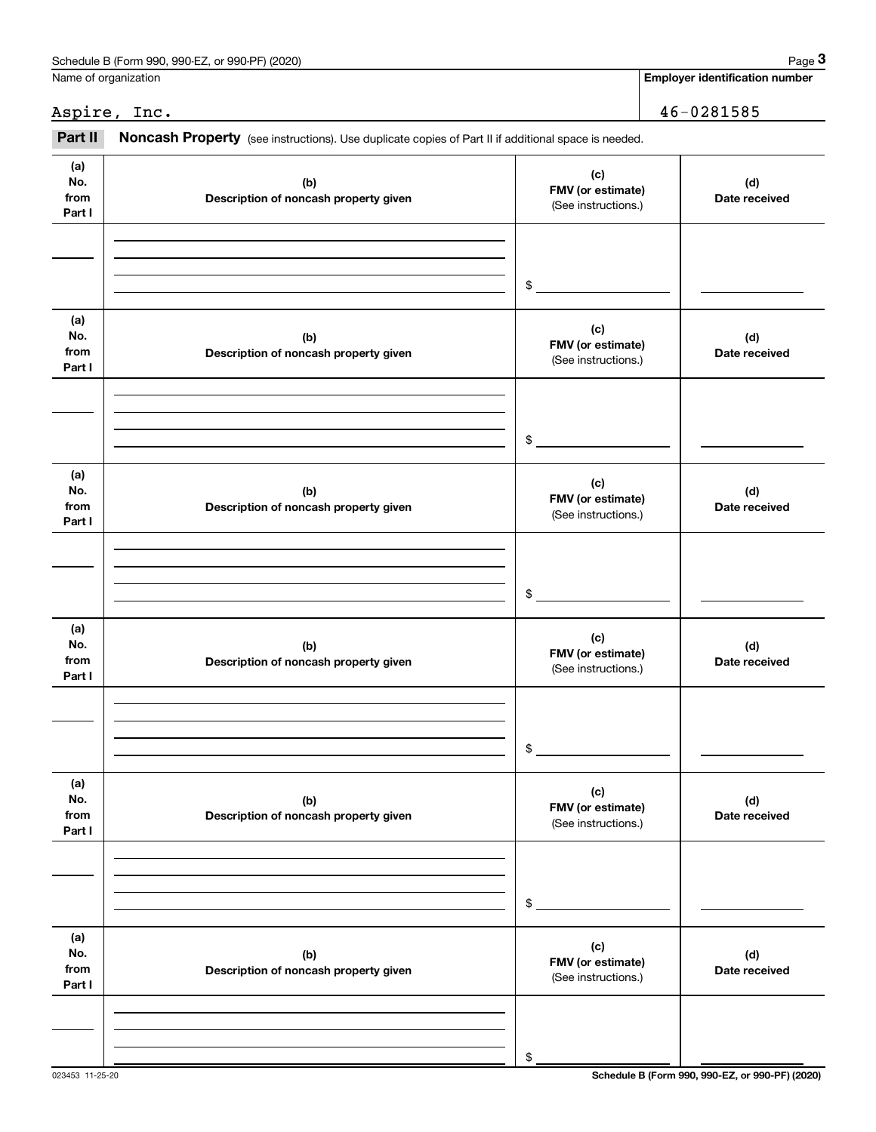| Schedule B (Form 990, 990-EZ, or 990-PF) (2020) | Page                           |
|-------------------------------------------------|--------------------------------|
| Name of organization                            | Emplover identification number |

|                              | Schedule B (Form 990, 990-EZ, or 990-PF) (2020)                                                     |                                                 | Page 3                                |
|------------------------------|-----------------------------------------------------------------------------------------------------|-------------------------------------------------|---------------------------------------|
| Name of organization         |                                                                                                     |                                                 | <b>Employer identification number</b> |
|                              | Aspire, Inc.                                                                                        |                                                 | 46-0281585                            |
| Part II                      | Noncash Property (see instructions). Use duplicate copies of Part II if additional space is needed. |                                                 |                                       |
| (a)<br>No.<br>from<br>Part I | (b)<br>Description of noncash property given                                                        | (c)<br>FMV (or estimate)<br>(See instructions.) | (d)<br>Date received                  |
|                              |                                                                                                     | \$                                              |                                       |
| (a)<br>No.<br>from<br>Part I | (b)<br>Description of noncash property given                                                        | (c)<br>FMV (or estimate)<br>(See instructions.) | (d)<br>Date received                  |
|                              |                                                                                                     | \$                                              |                                       |
| (a)<br>No.<br>from<br>Part I | (b)<br>Description of noncash property given                                                        | (c)<br>FMV (or estimate)<br>(See instructions.) | (d)<br>Date received                  |
|                              |                                                                                                     | \$                                              |                                       |
| (a)<br>No.<br>from<br>Part I | (b)<br>Description of noncash property given                                                        | (c)<br>FMV (or estimate)<br>(See instructions.) | (d)<br>Date received                  |
|                              |                                                                                                     | \$                                              |                                       |
| (a)<br>No.<br>from<br>Part I | (b)<br>Description of noncash property given                                                        | (c)<br>FMV (or estimate)<br>(See instructions.) | (d)<br>Date received                  |
|                              |                                                                                                     | \$                                              |                                       |
| (a)<br>No.<br>from<br>Part I | (b)<br>Description of noncash property given                                                        | (c)<br>FMV (or estimate)<br>(See instructions.) | (d)<br>Date received                  |
|                              |                                                                                                     |                                                 |                                       |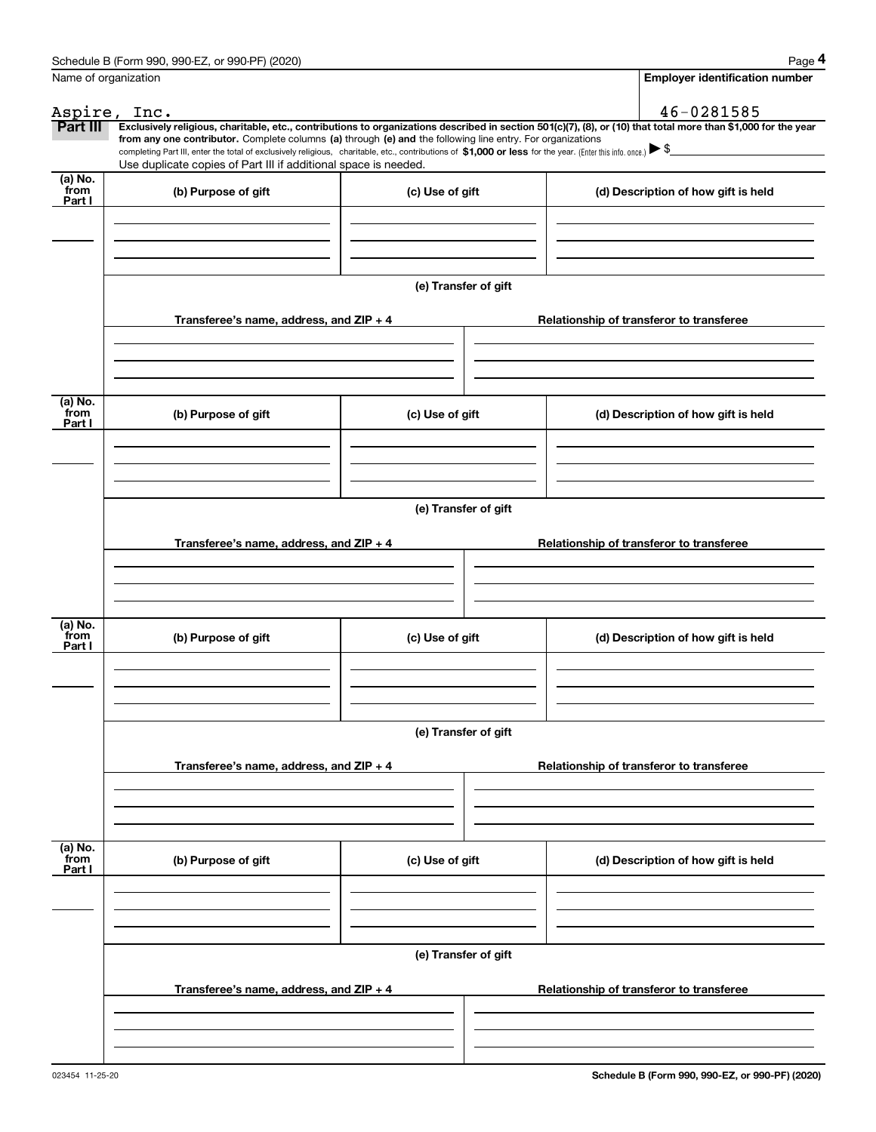|                           | Schedule B (Form 990, 990-EZ, or 990-PF) (2020)                                                                                                                                                                                                      |                      | Page 4                                                                                                                                                         |
|---------------------------|------------------------------------------------------------------------------------------------------------------------------------------------------------------------------------------------------------------------------------------------------|----------------------|----------------------------------------------------------------------------------------------------------------------------------------------------------------|
|                           | Name of organization                                                                                                                                                                                                                                 |                      | <b>Employer identification number</b>                                                                                                                          |
|                           | Aspire, Inc.                                                                                                                                                                                                                                         |                      | 46-0281585                                                                                                                                                     |
| Part III                  | from any one contributor. Complete columns (a) through (e) and the following line entry. For organizations                                                                                                                                           |                      | Exclusively religious, charitable, etc., contributions to organizations described in section 501(c)(7), (8), or (10) that total more than \$1,000 for the year |
|                           | completing Part III, enter the total of exclusively religious, charitable, etc., contributions of \$1,000 or less for the year. (Enter this info. once.) $\blacktriangleright$ \$<br>Use duplicate copies of Part III if additional space is needed. |                      |                                                                                                                                                                |
| (a) No.<br>from           |                                                                                                                                                                                                                                                      |                      |                                                                                                                                                                |
| Part I                    | (b) Purpose of gift                                                                                                                                                                                                                                  | (c) Use of gift      | (d) Description of how gift is held                                                                                                                            |
|                           |                                                                                                                                                                                                                                                      |                      |                                                                                                                                                                |
|                           |                                                                                                                                                                                                                                                      |                      |                                                                                                                                                                |
|                           |                                                                                                                                                                                                                                                      |                      |                                                                                                                                                                |
|                           |                                                                                                                                                                                                                                                      | (e) Transfer of gift |                                                                                                                                                                |
|                           | Transferee's name, address, and ZIP + 4                                                                                                                                                                                                              |                      | Relationship of transferor to transferee                                                                                                                       |
|                           |                                                                                                                                                                                                                                                      |                      |                                                                                                                                                                |
|                           |                                                                                                                                                                                                                                                      |                      |                                                                                                                                                                |
|                           |                                                                                                                                                                                                                                                      |                      |                                                                                                                                                                |
| (a) No.<br>from           | (b) Purpose of gift                                                                                                                                                                                                                                  | (c) Use of gift      | (d) Description of how gift is held                                                                                                                            |
| Part I                    |                                                                                                                                                                                                                                                      |                      |                                                                                                                                                                |
|                           |                                                                                                                                                                                                                                                      |                      |                                                                                                                                                                |
|                           |                                                                                                                                                                                                                                                      |                      |                                                                                                                                                                |
|                           |                                                                                                                                                                                                                                                      | (e) Transfer of gift |                                                                                                                                                                |
|                           |                                                                                                                                                                                                                                                      |                      |                                                                                                                                                                |
|                           | Transferee's name, address, and ZIP + 4                                                                                                                                                                                                              |                      | Relationship of transferor to transferee                                                                                                                       |
|                           |                                                                                                                                                                                                                                                      |                      |                                                                                                                                                                |
|                           |                                                                                                                                                                                                                                                      |                      |                                                                                                                                                                |
| (a) No.                   |                                                                                                                                                                                                                                                      |                      |                                                                                                                                                                |
| from<br>Part I            | (b) Purpose of gift                                                                                                                                                                                                                                  | (c) Use of gift      | (d) Description of how gift is held                                                                                                                            |
|                           |                                                                                                                                                                                                                                                      |                      |                                                                                                                                                                |
|                           |                                                                                                                                                                                                                                                      |                      |                                                                                                                                                                |
|                           |                                                                                                                                                                                                                                                      |                      |                                                                                                                                                                |
|                           |                                                                                                                                                                                                                                                      | (e) Transfer of gift |                                                                                                                                                                |
|                           | Transferee's name, address, and ZIP + 4                                                                                                                                                                                                              |                      | Relationship of transferor to transferee                                                                                                                       |
|                           |                                                                                                                                                                                                                                                      |                      |                                                                                                                                                                |
|                           |                                                                                                                                                                                                                                                      |                      |                                                                                                                                                                |
|                           |                                                                                                                                                                                                                                                      |                      |                                                                                                                                                                |
| (a) No.<br>from<br>Part I | (b) Purpose of gift                                                                                                                                                                                                                                  | (c) Use of gift      | (d) Description of how gift is held                                                                                                                            |
|                           |                                                                                                                                                                                                                                                      |                      |                                                                                                                                                                |
|                           |                                                                                                                                                                                                                                                      |                      |                                                                                                                                                                |
|                           |                                                                                                                                                                                                                                                      |                      |                                                                                                                                                                |
|                           |                                                                                                                                                                                                                                                      | (e) Transfer of gift |                                                                                                                                                                |
|                           | Transferee's name, address, and ZIP + 4                                                                                                                                                                                                              |                      | Relationship of transferor to transferee                                                                                                                       |
|                           |                                                                                                                                                                                                                                                      |                      |                                                                                                                                                                |
|                           |                                                                                                                                                                                                                                                      |                      |                                                                                                                                                                |
|                           |                                                                                                                                                                                                                                                      |                      |                                                                                                                                                                |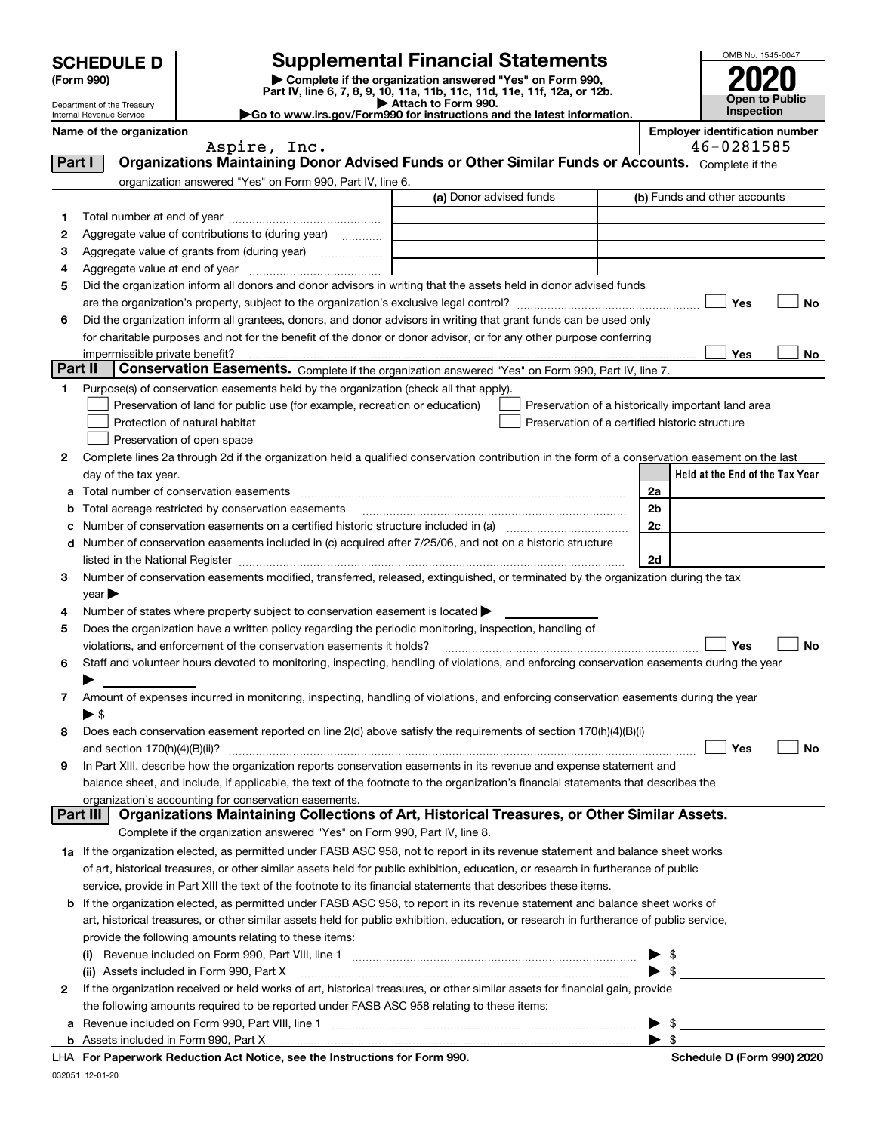Department of the Treasury Internal Revenue Service

032051 12-01-20

## **SCHEDULE D Supplemental Financial Statements**

(Form 990)<br>
Pepartment of the Treasury<br>
Department of the Treasury<br>
Department of the Treasury<br>
Department of the Treasury<br> **Co to www.irs.gov/Form990 for instructions and the latest information.**<br> **Co to www.irs.gov/Form9** 



|          | Name of the organization                                                                                                                                                                                                                |                         |            | <b>Employer identification number</b>              |  |  |  |  |  |
|----------|-----------------------------------------------------------------------------------------------------------------------------------------------------------------------------------------------------------------------------------------|-------------------------|------------|----------------------------------------------------|--|--|--|--|--|
|          | Aspire, Inc.                                                                                                                                                                                                                            |                         | 46-0281585 |                                                    |  |  |  |  |  |
| Part I   | Organizations Maintaining Donor Advised Funds or Other Similar Funds or Accounts. Complete if the                                                                                                                                       |                         |            |                                                    |  |  |  |  |  |
|          | organization answered "Yes" on Form 990, Part IV, line 6.                                                                                                                                                                               | (a) Donor advised funds |            | (b) Funds and other accounts                       |  |  |  |  |  |
|          |                                                                                                                                                                                                                                         |                         |            |                                                    |  |  |  |  |  |
| 1        |                                                                                                                                                                                                                                         |                         |            |                                                    |  |  |  |  |  |
| 2        | Aggregate value of contributions to (during year)                                                                                                                                                                                       |                         |            |                                                    |  |  |  |  |  |
| 3        |                                                                                                                                                                                                                                         |                         |            |                                                    |  |  |  |  |  |
| 4<br>5   | Did the organization inform all donors and donor advisors in writing that the assets held in donor advised funds                                                                                                                        |                         |            |                                                    |  |  |  |  |  |
|          |                                                                                                                                                                                                                                         |                         |            | Yes<br>No                                          |  |  |  |  |  |
| 6        |                                                                                                                                                                                                                                         |                         |            |                                                    |  |  |  |  |  |
|          | Did the organization inform all grantees, donors, and donor advisors in writing that grant funds can be used only<br>for charitable purposes and not for the benefit of the donor or donor advisor, or for any other purpose conferring |                         |            |                                                    |  |  |  |  |  |
|          | impermissible private benefit?<br>Yes<br>No                                                                                                                                                                                             |                         |            |                                                    |  |  |  |  |  |
|          | Part II<br>Conservation Easements. Complete if the organization answered "Yes" on Form 990, Part IV, line 7.                                                                                                                            |                         |            |                                                    |  |  |  |  |  |
|          | Purpose(s) of conservation easements held by the organization (check all that apply).                                                                                                                                                   |                         |            |                                                    |  |  |  |  |  |
|          | Preservation of land for public use (for example, recreation or education)                                                                                                                                                              |                         |            | Preservation of a historically important land area |  |  |  |  |  |
|          | Protection of natural habitat                                                                                                                                                                                                           |                         |            | Preservation of a certified historic structure     |  |  |  |  |  |
|          | Preservation of open space                                                                                                                                                                                                              |                         |            |                                                    |  |  |  |  |  |
| 2        | Complete lines 2a through 2d if the organization held a qualified conservation contribution in the form of a conservation easement on the last                                                                                          |                         |            |                                                    |  |  |  |  |  |
|          | day of the tax year.                                                                                                                                                                                                                    |                         |            | Held at the End of the Tax Year                    |  |  |  |  |  |
| а        |                                                                                                                                                                                                                                         |                         |            | 2a                                                 |  |  |  |  |  |
| b        | Total acreage restricted by conservation easements                                                                                                                                                                                      |                         |            | 2 <sub>b</sub>                                     |  |  |  |  |  |
|          | Number of conservation easements on a certified historic structure included in (a) <i>mummumumum</i>                                                                                                                                    |                         | 2c         |                                                    |  |  |  |  |  |
|          | d Number of conservation easements included in (c) acquired after 7/25/06, and not on a historic structure                                                                                                                              |                         |            |                                                    |  |  |  |  |  |
|          | 2d<br>listed in the National Register [111] Marshall Register [11] Marshall Register [11] Marshall Register [11] Marshall Register [11] Marshall Register [11] Marshall Register [11] Marshall Register [11] Marshall Register [11]     |                         |            |                                                    |  |  |  |  |  |
| 3        | Number of conservation easements modified, transferred, released, extinguished, or terminated by the organization during the tax                                                                                                        |                         |            |                                                    |  |  |  |  |  |
|          | year                                                                                                                                                                                                                                    |                         |            |                                                    |  |  |  |  |  |
| 4        | Number of states where property subject to conservation easement is located >                                                                                                                                                           |                         |            |                                                    |  |  |  |  |  |
| 5        | Does the organization have a written policy regarding the periodic monitoring, inspection, handling of                                                                                                                                  |                         |            |                                                    |  |  |  |  |  |
|          | violations, and enforcement of the conservation easements it holds?                                                                                                                                                                     |                         |            | Yes<br>No                                          |  |  |  |  |  |
| 6        | Staff and volunteer hours devoted to monitoring, inspecting, handling of violations, and enforcing conservation easements during the year                                                                                               |                         |            |                                                    |  |  |  |  |  |
|          |                                                                                                                                                                                                                                         |                         |            |                                                    |  |  |  |  |  |
| 7        | Amount of expenses incurred in monitoring, inspecting, handling of violations, and enforcing conservation easements during the year                                                                                                     |                         |            |                                                    |  |  |  |  |  |
|          | $\blacktriangleright$ s<br>Does each conservation easement reported on line 2(d) above satisfy the requirements of section 170(h)(4)(B)(i)                                                                                              |                         |            |                                                    |  |  |  |  |  |
| 8        |                                                                                                                                                                                                                                         |                         |            | Yes<br>No                                          |  |  |  |  |  |
|          | In Part XIII, describe how the organization reports conservation easements in its revenue and expense statement and                                                                                                                     |                         |            |                                                    |  |  |  |  |  |
|          | balance sheet, and include, if applicable, the text of the footnote to the organization's financial statements that describes the                                                                                                       |                         |            |                                                    |  |  |  |  |  |
|          | organization's accounting for conservation easements.                                                                                                                                                                                   |                         |            |                                                    |  |  |  |  |  |
| Part III | Organizations Maintaining Collections of Art, Historical Treasures, or Other Similar Assets.                                                                                                                                            |                         |            |                                                    |  |  |  |  |  |
|          | Complete if the organization answered "Yes" on Form 990, Part IV, line 8.                                                                                                                                                               |                         |            |                                                    |  |  |  |  |  |
|          | 1a If the organization elected, as permitted under FASB ASC 958, not to report in its revenue statement and balance sheet works                                                                                                         |                         |            |                                                    |  |  |  |  |  |
|          | of art, historical treasures, or other similar assets held for public exhibition, education, or research in furtherance of public                                                                                                       |                         |            |                                                    |  |  |  |  |  |
|          | service, provide in Part XIII the text of the footnote to its financial statements that describes these items.                                                                                                                          |                         |            |                                                    |  |  |  |  |  |
|          | <b>b</b> If the organization elected, as permitted under FASB ASC 958, to report in its revenue statement and balance sheet works of                                                                                                    |                         |            |                                                    |  |  |  |  |  |
|          | art, historical treasures, or other similar assets held for public exhibition, education, or research in furtherance of public service,                                                                                                 |                         |            |                                                    |  |  |  |  |  |
|          | provide the following amounts relating to these items:                                                                                                                                                                                  |                         |            |                                                    |  |  |  |  |  |
|          |                                                                                                                                                                                                                                         |                         |            |                                                    |  |  |  |  |  |
|          | (ii) Assets included in Form 990, Part X                                                                                                                                                                                                |                         |            |                                                    |  |  |  |  |  |
| 2        | If the organization received or held works of art, historical treasures, or other similar assets for financial gain, provide                                                                                                            |                         |            |                                                    |  |  |  |  |  |
|          | the following amounts required to be reported under FASB ASC 958 relating to these items:                                                                                                                                               |                         |            |                                                    |  |  |  |  |  |
| а        |                                                                                                                                                                                                                                         |                         |            | \$                                                 |  |  |  |  |  |
|          | <b>b</b> Assets included in Form 990, Part X                                                                                                                                                                                            |                         |            | - \$                                               |  |  |  |  |  |
|          | LHA For Paperwork Reduction Act Notice, see the Instructions for Form 990.                                                                                                                                                              |                         |            | Schedule D (Form 990) 2020                         |  |  |  |  |  |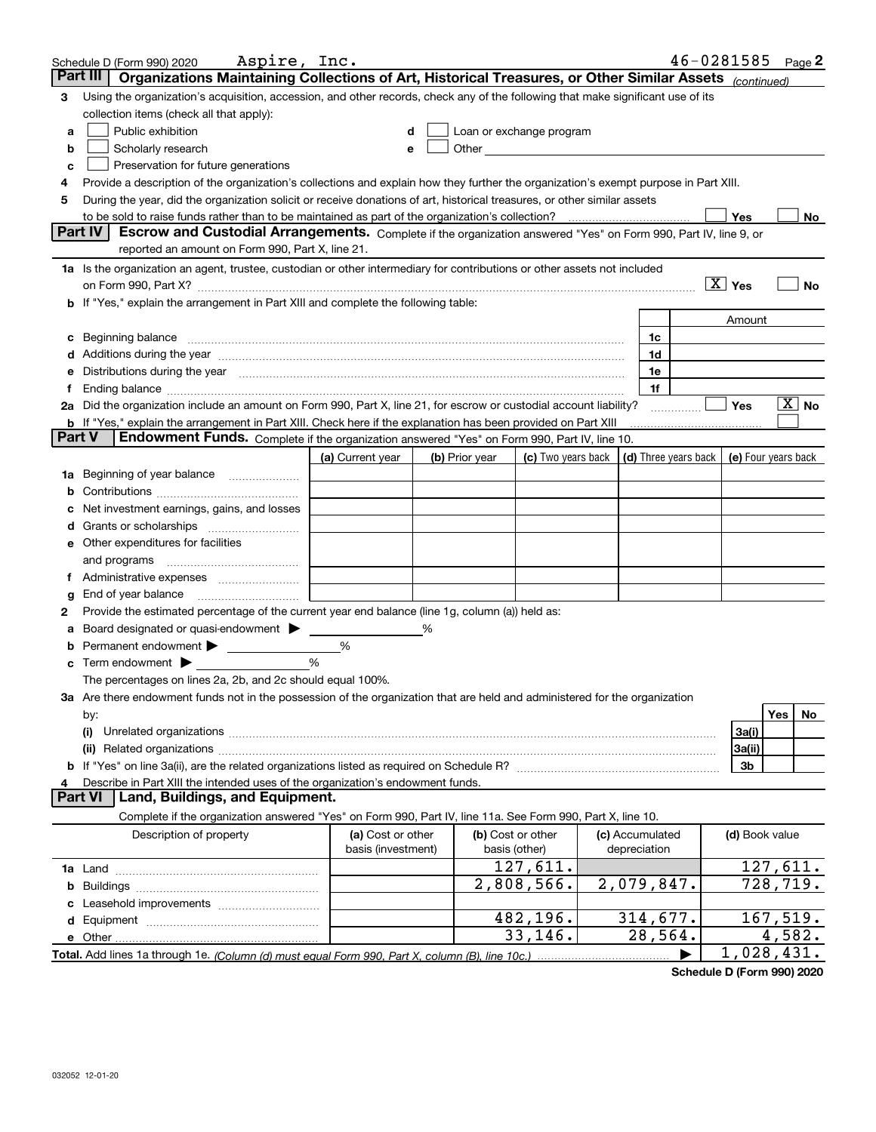|               | Aspire, Inc.<br>Schedule D (Form 990) 2020                                                                                                                                                                                     |                    |  |                |                                                                                                                                                                                                                               |  |                 | $46 - 0281585$ Page 2 |                 |          |             |
|---------------|--------------------------------------------------------------------------------------------------------------------------------------------------------------------------------------------------------------------------------|--------------------|--|----------------|-------------------------------------------------------------------------------------------------------------------------------------------------------------------------------------------------------------------------------|--|-----------------|-----------------------|-----------------|----------|-------------|
|               | Organizations Maintaining Collections of Art, Historical Treasures, or Other Similar Assets (continued)<br>Part III                                                                                                            |                    |  |                |                                                                                                                                                                                                                               |  |                 |                       |                 |          |             |
| 3             | Using the organization's acquisition, accession, and other records, check any of the following that make significant use of its                                                                                                |                    |  |                |                                                                                                                                                                                                                               |  |                 |                       |                 |          |             |
|               | collection items (check all that apply):                                                                                                                                                                                       |                    |  |                |                                                                                                                                                                                                                               |  |                 |                       |                 |          |             |
| a             | Public exhibition                                                                                                                                                                                                              | d                  |  |                | Loan or exchange program                                                                                                                                                                                                      |  |                 |                       |                 |          |             |
| b             | Scholarly research                                                                                                                                                                                                             | е                  |  |                | Other and the contract of the contract of the contract of the contract of the contract of the contract of the contract of the contract of the contract of the contract of the contract of the contract of the contract of the |  |                 |                       |                 |          |             |
| c             | Preservation for future generations                                                                                                                                                                                            |                    |  |                |                                                                                                                                                                                                                               |  |                 |                       |                 |          |             |
| 4             | Provide a description of the organization's collections and explain how they further the organization's exempt purpose in Part XIII.                                                                                           |                    |  |                |                                                                                                                                                                                                                               |  |                 |                       |                 |          |             |
| 5             | During the year, did the organization solicit or receive donations of art, historical treasures, or other similar assets                                                                                                       |                    |  |                |                                                                                                                                                                                                                               |  |                 |                       |                 |          |             |
|               | to be sold to raise funds rather than to be maintained as part of the organization's collection?                                                                                                                               |                    |  |                |                                                                                                                                                                                                                               |  |                 |                       | Yes             |          | No          |
|               | <b>Part IV</b><br>Escrow and Custodial Arrangements. Complete if the organization answered "Yes" on Form 990, Part IV, line 9, or                                                                                              |                    |  |                |                                                                                                                                                                                                                               |  |                 |                       |                 |          |             |
|               | reported an amount on Form 990, Part X, line 21.                                                                                                                                                                               |                    |  |                |                                                                                                                                                                                                                               |  |                 |                       |                 |          |             |
|               | 1a Is the organization an agent, trustee, custodian or other intermediary for contributions or other assets not included                                                                                                       |                    |  |                |                                                                                                                                                                                                                               |  |                 |                       |                 |          |             |
|               | on Form 990, Part X? [11] matter contracts and contracts and contracts are contracted as a function of the set of the set of the set of the set of the set of the set of the set of the set of the set of the set of the set o |                    |  |                |                                                                                                                                                                                                                               |  |                 |                       | $\boxed{X}$ Yes |          | No          |
|               | b If "Yes," explain the arrangement in Part XIII and complete the following table:                                                                                                                                             |                    |  |                |                                                                                                                                                                                                                               |  |                 |                       |                 |          |             |
|               |                                                                                                                                                                                                                                |                    |  |                |                                                                                                                                                                                                                               |  |                 |                       | Amount          |          |             |
| c             | Beginning balance                                                                                                                                                                                                              |                    |  |                |                                                                                                                                                                                                                               |  | 1c              |                       |                 |          |             |
|               | Additions during the year manufactured and an annual contract of the year manufactured and all the year manufactured and all the year manufactured and all the year manufactured and all the year manufactured and all the yea |                    |  |                |                                                                                                                                                                                                                               |  | 1d              |                       |                 |          |             |
| е             | Distributions during the year manufactured and continuum and contained and the year manufactured and contained                                                                                                                 |                    |  |                |                                                                                                                                                                                                                               |  | 1e              |                       |                 |          |             |
|               | Ending balance manufactured and contact the control of the control of the control of the control of the control of the control of the control of the control of the control of the control of the control of the control of th |                    |  |                |                                                                                                                                                                                                                               |  | 1f              |                       |                 |          |             |
|               | 2a Did the organization include an amount on Form 990, Part X, line 21, for escrow or custodial account liability?                                                                                                             |                    |  |                |                                                                                                                                                                                                                               |  |                 |                       | Yes             |          | $X \vert N$ |
| <b>Part V</b> | b If "Yes," explain the arrangement in Part XIII. Check here if the explanation has been provided on Part XIII                                                                                                                 |                    |  |                |                                                                                                                                                                                                                               |  |                 |                       |                 |          |             |
|               | Endowment Funds. Complete if the organization answered "Yes" on Form 990, Part IV, line 10.                                                                                                                                    |                    |  |                |                                                                                                                                                                                                                               |  |                 |                       |                 |          |             |
|               |                                                                                                                                                                                                                                | (a) Current year   |  | (b) Prior year | (c) Two years back $\vert$ (d) Three years back $\vert$ (e) Four years back                                                                                                                                                   |  |                 |                       |                 |          |             |
| 1a            | Beginning of year balance                                                                                                                                                                                                      |                    |  |                |                                                                                                                                                                                                                               |  |                 |                       |                 |          |             |
|               |                                                                                                                                                                                                                                |                    |  |                |                                                                                                                                                                                                                               |  |                 |                       |                 |          |             |
|               | Net investment earnings, gains, and losses                                                                                                                                                                                     |                    |  |                |                                                                                                                                                                                                                               |  |                 |                       |                 |          |             |
|               |                                                                                                                                                                                                                                |                    |  |                |                                                                                                                                                                                                                               |  |                 |                       |                 |          |             |
| е             | Other expenditures for facilities                                                                                                                                                                                              |                    |  |                |                                                                                                                                                                                                                               |  |                 |                       |                 |          |             |
|               | and programs                                                                                                                                                                                                                   |                    |  |                |                                                                                                                                                                                                                               |  |                 |                       |                 |          |             |
|               |                                                                                                                                                                                                                                |                    |  |                |                                                                                                                                                                                                                               |  |                 |                       |                 |          |             |
| g             | End of year balance                                                                                                                                                                                                            |                    |  |                |                                                                                                                                                                                                                               |  |                 |                       |                 |          |             |
| 2             | Provide the estimated percentage of the current year end balance (line 1g, column (a)) held as:<br>Board designated or quasi-endowment > ____                                                                                  |                    |  |                |                                                                                                                                                                                                                               |  |                 |                       |                 |          |             |
|               |                                                                                                                                                                                                                                | %                  |  |                |                                                                                                                                                                                                                               |  |                 |                       |                 |          |             |
| b             | Term endowment $\blacktriangleright$                                                                                                                                                                                           | %                  |  |                |                                                                                                                                                                                                                               |  |                 |                       |                 |          |             |
| с             | The percentages on lines 2a, 2b, and 2c should equal 100%.                                                                                                                                                                     |                    |  |                |                                                                                                                                                                                                                               |  |                 |                       |                 |          |             |
|               | 3a Are there endowment funds not in the possession of the organization that are held and administered for the organization                                                                                                     |                    |  |                |                                                                                                                                                                                                                               |  |                 |                       |                 |          |             |
|               | by:                                                                                                                                                                                                                            |                    |  |                |                                                                                                                                                                                                                               |  |                 |                       |                 | Yes      | No          |
|               | (i)                                                                                                                                                                                                                            |                    |  |                |                                                                                                                                                                                                                               |  |                 |                       | 3a(i)           |          |             |
|               |                                                                                                                                                                                                                                |                    |  |                |                                                                                                                                                                                                                               |  |                 |                       | 3a(ii)          |          |             |
|               | b If "Yes" on line 3a(ii), are the related organizations listed as required on Schedule R? [[[[[[[[[[[[[[[[[[                                                                                                                  |                    |  |                |                                                                                                                                                                                                                               |  |                 |                       | 3b              |          |             |
| 4             | Describe in Part XIII the intended uses of the organization's endowment funds.                                                                                                                                                 |                    |  |                |                                                                                                                                                                                                                               |  |                 |                       |                 |          |             |
|               | Land, Buildings, and Equipment.<br><b>Part VI</b>                                                                                                                                                                              |                    |  |                |                                                                                                                                                                                                                               |  |                 |                       |                 |          |             |
|               | Complete if the organization answered "Yes" on Form 990, Part IV, line 11a. See Form 990, Part X, line 10.                                                                                                                     |                    |  |                |                                                                                                                                                                                                                               |  |                 |                       |                 |          |             |
|               | Description of property                                                                                                                                                                                                        | (a) Cost or other  |  |                | (b) Cost or other                                                                                                                                                                                                             |  | (c) Accumulated |                       | (d) Book value  |          |             |
|               |                                                                                                                                                                                                                                | basis (investment) |  |                | basis (other)                                                                                                                                                                                                                 |  | depreciation    |                       |                 |          |             |
|               |                                                                                                                                                                                                                                |                    |  |                | 127,611.                                                                                                                                                                                                                      |  |                 |                       |                 | 127,611. |             |
|               |                                                                                                                                                                                                                                |                    |  |                | $\overline{2,808,566}$ .                                                                                                                                                                                                      |  | 2,079,847.      |                       |                 | 728,719. |             |
|               |                                                                                                                                                                                                                                |                    |  |                |                                                                                                                                                                                                                               |  |                 |                       |                 |          |             |
|               |                                                                                                                                                                                                                                |                    |  |                | 482,196.                                                                                                                                                                                                                      |  | 314,677.        |                       |                 | 167,519. |             |
|               | e Other                                                                                                                                                                                                                        |                    |  |                | 33,146.                                                                                                                                                                                                                       |  | 28,564.         |                       |                 | 4,582.   |             |
|               | Total. Add lines 1a through 1e. (Column (d) must equal Form 990. Part X. column (B). line 10c.)                                                                                                                                |                    |  |                |                                                                                                                                                                                                                               |  |                 |                       | 1,028,431.      |          |             |

**Schedule D (Form 990) 2020**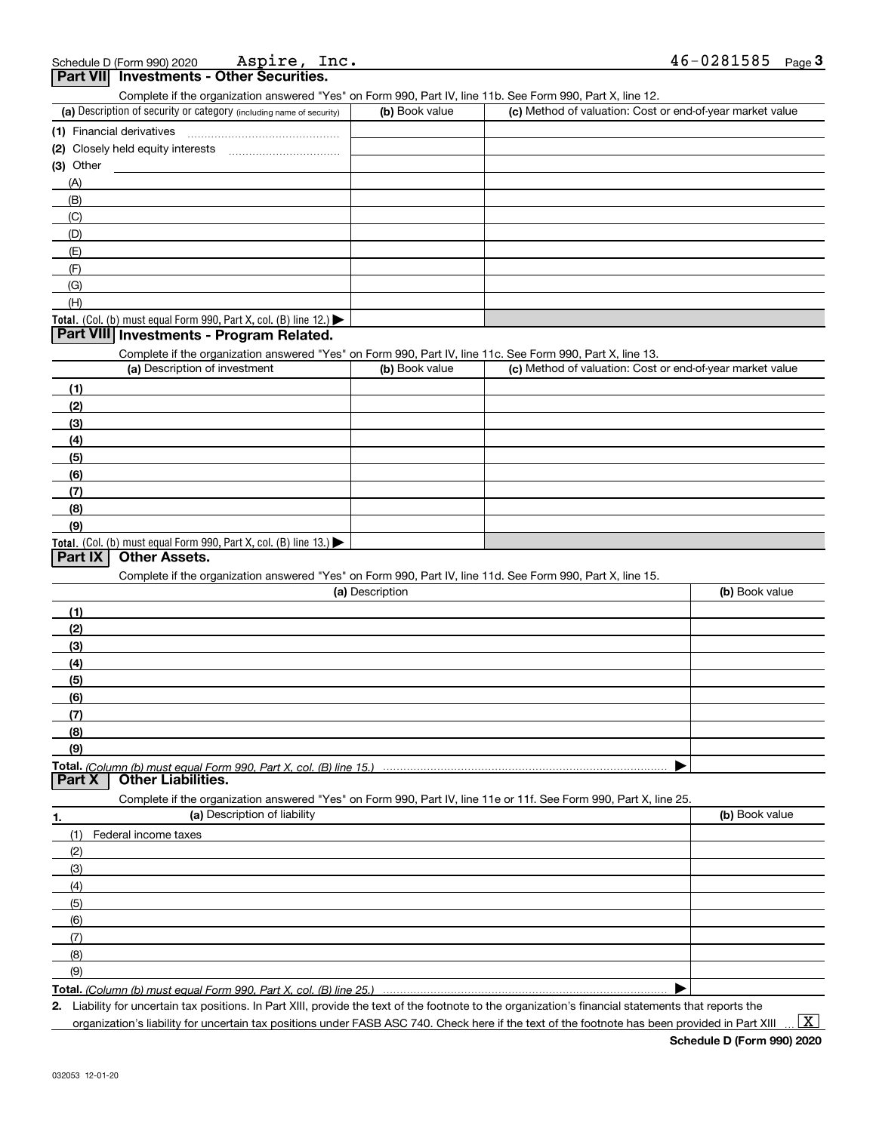|    | - --- - - --<br>Complete if the organization answered "Yes" on Form 990, Part IV, line 11b. See Form 990, Part X, line 12. |                 |                                                           |                |
|----|----------------------------------------------------------------------------------------------------------------------------|-----------------|-----------------------------------------------------------|----------------|
|    | (a) Description of security or category (including name of security)                                                       | (b) Book value  | (c) Method of valuation: Cost or end-of-year market value |                |
|    |                                                                                                                            |                 |                                                           |                |
|    |                                                                                                                            |                 |                                                           |                |
|    | (3) Other                                                                                                                  |                 |                                                           |                |
|    | (A)                                                                                                                        |                 |                                                           |                |
|    | (B)                                                                                                                        |                 |                                                           |                |
|    | (C)                                                                                                                        |                 |                                                           |                |
|    | (D)                                                                                                                        |                 |                                                           |                |
|    | (E)                                                                                                                        |                 |                                                           |                |
|    | (F)                                                                                                                        |                 |                                                           |                |
|    | (G)                                                                                                                        |                 |                                                           |                |
|    | (H)                                                                                                                        |                 |                                                           |                |
|    | Total. (Col. (b) must equal Form 990, Part X, col. (B) line 12.)                                                           |                 |                                                           |                |
|    | Part VIII Investments - Program Related.                                                                                   |                 |                                                           |                |
|    | Complete if the organization answered "Yes" on Form 990, Part IV, line 11c. See Form 990, Part X, line 13.                 |                 |                                                           |                |
|    | (a) Description of investment                                                                                              | (b) Book value  | (c) Method of valuation: Cost or end-of-year market value |                |
|    | (1)                                                                                                                        |                 |                                                           |                |
|    | (2)                                                                                                                        |                 |                                                           |                |
|    | (3)                                                                                                                        |                 |                                                           |                |
|    | (4)                                                                                                                        |                 |                                                           |                |
|    | (5)                                                                                                                        |                 |                                                           |                |
|    | (6)                                                                                                                        |                 |                                                           |                |
|    | (7)                                                                                                                        |                 |                                                           |                |
|    | (8)                                                                                                                        |                 |                                                           |                |
|    | (9)                                                                                                                        |                 |                                                           |                |
|    | Total. (Col. (b) must equal Form 990, Part X, col. (B) line 13.)                                                           |                 |                                                           |                |
|    | <b>Other Assets.</b><br>  Part IX                                                                                          |                 |                                                           |                |
|    | Complete if the organization answered "Yes" on Form 990, Part IV, line 11d. See Form 990, Part X, line 15.                 |                 |                                                           |                |
|    |                                                                                                                            | (a) Description |                                                           | (b) Book value |
|    | (1)                                                                                                                        |                 |                                                           |                |
|    | (2)                                                                                                                        |                 |                                                           |                |
|    | (3)                                                                                                                        |                 |                                                           |                |
|    | (4)                                                                                                                        |                 |                                                           |                |
|    | (5)                                                                                                                        |                 |                                                           |                |
|    | (6)                                                                                                                        |                 |                                                           |                |
|    | (7)                                                                                                                        |                 |                                                           |                |
|    | (8)                                                                                                                        |                 |                                                           |                |
|    | (9)                                                                                                                        |                 |                                                           |                |
|    |                                                                                                                            |                 |                                                           |                |
|    | Total. (Column (b) must equal Form 990. Part X. col. (B) line 15.)<br><b>Other Liabilities.</b><br><b>Part X</b>           |                 |                                                           |                |
|    | Complete if the organization answered "Yes" on Form 990, Part IV, line 11e or 11f. See Form 990, Part X, line 25.          |                 |                                                           |                |
| 1. | (a) Description of liability                                                                                               |                 |                                                           | (b) Book value |
|    | (1)<br>Federal income taxes                                                                                                |                 |                                                           |                |
|    | (2)                                                                                                                        |                 |                                                           |                |
|    | (3)                                                                                                                        |                 |                                                           |                |
|    | (4)                                                                                                                        |                 |                                                           |                |
|    |                                                                                                                            |                 |                                                           |                |
|    | (5)                                                                                                                        |                 |                                                           |                |
|    | (6)                                                                                                                        |                 |                                                           |                |
|    | (7)                                                                                                                        |                 |                                                           |                |
|    | (8)                                                                                                                        |                 |                                                           |                |
|    | (9)                                                                                                                        |                 |                                                           |                |
|    | Total. (Column (b) must equal Form 990, Part X, col. (B) line 25.)                                                         |                 |                                                           |                |

**Total.**  *(Column (b) must equal Form 990, Part X, col. (B) line 25.)* 

**2.**Liability for uncertain tax positions. In Part XIII, provide the text of the footnote to the organization's financial statements that reports the

organization's liability for uncertain tax positions under FASB ASC 740. Check here if the text of the footnote has been provided in Part XIII

 $\vert$  X  $\vert$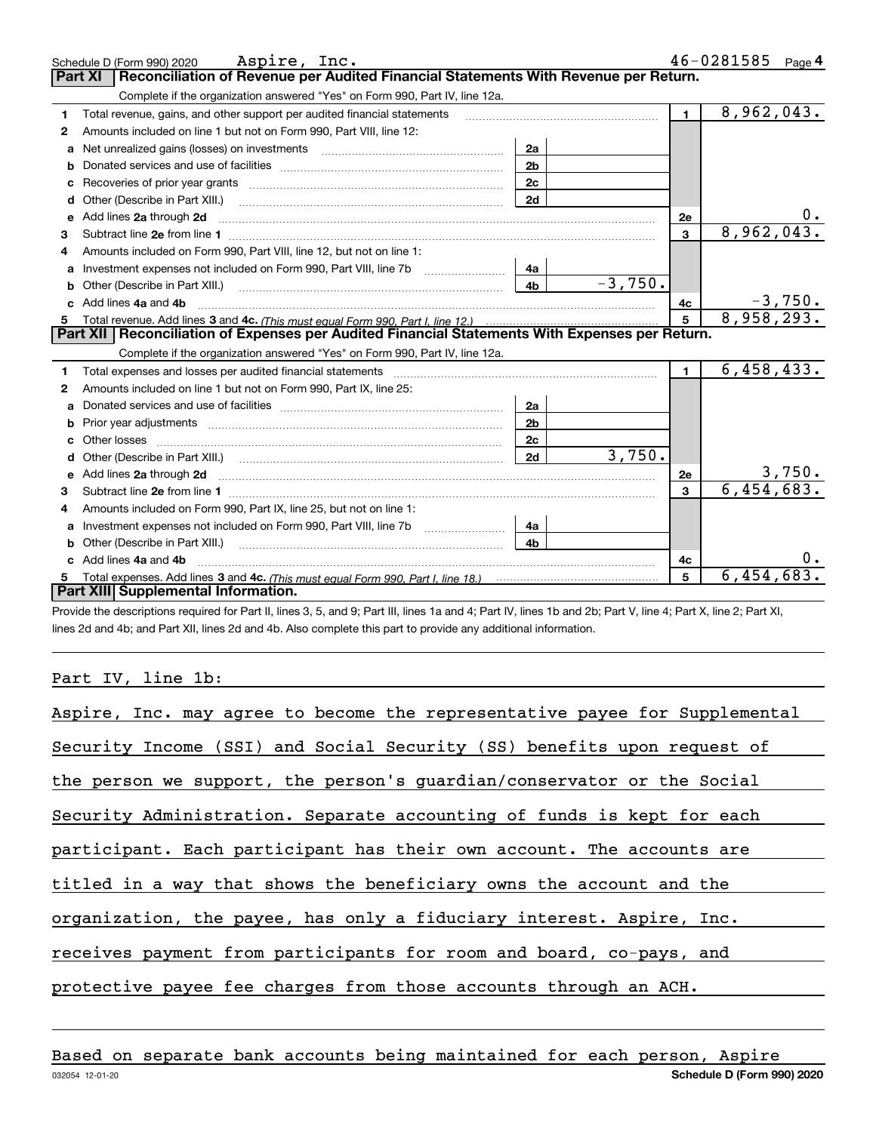|              | Aspire, Inc.<br>Schedule D (Form 990) 2020                                                                                                                                                                                          |                |           |                | 46-0281585 | Page $4$  |
|--------------|-------------------------------------------------------------------------------------------------------------------------------------------------------------------------------------------------------------------------------------|----------------|-----------|----------------|------------|-----------|
|              | Reconciliation of Revenue per Audited Financial Statements With Revenue per Return.<br><b>Part XI</b>                                                                                                                               |                |           |                |            |           |
|              | Complete if the organization answered "Yes" on Form 990, Part IV, line 12a.                                                                                                                                                         |                |           |                |            |           |
| 1            | Total revenue, gains, and other support per audited financial statements                                                                                                                                                            |                |           | $\mathbf{1}$   | 8,962,043. |           |
| $\mathbf{2}$ | Amounts included on line 1 but not on Form 990, Part VIII, line 12:                                                                                                                                                                 |                |           |                |            |           |
| a            | Net unrealized gains (losses) on investments [11] matter contracts and the unrealized gains (losses) on investments                                                                                                                 | 2a             |           |                |            |           |
|              |                                                                                                                                                                                                                                     | 2 <sub>b</sub> |           |                |            |           |
| c            | Recoveries of prior year grants [11] matter contracts and prior year grants [11] matter contracts and prior year grants and prior year of the contracts and prior year of the contracts and prior year of the contracts and pr      | 2c             |           |                |            |           |
| d            | Other (Describe in Part XIII.) <b>2006</b> 2007 2010 2010 2010 2010 2011 2012 2013 2014 2015 2016 2017 2018 2019 2016 2016 2017 2018 2019 2016 2017 2018 2019 2016 2017 2018 2019 2018 2019 2016 2017 2018 2019 2018 2019 2018 2019 | 2d             |           |                |            |           |
| е            | Add lines 2a through 2d <b>must be a constructed as the constant of the construction of the construction</b> and the construction of the construction of the construction of the construction of the construction of the constructi |                |           | <b>2e</b>      |            |           |
| 3            |                                                                                                                                                                                                                                     |                |           | $\mathbf{3}$   | 8,962,043. |           |
|              | Amounts included on Form 990, Part VIII, line 12, but not on line 1:                                                                                                                                                                |                |           |                |            |           |
|              |                                                                                                                                                                                                                                     | 4a             |           |                |            |           |
| b            | Other (Describe in Part XIII.) <b>Construction Construction</b> Chern Construction Chern Chern Chern Chern Chern Chern                                                                                                              | 4 <sub>b</sub> | $-3,750.$ |                |            |           |
|              | Add lines 4a and 4b                                                                                                                                                                                                                 |                |           | 4c             |            | $-3,750.$ |
|              |                                                                                                                                                                                                                                     |                |           |                |            |           |
| 5            |                                                                                                                                                                                                                                     |                |           | $\overline{5}$ | 8,958,293. |           |
|              | Part XII   Reconciliation of Expenses per Audited Financial Statements With Expenses per Return.                                                                                                                                    |                |           |                |            |           |
|              | Complete if the organization answered "Yes" on Form 990, Part IV, line 12a.                                                                                                                                                         |                |           |                |            |           |
| 1            |                                                                                                                                                                                                                                     |                |           | $\blacksquare$ | 6,458,433. |           |
| 2            | Amounts included on line 1 but not on Form 990, Part IX, line 25:                                                                                                                                                                   |                |           |                |            |           |
| a            |                                                                                                                                                                                                                                     | 2a             |           |                |            |           |
| b            |                                                                                                                                                                                                                                     | 2 <sub>b</sub> |           |                |            |           |
|              |                                                                                                                                                                                                                                     | 2c             |           |                |            |           |
|              |                                                                                                                                                                                                                                     | 2d             | 3,750.    |                |            |           |
| e            |                                                                                                                                                                                                                                     |                |           | 2e             |            | 3,750.    |
| З.           | Add lines 2a through 2d <b>manufactures</b> and contained the state of the state of the state of the state of the state of the state of the state of the state of the state of the state of the state of the state of the state of  |                |           | $\mathbf{3}$   | 6,454,683. |           |
| 4            | Amounts included on Form 990, Part IX, line 25, but not on line 1:                                                                                                                                                                  |                |           |                |            |           |
| a            | Investment expenses not included on Form 990, Part VIII, line 7b [100] [100] [100] [100] [100] [100] [100] [10                                                                                                                      | 4a             |           |                |            |           |
|              | Other (Describe in Part XIII.) <b>Construction Contract Construction</b> (Describe in Part XIII.)                                                                                                                                   | 4 <sub>b</sub> |           |                |            |           |
|              | Add lines 4a and 4b                                                                                                                                                                                                                 |                |           | 4c             |            | 0.        |
|              | Part XIII Supplemental Information.                                                                                                                                                                                                 |                |           | 5              | 6,454,683. |           |

Provide the descriptions required for Part II, lines 3, 5, and 9; Part III, lines 1a and 4; Part IV, lines 1b and 2b; Part V, line 4; Part X, line 2; Part XI, lines 2d and 4b; and Part XII, lines 2d and 4b. Also complete this part to provide any additional information.

# Part IV, line 1b:

| Aspire, Inc. may agree to become the representative payee for Supplemental |
|----------------------------------------------------------------------------|
| Security Income (SSI) and Social Security (SS) benefits upon request of    |
| the person we support, the person's guardian/conservator or the Social     |
| Security Administration. Separate accounting of funds is kept for each     |
| participant. Each participant has their own account. The accounts are      |
| titled in a way that shows the beneficiary owns the account and the        |
| organization, the payee, has only a fiduciary interest. Aspire, Inc.       |
| receives payment from participants for room and board, co-pays, and        |
|                                                                            |
| protective payee fee charges from those accounts through an ACH.           |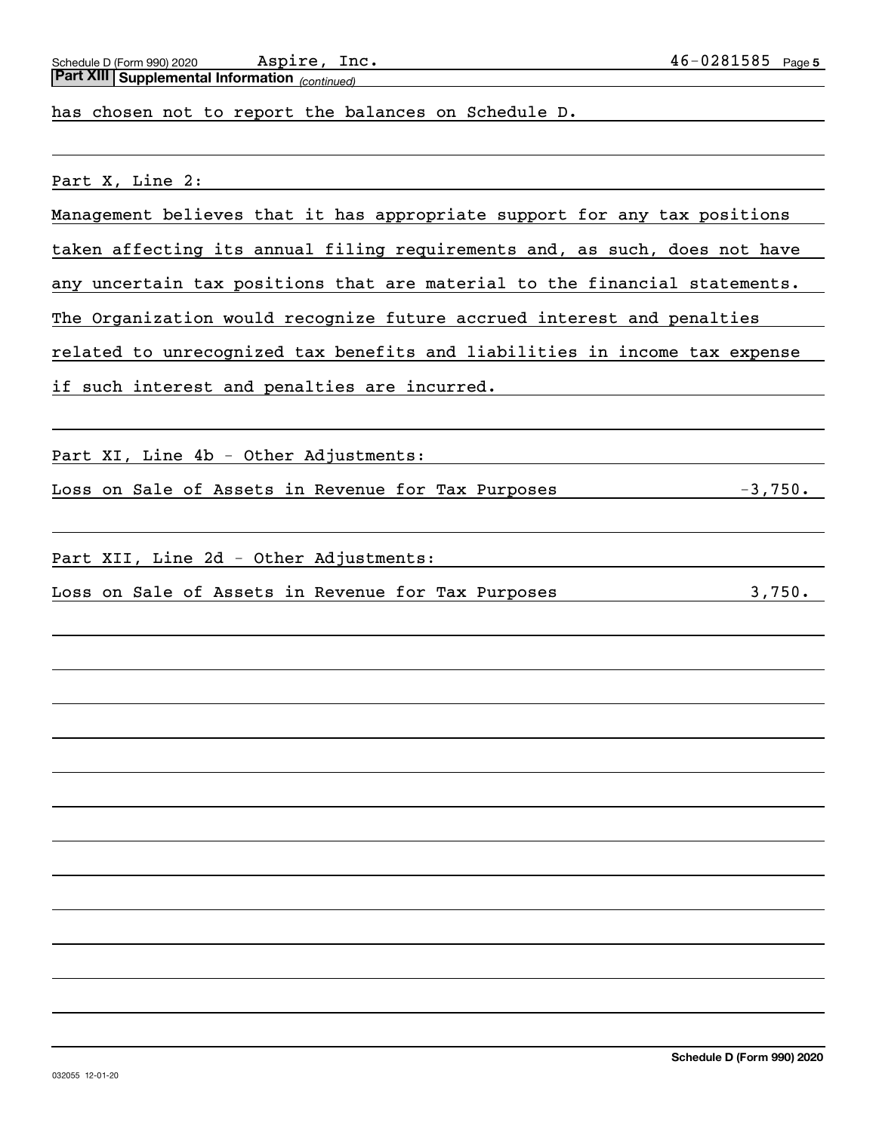*(continued)* **Part XIII Supplemental Information** 

has chosen not to report the balances on Schedule D.

Part X, Line 2:

Management believes that it has appropriate support for any tax positions

taken affecting its annual filing requirements and, as such, does not have

any uncertain tax positions that are material to the financial statements.

The Organization would recognize future accrued interest and penalties

related to unrecognized tax benefits and liabilities in income tax expense

if such interest and penalties are incurred.

Part XI, Line 4b - Other Adjustments:

Loss on Sale of Assets in Revenue for Tax Purposes -3,750.

Part XII, Line 2d - Other Adjustments:

Loss on Sale of Assets in Revenue for Tax Purposes 3,750.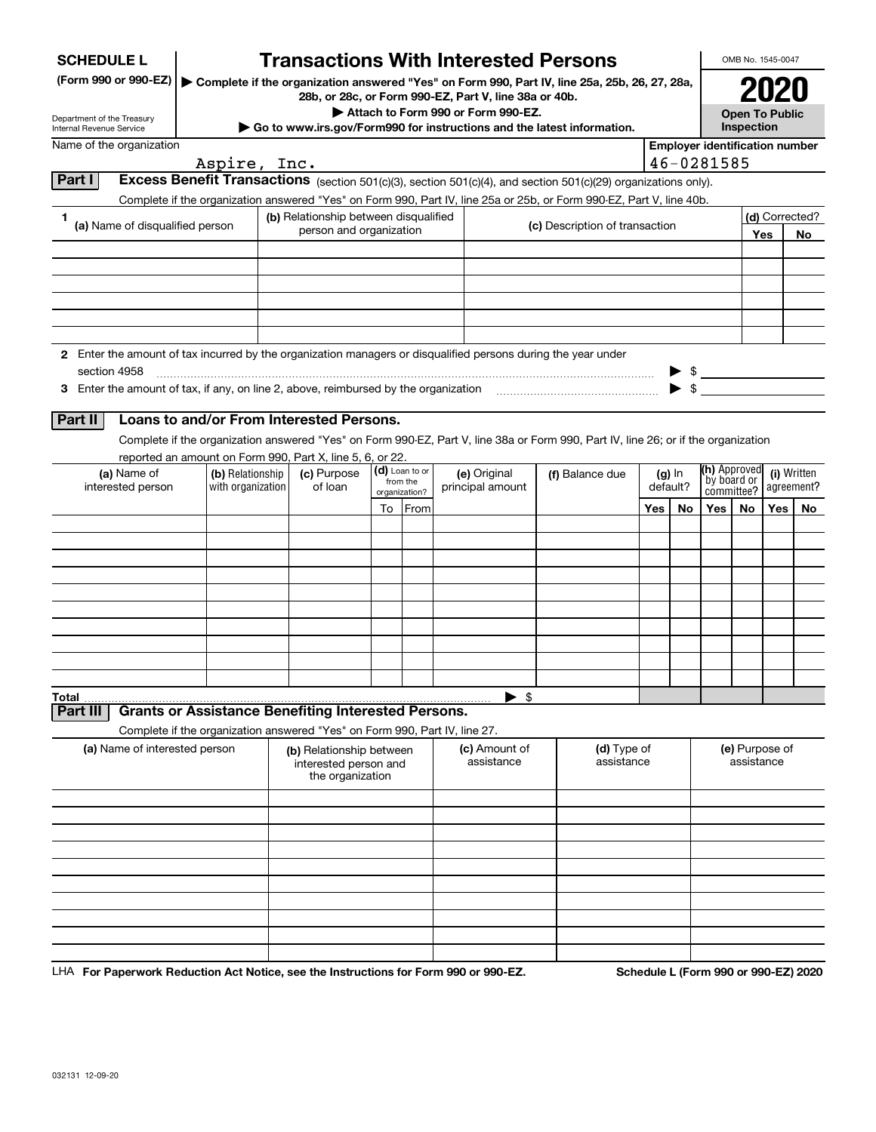| <b>SCHEDULE L</b>                                                                                                    |                                                                                                                                    | <b>Transactions With Interested Persons</b>                           |    |                            |                                                       |                                                                        |          |          |                                       | OMB No. 1545-0047            |     |                           |
|----------------------------------------------------------------------------------------------------------------------|------------------------------------------------------------------------------------------------------------------------------------|-----------------------------------------------------------------------|----|----------------------------|-------------------------------------------------------|------------------------------------------------------------------------|----------|----------|---------------------------------------|------------------------------|-----|---------------------------|
| (Form 990 or 990-EZ)   Complete if the organization answered "Yes" on Form 990, Part IV, line 25a, 25b, 26, 27, 28a, |                                                                                                                                    |                                                                       |    |                            | 28b, or 28c, or Form 990-EZ, Part V, line 38a or 40b. |                                                                        |          |          | 2020                                  |                              |     |                           |
| Department of the Treasury<br><b>Internal Revenue Service</b>                                                        |                                                                                                                                    |                                                                       |    |                            | Attach to Form 990 or Form 990-EZ.                    | Go to www.irs.gov/Form990 for instructions and the latest information. |          |          | <b>Open To Public</b><br>Inspection   |                              |     |                           |
| Name of the organization                                                                                             |                                                                                                                                    |                                                                       |    |                            |                                                       |                                                                        |          |          | <b>Employer identification number</b> |                              |     |                           |
|                                                                                                                      | Aspire, Inc.                                                                                                                       |                                                                       |    |                            |                                                       |                                                                        |          |          | 46-0281585                            |                              |     |                           |
| Part I                                                                                                               | Excess Benefit Transactions (section 501(c)(3), section 501(c)(4), and section 501(c)(29) organizations only).                     |                                                                       |    |                            |                                                       |                                                                        |          |          |                                       |                              |     |                           |
|                                                                                                                      | Complete if the organization answered "Yes" on Form 990, Part IV, line 25a or 25b, or Form 990-EZ, Part V, line 40b.               |                                                                       |    |                            |                                                       |                                                                        |          |          |                                       |                              |     |                           |
| 1<br>(a) Name of disqualified person                                                                                 |                                                                                                                                    | (b) Relationship between disqualified                                 |    |                            |                                                       | (c) Description of transaction                                         |          |          |                                       |                              |     | (d) Corrected?            |
|                                                                                                                      |                                                                                                                                    | person and organization                                               |    |                            |                                                       |                                                                        |          |          |                                       |                              | Yes | No                        |
|                                                                                                                      |                                                                                                                                    |                                                                       |    |                            |                                                       |                                                                        |          |          |                                       |                              |     |                           |
|                                                                                                                      |                                                                                                                                    |                                                                       |    |                            |                                                       |                                                                        |          |          |                                       |                              |     |                           |
|                                                                                                                      |                                                                                                                                    |                                                                       |    |                            |                                                       |                                                                        |          |          |                                       |                              |     |                           |
|                                                                                                                      |                                                                                                                                    |                                                                       |    |                            |                                                       |                                                                        |          |          |                                       |                              |     |                           |
|                                                                                                                      |                                                                                                                                    |                                                                       |    |                            |                                                       |                                                                        |          |          |                                       |                              |     |                           |
| 2 Enter the amount of tax incurred by the organization managers or disqualified persons during the year under        |                                                                                                                                    |                                                                       |    |                            |                                                       |                                                                        |          |          |                                       |                              |     |                           |
| section 4958<br>3 Enter the amount of tax, if any, on line 2, above, reimbursed by the organization                  |                                                                                                                                    |                                                                       |    |                            |                                                       |                                                                        |          |          | $\triangleright$ \$                   |                              |     |                           |
|                                                                                                                      |                                                                                                                                    |                                                                       |    |                            |                                                       |                                                                        |          |          |                                       |                              |     |                           |
| Part II                                                                                                              | Loans to and/or From Interested Persons.                                                                                           |                                                                       |    |                            |                                                       |                                                                        |          |          |                                       |                              |     |                           |
|                                                                                                                      | Complete if the organization answered "Yes" on Form 990-EZ, Part V, line 38a or Form 990, Part IV, line 26; or if the organization |                                                                       |    |                            |                                                       |                                                                        |          |          |                                       |                              |     |                           |
|                                                                                                                      | reported an amount on Form 990, Part X, line 5, 6, or 22.                                                                          |                                                                       |    |                            |                                                       |                                                                        |          |          |                                       |                              |     |                           |
| (a) Name of<br>interested person                                                                                     | (b) Relationship<br>with organization                                                                                              | (c) Purpose<br>of loan                                                |    | (d) Loan to or<br>from the | (e) Original<br>principal amount                      | (f) Balance due                                                        | default? | $(g)$ In | (h) Approved<br>by board or           |                              |     | (i) Written<br>agreement? |
|                                                                                                                      |                                                                                                                                    |                                                                       |    | organization?              |                                                       |                                                                        |          |          | committee?                            |                              |     |                           |
|                                                                                                                      |                                                                                                                                    |                                                                       | To | From                       |                                                       |                                                                        | Yes      | No       | Yes                                   | No                           | Yes | No                        |
|                                                                                                                      |                                                                                                                                    |                                                                       |    |                            |                                                       |                                                                        |          |          |                                       |                              |     |                           |
|                                                                                                                      |                                                                                                                                    |                                                                       |    |                            |                                                       |                                                                        |          |          |                                       |                              |     |                           |
|                                                                                                                      |                                                                                                                                    |                                                                       |    |                            |                                                       |                                                                        |          |          |                                       |                              |     |                           |
|                                                                                                                      |                                                                                                                                    |                                                                       |    |                            |                                                       |                                                                        |          |          |                                       |                              |     |                           |
|                                                                                                                      |                                                                                                                                    |                                                                       |    |                            |                                                       |                                                                        |          |          |                                       |                              |     |                           |
|                                                                                                                      |                                                                                                                                    |                                                                       |    |                            |                                                       |                                                                        |          |          |                                       |                              |     |                           |
|                                                                                                                      |                                                                                                                                    |                                                                       |    |                            |                                                       |                                                                        |          |          |                                       |                              |     |                           |
|                                                                                                                      |                                                                                                                                    |                                                                       |    |                            |                                                       |                                                                        |          |          |                                       |                              |     |                           |
| <b>Total</b>                                                                                                         |                                                                                                                                    |                                                                       |    |                            | $\blacktriangleright$ \$                              |                                                                        |          |          |                                       |                              |     |                           |
| Part III                                                                                                             | <b>Grants or Assistance Benefiting Interested Persons.</b>                                                                         |                                                                       |    |                            |                                                       |                                                                        |          |          |                                       |                              |     |                           |
|                                                                                                                      | Complete if the organization answered "Yes" on Form 990, Part IV, line 27.                                                         |                                                                       |    |                            |                                                       |                                                                        |          |          |                                       |                              |     |                           |
| (a) Name of interested person                                                                                        |                                                                                                                                    | (b) Relationship between<br>interested person and<br>the organization |    |                            | (c) Amount of<br>assistance                           | (d) Type of<br>assistance                                              |          |          |                                       | (e) Purpose of<br>assistance |     |                           |
|                                                                                                                      |                                                                                                                                    |                                                                       |    |                            |                                                       |                                                                        |          |          |                                       |                              |     |                           |
|                                                                                                                      |                                                                                                                                    |                                                                       |    |                            |                                                       |                                                                        |          |          |                                       |                              |     |                           |
|                                                                                                                      |                                                                                                                                    |                                                                       |    |                            |                                                       |                                                                        |          |          |                                       |                              |     |                           |
|                                                                                                                      |                                                                                                                                    |                                                                       |    |                            |                                                       |                                                                        |          |          |                                       |                              |     |                           |
|                                                                                                                      |                                                                                                                                    |                                                                       |    |                            |                                                       |                                                                        |          |          |                                       |                              |     |                           |
|                                                                                                                      |                                                                                                                                    |                                                                       |    |                            |                                                       |                                                                        |          |          |                                       |                              |     |                           |
|                                                                                                                      |                                                                                                                                    |                                                                       |    |                            |                                                       |                                                                        |          |          |                                       |                              |     |                           |
|                                                                                                                      |                                                                                                                                    |                                                                       |    |                            |                                                       |                                                                        |          |          |                                       |                              |     |                           |
|                                                                                                                      |                                                                                                                                    |                                                                       |    |                            |                                                       |                                                                        |          |          |                                       |                              |     |                           |

LHA For Paperwork Reduction Act Notice, see the Instructions for Form 990 or 990-EZ. Schedule L (Form 990 or 990-EZ) 2020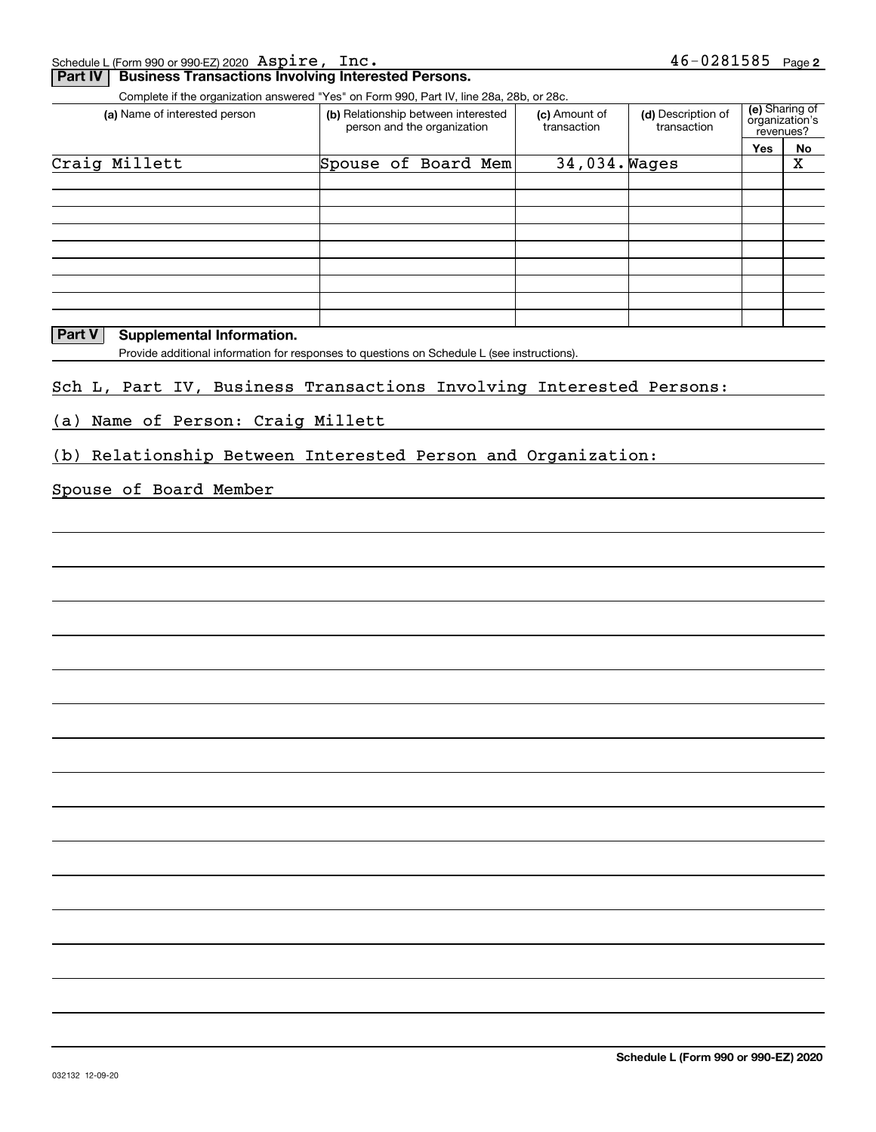Schedule L (Form 990 or 990-EZ) 2020 Page Aspire, Inc.

#### **Part IV** Business Transactions Involving Interested Persons.

Complete if the organization answered "Yes" on Form 990, Part IV, line 28a, 28b, or 28c.

| Complete in the organization anowered need on nomineou, narthy, line zoa, zoo, or zoo.<br>(a) Name of interested person | (b) Relationship between interested<br>person and the organization | (c) Amount of<br>transaction | (d) Description of<br>transaction | (e) Sharing of<br>organization's<br>revenues? |    |  |
|-------------------------------------------------------------------------------------------------------------------------|--------------------------------------------------------------------|------------------------------|-----------------------------------|-----------------------------------------------|----|--|
|                                                                                                                         |                                                                    |                              |                                   | <b>Yes</b>                                    | No |  |
| Craig Millett                                                                                                           | Spouse of Board Mem                                                | 34,034. Wages                |                                   |                                               | Χ  |  |
|                                                                                                                         |                                                                    |                              |                                   |                                               |    |  |
|                                                                                                                         |                                                                    |                              |                                   |                                               |    |  |
|                                                                                                                         |                                                                    |                              |                                   |                                               |    |  |
|                                                                                                                         |                                                                    |                              |                                   |                                               |    |  |
|                                                                                                                         |                                                                    |                              |                                   |                                               |    |  |
|                                                                                                                         |                                                                    |                              |                                   |                                               |    |  |
|                                                                                                                         |                                                                    |                              |                                   |                                               |    |  |
|                                                                                                                         |                                                                    |                              |                                   |                                               |    |  |
|                                                                                                                         |                                                                    |                              |                                   |                                               |    |  |

#### **Part V** Supplemental Information.

Provide additional information for responses to questions on Schedule L (see instructions).

#### Sch L, Part IV, Business Transactions Involving Interested Persons:

(a) Name of Person: Craig Millett

(b) Relationship Between Interested Person and Organization:

#### Spouse of Board Member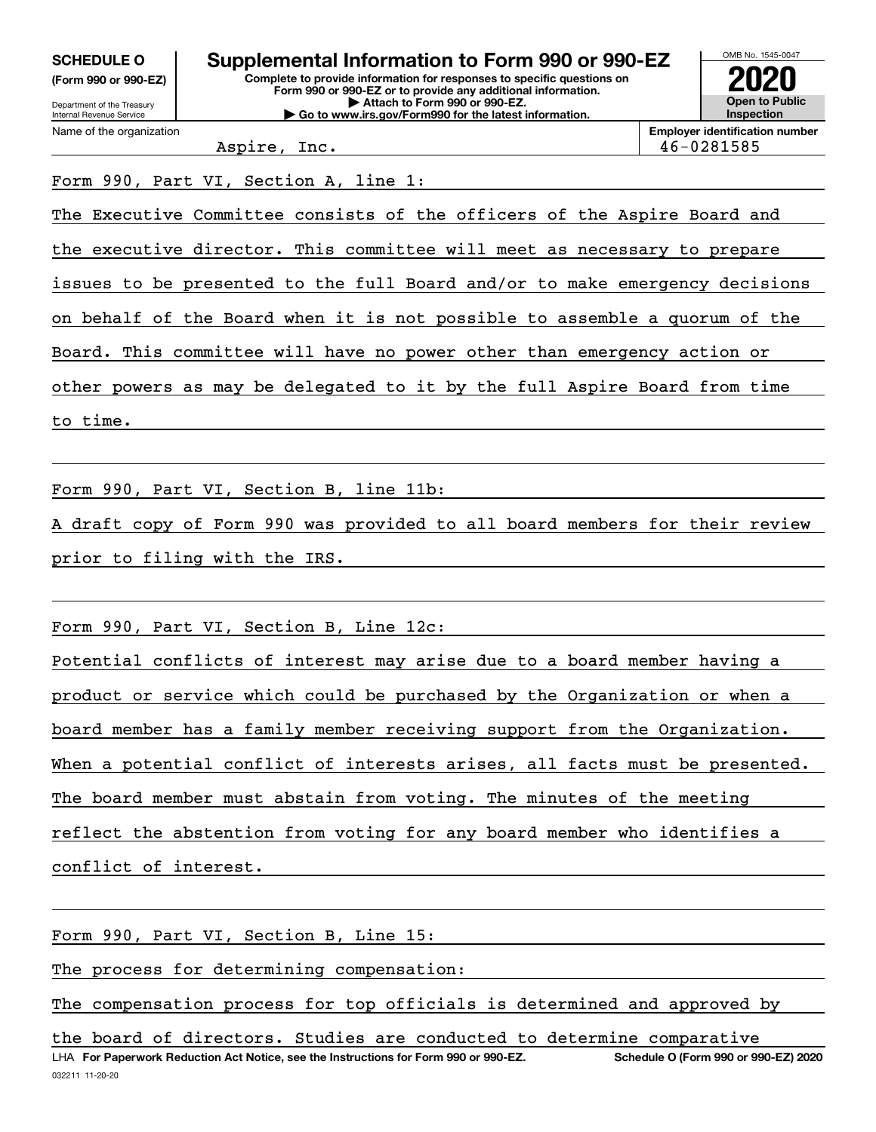| <b>SCHEDULE O</b>                                      | Supplemental Information to Form 990 or 990-EZ                                                                                         | OMB No. 1545-0047                          |
|--------------------------------------------------------|----------------------------------------------------------------------------------------------------------------------------------------|--------------------------------------------|
| (Form 990 or 990-EZ)                                   | Complete to provide information for responses to specific questions on<br>Form 990 or 990-EZ or to provide any additional information. | 2020                                       |
| Department of the Treasury<br>Internal Revenue Service | Attach to Form 990 or 990-EZ.<br>Go to www.irs.gov/Form990 for the latest information.                                                 | <b>Open to Public</b><br><b>Inspection</b> |
| Name of the organization                               |                                                                                                                                        | <b>Employer identification numb</b>        |

Aspire, Inc. 46-0281585

**Example r** identification number

### Form 990, Part VI, Section A, line 1:

The Executive Committee consists of the officers of the Aspire Board and the executive director. This committee will meet as necessary to prepare issues to be presented to the full Board and/or to make emergency decisions on behalf of the Board when it is not possible to assemble a quorum of the Board. This committee will have no power other than emergency action or

other powers as may be delegated to it by the full Aspire Board from time

to time.

Form 990, Part VI, Section B, line 11b:

A draft copy of Form 990 was provided to all board members for their review prior to filing with the IRS.

Form 990, Part VI, Section B, Line 12c:

Potential conflicts of interest may arise due to a board member having a product or service which could be purchased by the Organization or when a board member has a family member receiving support from the Organization. When a potential conflict of interests arises, all facts must be presented. The board member must abstain from voting. The minutes of the meeting reflect the abstention from voting for any board member who identifies a conflict of interest.

Form 990, Part VI, Section B, Line 15:

The process for determining compensation:

The compensation process for top officials is determined and approved by